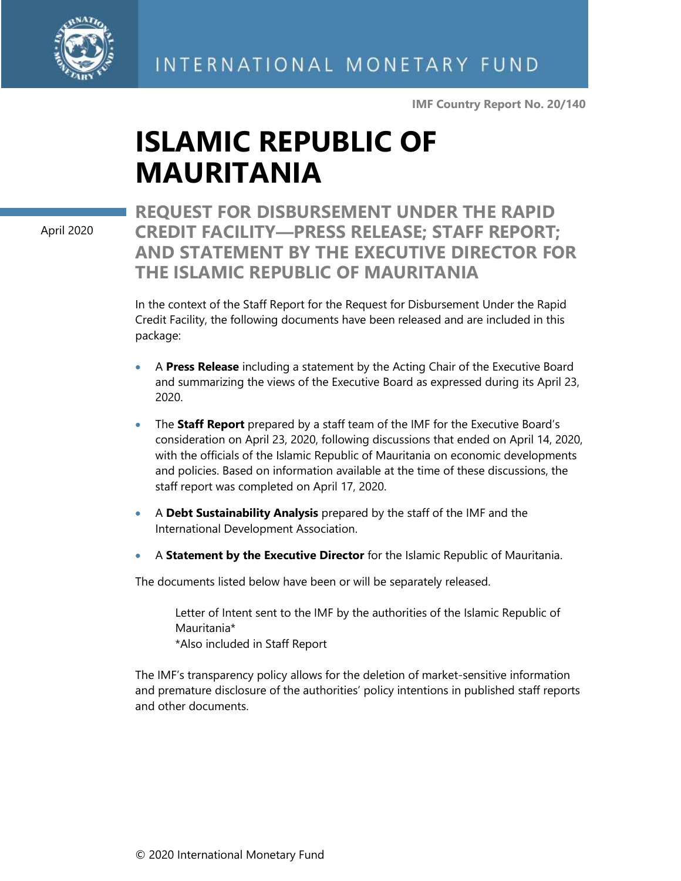

**IMF Country Report No. 20/140**

# **ISLAMIC REPUBLIC OF MAURITANIA**

April 2020

**REQUEST FOR DISBURSEMENT UNDER THE RAPID CREDIT FACILITY—PRESS RELEASE; STAFF REPORT; AND STATEMENT BY THE EXECUTIVE DIRECTOR FOR THE ISLAMIC REPUBLIC OF MAURITANIA**

In the context of the Staff Report for the Request for Disbursement Under the Rapid Credit Facility, the following documents have been released and are included in this package:

- A **Press Release** including a statement by the Acting Chair of the Executive Board and summarizing the views of the Executive Board as expressed during its April 23, 2020.
- The **Staff Report** prepared by a staff team of the IMF for the Executive Board's consideration on April 23, 2020, following discussions that ended on April 14, 2020, with the officials of the Islamic Republic of Mauritania on economic developments and policies. Based on information available at the time of these discussions, the staff report was completed on April 17, 2020.
- A **Debt Sustainability Analysis** prepared by the staff of the IMF and the International Development Association.
- A **Statement by the Executive Director** for the Islamic Republic of Mauritania.

The documents listed below have been or will be separately released.

Letter of Intent sent to the IMF by the authorities of the Islamic Republic of Mauritania\* \*Also included in Staff Report

The IMF's transparency policy allows for the deletion of market-sensitive information and premature disclosure of the authorities' policy intentions in published staff reports and other documents.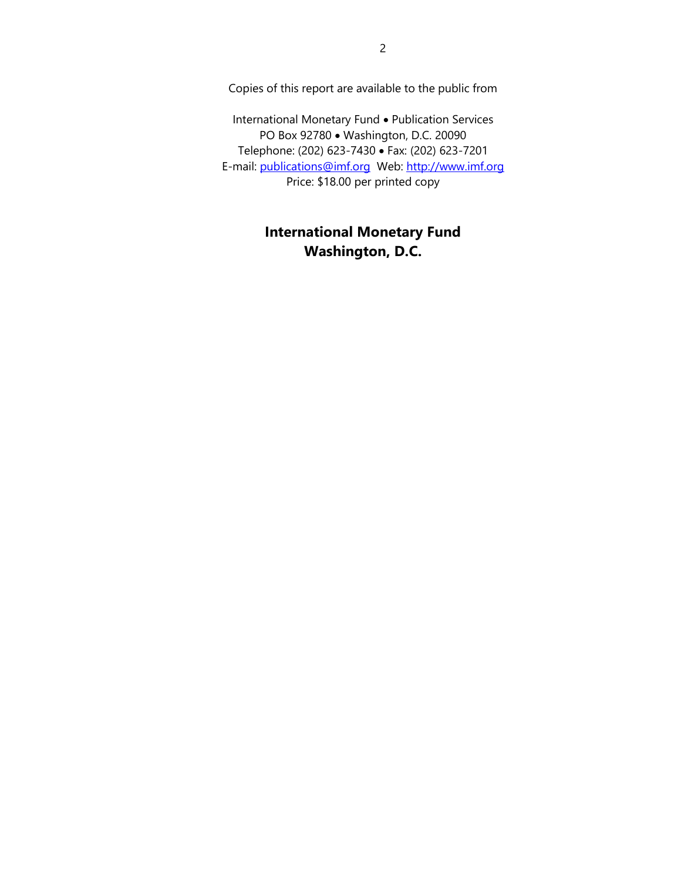Copies of this report are available to the public from

International Monetary Fund • Publication Services PO Box 92780 • Washington, D.C. 20090 Telephone: (202) 623-7430 • Fax: (202) 623-7201 E-mail: [publications@imf.org](mailto:publications@imf.org) Web: [http://www.imf.org](http://www.imf.org/) Price: \$18.00 per printed copy

# **International Monetary Fund Washington, D.C.**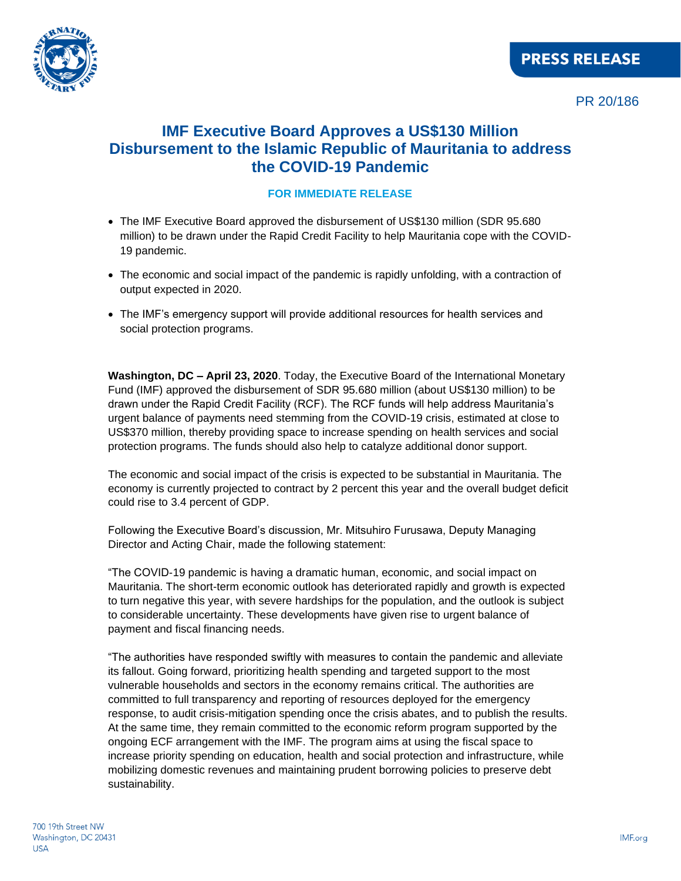

# **IMF Executive Board Approves a US\$130 Million Disbursement to the Islamic Republic of Mauritania to address the COVID-19 Pandemic**

## **FOR IMMEDIATE RELEASE**

- The IMF Executive Board approved the disbursement of US\$130 million (SDR 95.680 million) to be drawn under the Rapid Credit Facility to help Mauritania cope with the COVID-19 pandemic.
- The economic and social impact of the pandemic is rapidly unfolding, with a contraction of output expected in 2020.
- The IMF's emergency support will provide additional resources for health services and social protection programs.

**Washington, DC – April 23, 2020**. Today, the Executive Board of the International Monetary Fund (IMF) approved the disbursement of SDR 95.680 million (about US\$130 million) to be drawn under the Rapid Credit Facility (RCF). The RCF funds will help address Mauritania's urgent balance of payments need stemming from the COVID-19 crisis, estimated at close to US\$370 million, thereby providing space to increase spending on health services and social protection programs. The funds should also help to catalyze additional donor support.

The economic and social impact of the crisis is expected to be substantial in Mauritania. The economy is currently projected to contract by 2 percent this year and the overall budget deficit could rise to 3.4 percent of GDP.

Following the Executive Board's discussion, Mr. Mitsuhiro Furusawa, Deputy Managing Director and Acting Chair, made the following statement:

"The COVID-19 pandemic is having a dramatic human, economic, and social impact on Mauritania. The short-term economic outlook has deteriorated rapidly and growth is expected to turn negative this year, with severe hardships for the population, and the outlook is subject to considerable uncertainty. These developments have given rise to urgent balance of payment and fiscal financing needs.

"The authorities have responded swiftly with measures to contain the pandemic and alleviate its fallout. Going forward, prioritizing health spending and targeted support to the most vulnerable households and sectors in the economy remains critical. The authorities are committed to full transparency and reporting of resources deployed for the emergency response, to audit crisis-mitigation spending once the crisis abates, and to publish the results. At the same time, they remain committed to the economic reform program supported by the ongoing ECF arrangement with the IMF. The program aims at using the fiscal space to increase priority spending on education, health and social protection and infrastructure, while mobilizing domestic revenues and maintaining prudent borrowing policies to preserve debt sustainability.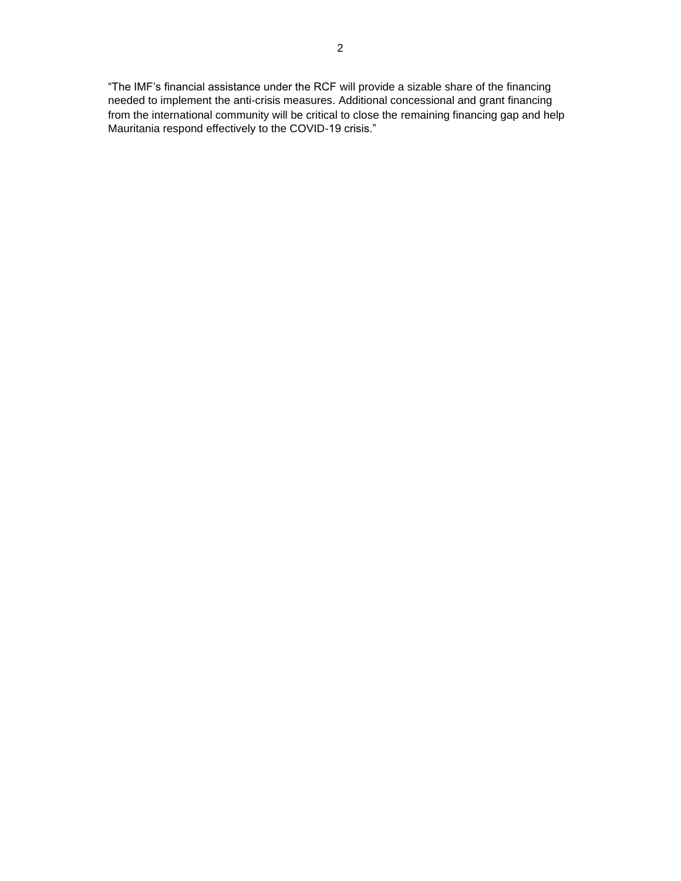"The IMF's financial assistance under the RCF will provide a sizable share of the financing needed to implement the anti-crisis measures. Additional concessional and grant financing from the international community will be critical to close the remaining financing gap and help Mauritania respond effectively to the COVID-19 crisis."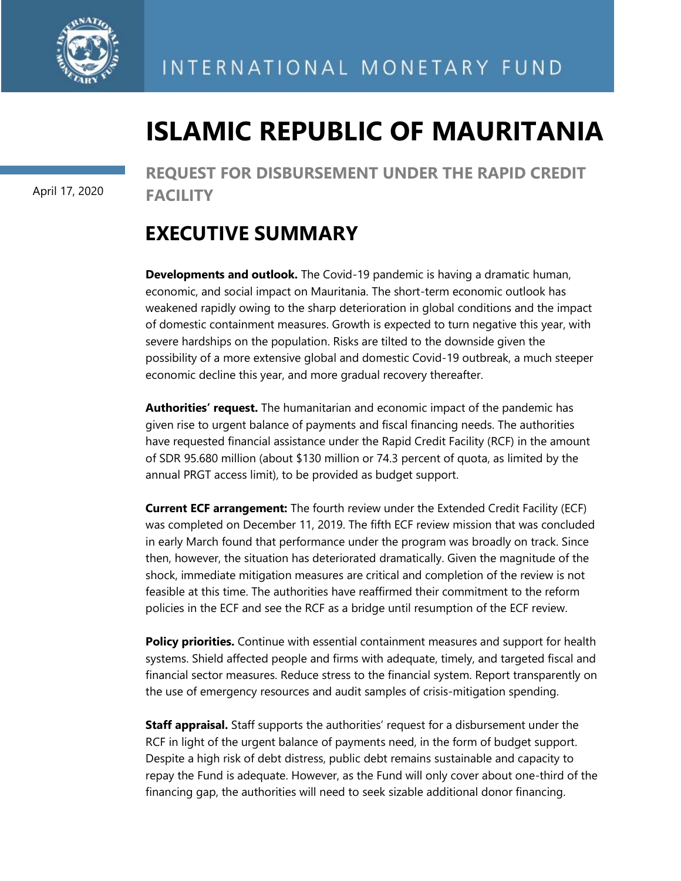

# **ISLAMIC REPUBLIC OF MAURITANIA**

April 17, 2020

**REQUEST FOR DISBURSEMENT UNDER THE RAPID CREDIT FACILITY**

# **EXECUTIVE SUMMARY**

**Developments and outlook.** The Covid-19 pandemic is having a dramatic human, economic, and social impact on Mauritania. The short-term economic outlook has weakened rapidly owing to the sharp deterioration in global conditions and the impact of domestic containment measures. Growth is expected to turn negative this year, with severe hardships on the population. Risks are tilted to the downside given the possibility of a more extensive global and domestic Covid-19 outbreak, a much steeper economic decline this year, and more gradual recovery thereafter.

**Authorities' request.** The humanitarian and economic impact of the pandemic has given rise to urgent balance of payments and fiscal financing needs. The authorities have requested financial assistance under the Rapid Credit Facility (RCF) in the amount of SDR 95.680 million (about \$130 million or 74.3 percent of quota, as limited by the annual PRGT access limit), to be provided as budget support.

**Current ECF arrangement:** The fourth review under the Extended Credit Facility (ECF) was completed on December 11, 2019. The fifth ECF review mission that was concluded in early March found that performance under the program was broadly on track. Since then, however, the situation has deteriorated dramatically. Given the magnitude of the shock, immediate mitigation measures are critical and completion of the review is not feasible at this time. The authorities have reaffirmed their commitment to the reform policies in the ECF and see the RCF as a bridge until resumption of the ECF review.

**Policy priorities.** Continue with essential containment measures and support for health systems. Shield affected people and firms with adequate, timely, and targeted fiscal and financial sector measures. Reduce stress to the financial system. Report transparently on the use of emergency resources and audit samples of crisis-mitigation spending.

**Staff appraisal.** Staff supports the authorities' request for a disbursement under the RCF in light of the urgent balance of payments need, in the form of budget support. Despite a high risk of debt distress, public debt remains sustainable and capacity to repay the Fund is adequate. However, as the Fund will only cover about one-third of the financing gap, the authorities will need to seek sizable additional donor financing.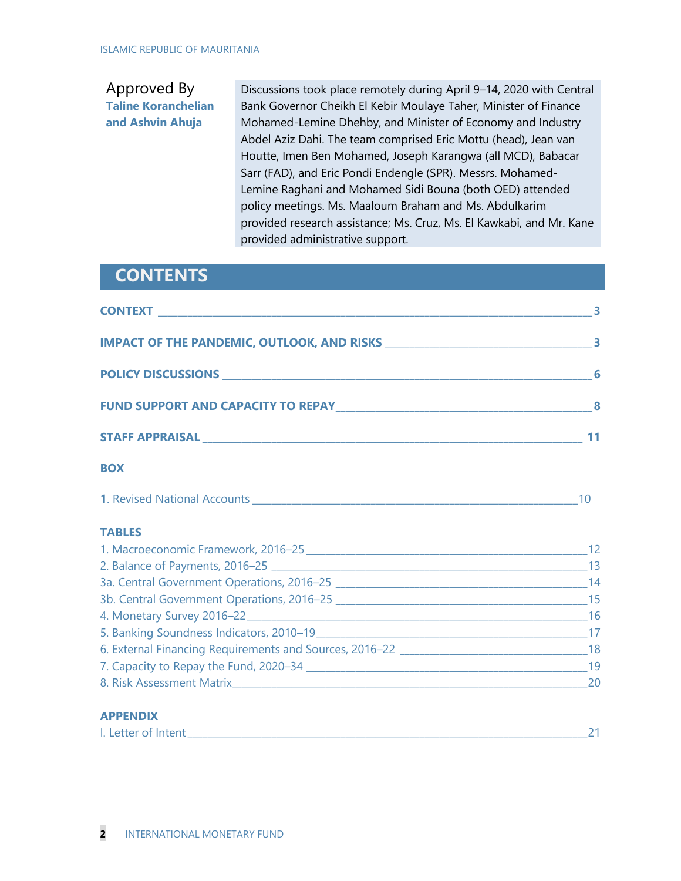# Approved By **Taline Koranchelian and Ashvin Ahuja**

Discussions took place remotely during April 9–14, 2020 with Central Bank Governor Cheikh El Kebir Moulaye Taher, Minister of Finance Mohamed-Lemine Dhehby, and Minister of Economy and Industry Abdel Aziz Dahi. The team comprised Eric Mottu (head), Jean van Houtte, Imen Ben Mohamed, Joseph Karangwa (all MCD), Babacar Sarr (FAD), and Eric Pondi Endengle (SPR). Messrs. Mohamed-Lemine Raghani and Mohamed Sidi Bouna (both OED) attended policy meetings. Ms. Maaloum Braham and Ms. Abdulkarim provided research assistance; Ms. Cruz, Ms. El Kawkabi, and Mr. Kane provided administrative support.

# **CONTENTS**

| <b>BOX</b>    |  |
|---------------|--|
|               |  |
| <b>TABLES</b> |  |
|               |  |
|               |  |
|               |  |
|               |  |
|               |  |
|               |  |
|               |  |
|               |  |
|               |  |

## **APPENDIX**

| I. Letter of Intent |
|---------------------|
|---------------------|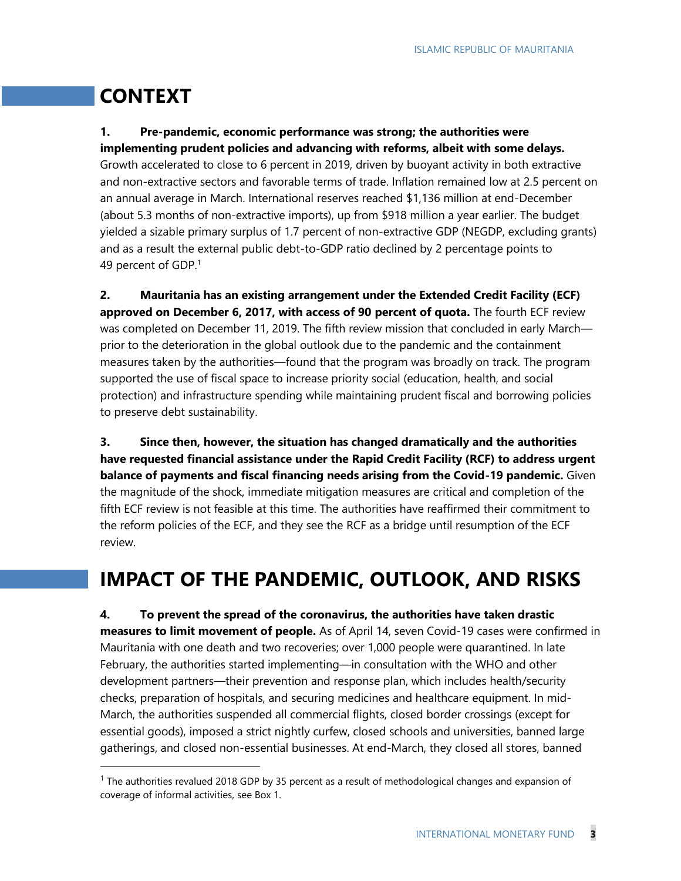# **CONTEXT**

# **1. Pre-pandemic, economic performance was strong; the authorities were implementing prudent policies and advancing with reforms, albeit with some delays.**

Growth accelerated to close to 6 percent in 2019, driven by buoyant activity in both extractive and non-extractive sectors and favorable terms of trade. Inflation remained low at 2.5 percent on an annual average in March. International reserves reached \$1,136 million at end-December (about 5.3 months of non-extractive imports), up from \$918 million a year earlier. The budget yielded a sizable primary surplus of 1.7 percent of non-extractive GDP (NEGDP, excluding grants) and as a result the external public debt-to-GDP ratio declined by 2 percentage points to 49 percent of GDP.<sup>1</sup>

**2. Mauritania has an existing arrangement under the Extended Credit Facility (ECF) approved on December 6, 2017, with access of 90 percent of quota.** The fourth ECF review was completed on December 11, 2019. The fifth review mission that concluded in early March prior to the deterioration in the global outlook due to the pandemic and the containment measures taken by the authorities—found that the program was broadly on track. The program supported the use of fiscal space to increase priority social (education, health, and social protection) and infrastructure spending while maintaining prudent fiscal and borrowing policies to preserve debt sustainability.

**3. Since then, however, the situation has changed dramatically and the authorities have requested financial assistance under the Rapid Credit Facility (RCF) to address urgent balance of payments and fiscal financing needs arising from the Covid-19 pandemic.** Given the magnitude of the shock, immediate mitigation measures are critical and completion of the fifth ECF review is not feasible at this time. The authorities have reaffirmed their commitment to the reform policies of the ECF, and they see the RCF as a bridge until resumption of the ECF review.

# **IMPACT OF THE PANDEMIC, OUTLOOK, AND RISKS**

**4. To prevent the spread of the coronavirus, the authorities have taken drastic measures to limit movement of people.** As of April 14, seven Covid-19 cases were confirmed in Mauritania with one death and two recoveries; over 1,000 people were quarantined. In late February, the authorities started implementing—in consultation with the WHO and other development partners—their prevention and response plan, which includes health/security checks, preparation of hospitals, and securing medicines and healthcare equipment. In mid-March, the authorities suspended all commercial flights, closed border crossings (except for essential goods), imposed a strict nightly curfew, closed schools and universities, banned large gatherings, and closed non-essential businesses. At end-March, they closed all stores, banned

 $1$  The authorities revalued 2018 GDP by 35 percent as a result of methodological changes and expansion of coverage of informal activities, see Box 1.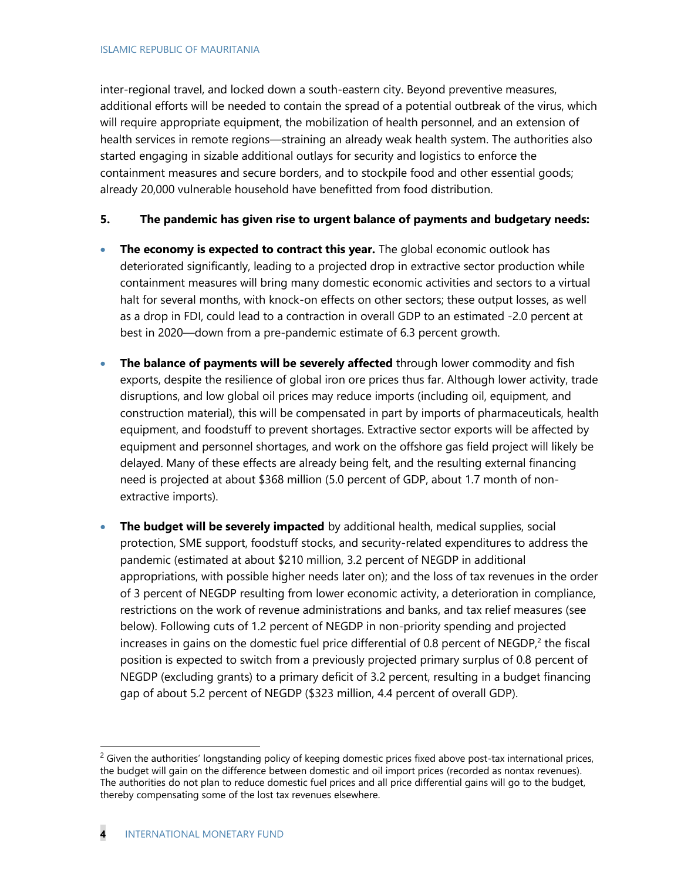inter-regional travel, and locked down a south-eastern city. Beyond preventive measures, additional efforts will be needed to contain the spread of a potential outbreak of the virus, which will require appropriate equipment, the mobilization of health personnel, and an extension of health services in remote regions—straining an already weak health system. The authorities also started engaging in sizable additional outlays for security and logistics to enforce the containment measures and secure borders, and to stockpile food and other essential goods; already 20,000 vulnerable household have benefitted from food distribution.

## **5. The pandemic has given rise to urgent balance of payments and budgetary needs:**

- **The economy is expected to contract this year.** The global economic outlook has deteriorated significantly, leading to a projected drop in extractive sector production while containment measures will bring many domestic economic activities and sectors to a virtual halt for several months, with knock-on effects on other sectors; these output losses, as well as a drop in FDI, could lead to a contraction in overall GDP to an estimated -2.0 percent at best in 2020—down from a pre-pandemic estimate of 6.3 percent growth.
- **The balance of payments will be severely affected** through lower commodity and fish exports, despite the resilience of global iron ore prices thus far. Although lower activity, trade disruptions, and low global oil prices may reduce imports (including oil, equipment, and construction material), this will be compensated in part by imports of pharmaceuticals, health equipment, and foodstuff to prevent shortages. Extractive sector exports will be affected by equipment and personnel shortages, and work on the offshore gas field project will likely be delayed. Many of these effects are already being felt, and the resulting external financing need is projected at about \$368 million (5.0 percent of GDP, about 1.7 month of nonextractive imports).
- **The budget will be severely impacted** by additional health, medical supplies, social protection, SME support, foodstuff stocks, and security-related expenditures to address the pandemic (estimated at about \$210 million, 3.2 percent of NEGDP in additional appropriations, with possible higher needs later on); and the loss of tax revenues in the order of 3 percent of NEGDP resulting from lower economic activity, a deterioration in compliance, restrictions on the work of revenue administrations and banks, and tax relief measures (see below). Following cuts of 1.2 percent of NEGDP in non-priority spending and projected increases in gains on the domestic fuel price differential of 0.8 percent of  $NEGDP<sub>i</sub><sup>2</sup>$  the fiscal position is expected to switch from a previously projected primary surplus of 0.8 percent of NEGDP (excluding grants) to a primary deficit of 3.2 percent, resulting in a budget financing gap of about 5.2 percent of NEGDP (\$323 million, 4.4 percent of overall GDP).

 $2$  Given the authorities' longstanding policy of keeping domestic prices fixed above post-tax international prices, the budget will gain on the difference between domestic and oil import prices (recorded as nontax revenues). The authorities do not plan to reduce domestic fuel prices and all price differential gains will go to the budget, thereby compensating some of the lost tax revenues elsewhere.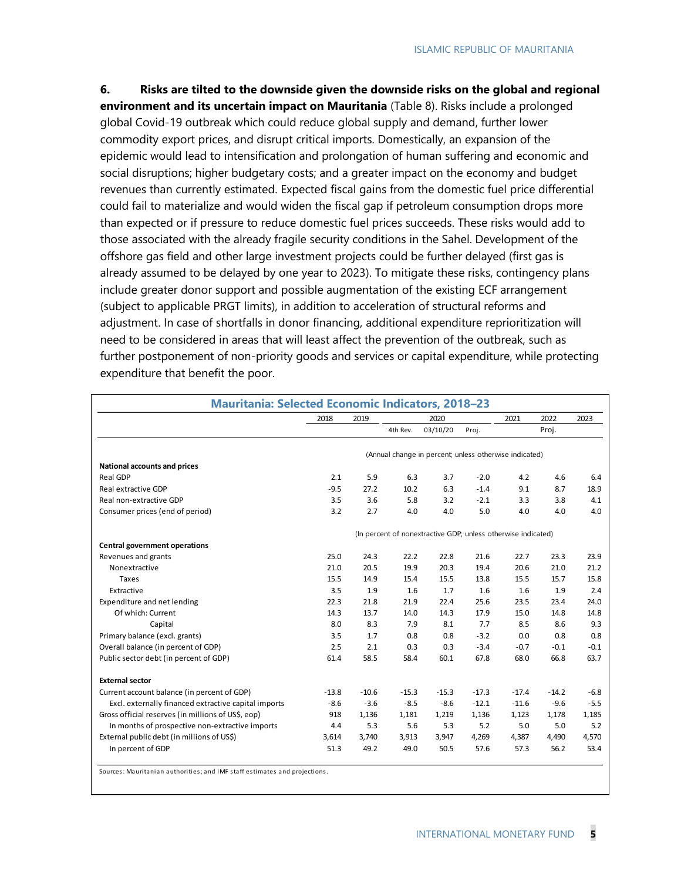**6. Risks are tilted to the downside given the downside risks on the global and regional environment and its uncertain impact on Mauritania** (Table 8). Risks include a prolonged global Covid-19 outbreak which could reduce global supply and demand, further lower commodity export prices, and disrupt critical imports. Domestically, an expansion of the epidemic would lead to intensification and prolongation of human suffering and economic and social disruptions; higher budgetary costs; and a greater impact on the economy and budget revenues than currently estimated. Expected fiscal gains from the domestic fuel price differential could fail to materialize and would widen the fiscal gap if petroleum consumption drops more than expected or if pressure to reduce domestic fuel prices succeeds. These risks would add to those associated with the already fragile security conditions in the Sahel. Development of the offshore gas field and other large investment projects could be further delayed (first gas is already assumed to be delayed by one year to 2023). To mitigate these risks, contingency plans include greater donor support and possible augmentation of the existing ECF arrangement (subject to applicable PRGT limits), in addition to acceleration of structural reforms and adjustment. In case of shortfalls in donor financing, additional expenditure reprioritization will need to be considered in areas that will least affect the prevention of the outbreak, such as further postponement of non-priority goods and services or capital expenditure, while protecting expenditure that benefit the poor.

|                                                      | 2018    | 2019    |          | 2020                                                          |         | 2021    | 2022    | 2023   |
|------------------------------------------------------|---------|---------|----------|---------------------------------------------------------------|---------|---------|---------|--------|
|                                                      |         |         | 4th Rev. | 03/10/20                                                      | Proj.   |         | Proj.   |        |
|                                                      |         |         |          | (Annual change in percent; unless otherwise indicated)        |         |         |         |        |
| National accounts and prices                         |         |         |          |                                                               |         |         |         |        |
| Real GDP                                             | 2.1     | 5.9     | 6.3      | 3.7                                                           | $-2.0$  | 4.2     | 4.6     | 6.4    |
| Real extractive GDP                                  | $-9.5$  | 27.2    | 10.2     | 6.3                                                           | $-1.4$  | 9.1     | 8.7     | 18.9   |
| Real non-extractive GDP                              | 3.5     | 3.6     | 5.8      | 3.2                                                           | $-2.1$  | 3.3     | 3.8     | 4.1    |
| Consumer prices (end of period)                      | 3.2     | 2.7     | 4.0      | 4.0                                                           | 5.0     | 4.0     | 4.0     | 4.0    |
|                                                      |         |         |          | (In percent of nonextractive GDP; unless otherwise indicated) |         |         |         |        |
| <b>Central government operations</b>                 |         |         |          |                                                               |         |         |         |        |
| Revenues and grants                                  | 25.0    | 24.3    | 22.2     | 22.8                                                          | 21.6    | 22.7    | 23.3    | 23.9   |
| Nonextractive                                        | 21.0    | 20.5    | 19.9     | 20.3                                                          | 19.4    | 20.6    | 21.0    | 21.2   |
| Taxes                                                | 15.5    | 14.9    | 15.4     | 15.5                                                          | 13.8    | 15.5    | 15.7    | 15.8   |
| Extractive                                           | 3.5     | 1.9     | 1.6      | 1.7                                                           | 1.6     | 1.6     | 1.9     | 2.4    |
| Expenditure and net lending                          | 22.3    | 21.8    | 21.9     | 22.4                                                          | 25.6    | 23.5    | 23.4    | 24.0   |
| Of which: Current                                    | 14.3    | 13.7    | 14.0     | 14.3                                                          | 17.9    | 15.0    | 14.8    | 14.8   |
| Capital                                              | 8.0     | 8.3     | 7.9      | 8.1                                                           | 7.7     | 8.5     | 8.6     | 9.3    |
| Primary balance (excl. grants)                       | 3.5     | 1.7     | 0.8      | 0.8                                                           | $-3.2$  | 0.0     | 0.8     | 0.8    |
| Overall balance (in percent of GDP)                  | 2.5     | 2.1     | 0.3      | 0.3                                                           | $-3.4$  | $-0.7$  | $-0.1$  | $-0.1$ |
| Public sector debt (in percent of GDP)               | 61.4    | 58.5    | 58.4     | 60.1                                                          | 67.8    | 68.0    | 66.8    | 63.7   |
| <b>External sector</b>                               |         |         |          |                                                               |         |         |         |        |
| Current account balance (in percent of GDP)          | $-13.8$ | $-10.6$ | $-15.3$  | $-15.3$                                                       | $-17.3$ | $-17.4$ | $-14.2$ | $-6.8$ |
| Excl. externally financed extractive capital imports | $-8.6$  | $-3.6$  | $-8.5$   | $-8.6$                                                        | $-12.1$ | $-11.6$ | $-9.6$  | $-5.5$ |
| Gross official reserves (in millions of US\$, eop)   | 918     | 1,136   | 1,181    | 1,219                                                         | 1,136   | 1,123   | 1,178   | 1,185  |
| In months of prospective non-extractive imports      | 4.4     | 5.3     | 5.6      | 5.3                                                           | 5.2     | 5.0     | 5.0     | 5.2    |
| External public debt (in millions of US\$)           | 3,614   | 3,740   | 3,913    | 3,947                                                         | 4,269   | 4,387   | 4,490   | 4,570  |
| In percent of GDP                                    | 51.3    | 49.2    | 49.0     | 50.5                                                          | 57.6    | 57.3    | 56.2    | 53.4   |

Sources: Mauritanian authorities; and IMF staff estimates and projections.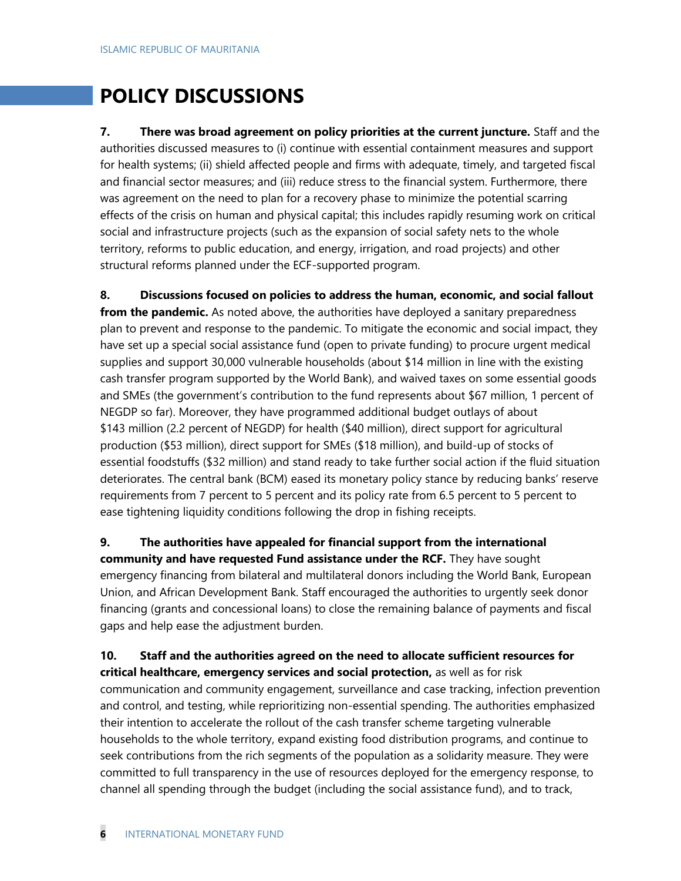# **POLICY DISCUSSIONS**

**7. There was broad agreement on policy priorities at the current juncture.** Staff and the authorities discussed measures to (i) continue with essential containment measures and support for health systems; (ii) shield affected people and firms with adequate, timely, and targeted fiscal and financial sector measures; and (iii) reduce stress to the financial system. Furthermore, there was agreement on the need to plan for a recovery phase to minimize the potential scarring effects of the crisis on human and physical capital; this includes rapidly resuming work on critical social and infrastructure projects (such as the expansion of social safety nets to the whole territory, reforms to public education, and energy, irrigation, and road projects) and other structural reforms planned under the ECF-supported program.

**8. Discussions focused on policies to address the human, economic, and social fallout from the pandemic.** As noted above, the authorities have deployed a sanitary preparedness plan to prevent and response to the pandemic. To mitigate the economic and social impact, they have set up a special social assistance fund (open to private funding) to procure urgent medical supplies and support 30,000 vulnerable households (about \$14 million in line with the existing cash transfer program supported by the World Bank), and waived taxes on some essential goods and SMEs (the government's contribution to the fund represents about \$67 million, 1 percent of NEGDP so far). Moreover, they have programmed additional budget outlays of about \$143 million (2.2 percent of NEGDP) for health (\$40 million), direct support for agricultural production (\$53 million), direct support for SMEs (\$18 million), and build-up of stocks of essential foodstuffs (\$32 million) and stand ready to take further social action if the fluid situation deteriorates. The central bank (BCM) eased its monetary policy stance by reducing banks' reserve requirements from 7 percent to 5 percent and its policy rate from 6.5 percent to 5 percent to ease tightening liquidity conditions following the drop in fishing receipts.

**9. The authorities have appealed for financial support from the international community and have requested Fund assistance under the RCF.** They have sought emergency financing from bilateral and multilateral donors including the World Bank, European Union, and African Development Bank. Staff encouraged the authorities to urgently seek donor financing (grants and concessional loans) to close the remaining balance of payments and fiscal gaps and help ease the adjustment burden.

# **10. Staff and the authorities agreed on the need to allocate sufficient resources for critical healthcare, emergency services and social protection,** as well as for risk

communication and community engagement, surveillance and case tracking, infection prevention and control, and testing, while reprioritizing non-essential spending. The authorities emphasized their intention to accelerate the rollout of the cash transfer scheme targeting vulnerable households to the whole territory, expand existing food distribution programs, and continue to seek contributions from the rich segments of the population as a solidarity measure. They were committed to full transparency in the use of resources deployed for the emergency response, to channel all spending through the budget (including the social assistance fund), and to track,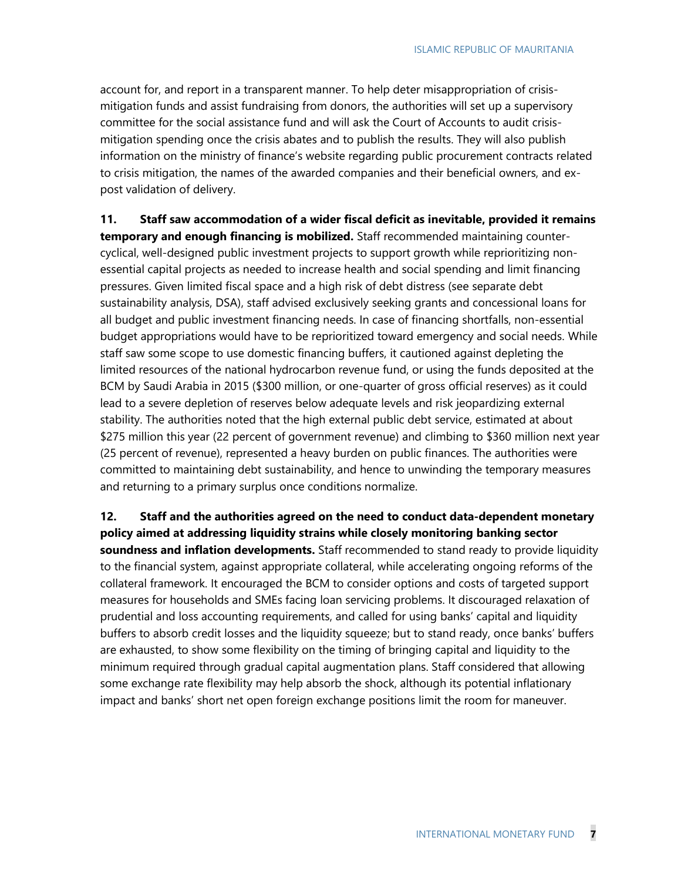account for, and report in a transparent manner. To help deter misappropriation of crisismitigation funds and assist fundraising from donors, the authorities will set up a supervisory committee for the social assistance fund and will ask the Court of Accounts to audit crisismitigation spending once the crisis abates and to publish the results. They will also publish information on the ministry of finance's website regarding public procurement contracts related to crisis mitigation, the names of the awarded companies and their beneficial owners, and expost validation of delivery.

**11. Staff saw accommodation of a wider fiscal deficit as inevitable, provided it remains temporary and enough financing is mobilized.** Staff recommended maintaining countercyclical, well-designed public investment projects to support growth while reprioritizing nonessential capital projects as needed to increase health and social spending and limit financing pressures. Given limited fiscal space and a high risk of debt distress (see separate debt sustainability analysis, DSA), staff advised exclusively seeking grants and concessional loans for all budget and public investment financing needs. In case of financing shortfalls, non-essential budget appropriations would have to be reprioritized toward emergency and social needs. While staff saw some scope to use domestic financing buffers, it cautioned against depleting the limited resources of the national hydrocarbon revenue fund, or using the funds deposited at the BCM by Saudi Arabia in 2015 (\$300 million, or one-quarter of gross official reserves) as it could lead to a severe depletion of reserves below adequate levels and risk jeopardizing external stability. The authorities noted that the high external public debt service, estimated at about \$275 million this year (22 percent of government revenue) and climbing to \$360 million next year (25 percent of revenue), represented a heavy burden on public finances. The authorities were committed to maintaining debt sustainability, and hence to unwinding the temporary measures and returning to a primary surplus once conditions normalize.

**12. Staff and the authorities agreed on the need to conduct data-dependent monetary policy aimed at addressing liquidity strains while closely monitoring banking sector soundness and inflation developments.** Staff recommended to stand ready to provide liquidity to the financial system, against appropriate collateral, while accelerating ongoing reforms of the collateral framework. It encouraged the BCM to consider options and costs of targeted support measures for households and SMEs facing loan servicing problems. It discouraged relaxation of prudential and loss accounting requirements, and called for using banks' capital and liquidity buffers to absorb credit losses and the liquidity squeeze; but to stand ready, once banks' buffers are exhausted, to show some flexibility on the timing of bringing capital and liquidity to the minimum required through gradual capital augmentation plans. Staff considered that allowing some exchange rate flexibility may help absorb the shock, although its potential inflationary impact and banks' short net open foreign exchange positions limit the room for maneuver.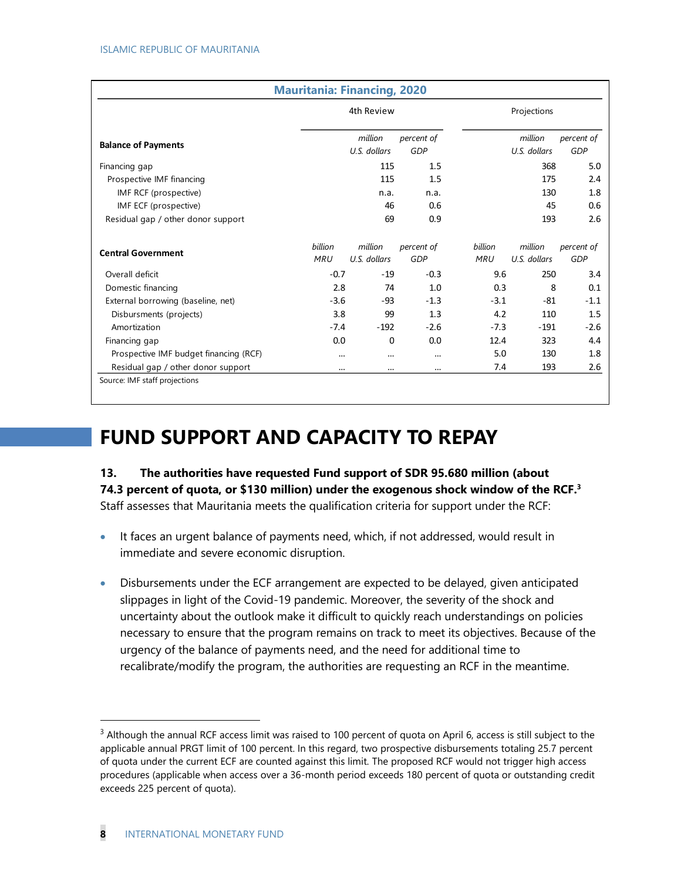|                                        | <b>Mauritania: Financing, 2020</b> |                         |                          |                              |                         |                          |
|----------------------------------------|------------------------------------|-------------------------|--------------------------|------------------------------|-------------------------|--------------------------|
|                                        |                                    | 4th Review              |                          |                              | Projections             |                          |
| <b>Balance of Payments</b>             |                                    | million<br>U.S. dollars | percent of<br>GDP        |                              | million<br>U.S. dollars | percent of<br>GDP        |
| Financing gap                          |                                    | 115                     | 1.5                      |                              | 368                     | 5.0                      |
| Prospective IMF financing              |                                    | 115                     | 1.5                      |                              | 175                     | 2.4                      |
| IMF RCF (prospective)                  |                                    | n.a.                    | n.a.                     |                              | 130                     | 1.8                      |
| IMF ECF (prospective)                  |                                    | 46                      | 0.6                      |                              | 45                      | 0.6                      |
| Residual gap / other donor support     |                                    | 69                      | 0.9                      |                              | 193                     | 2.6                      |
| <b>Central Government</b>              | billion<br><b>MRU</b>              | million<br>U.S. dollars | percent of<br><b>GDP</b> | <b>billion</b><br><b>MRU</b> | million<br>U.S. dollars | percent of<br><b>GDP</b> |
| Overall deficit                        | $-0.7$                             | $-19$                   | $-0.3$                   | 9.6                          | 250                     | 3.4                      |
| Domestic financing                     | 2.8                                | 74                      | 1.0                      | 0.3                          | 8                       | 0.1                      |
| External borrowing (baseline, net)     | $-3.6$                             | -93                     | $-1.3$                   | $-3.1$                       | -81                     | $-1.1$                   |
| Disbursments (projects)                | 3.8                                | 99                      | 1.3                      | 4.2                          | 110                     | 1.5                      |
| Amortization                           | $-7.4$                             | $-192$                  | $-2.6$                   | $-7.3$                       | $-191$                  | $-2.6$                   |
| Financing gap                          | 0.0                                | 0                       | 0.0                      | 12.4                         | 323                     | 4.4                      |
| Prospective IMF budget financing (RCF) |                                    |                         | $\cdots$                 | 5.0                          | 130                     | 1.8                      |
| Residual gap / other donor support     | $\cdots$                           |                         | $\cdots$                 | 7.4                          | 193                     | 2.6                      |
| Source: IMF staff projections          |                                    |                         |                          |                              |                         |                          |

# **FUND SUPPORT AND CAPACITY TO REPAY**

**13. The authorities have requested Fund support of SDR 95.680 million (about 74.3 percent of quota, or \$130 million) under the exogenous shock window of the RCF.<sup>3</sup>** Staff assesses that Mauritania meets the qualification criteria for support under the RCF:

- It faces an urgent balance of payments need, which, if not addressed, would result in immediate and severe economic disruption.
- Disbursements under the ECF arrangement are expected to be delayed, given anticipated slippages in light of the Covid-19 pandemic. Moreover, the severity of the shock and uncertainty about the outlook make it difficult to quickly reach understandings on policies necessary to ensure that the program remains on track to meet its objectives. Because of the urgency of the balance of payments need, and the need for additional time to recalibrate/modify the program, the authorities are requesting an RCF in the meantime.

<sup>&</sup>lt;sup>3</sup> Although the annual RCF access limit was raised to 100 percent of quota on April 6, access is still subject to the applicable annual PRGT limit of 100 percent. In this regard, two prospective disbursements totaling 25.7 percent of quota under the current ECF are counted against this limit. The proposed RCF would not trigger high access procedures (applicable when access over a 36-month period exceeds 180 percent of quota or outstanding credit exceeds 225 percent of quota).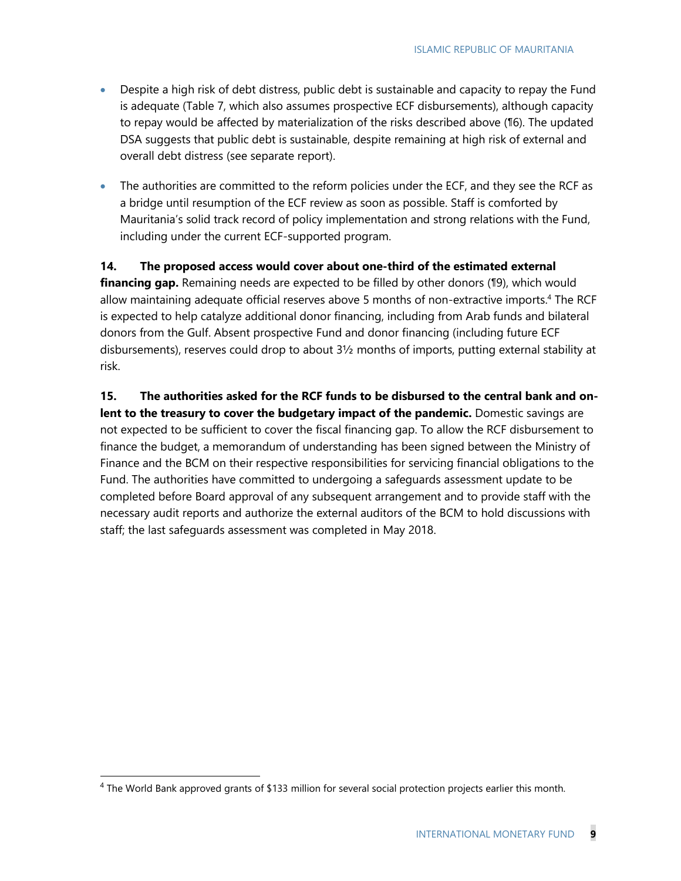- Despite a high risk of debt distress, public debt is sustainable and capacity to repay the Fund is adequate (Table 7, which also assumes prospective ECF disbursements), although capacity to repay would be affected by materialization of the risks described above (¶6). The updated DSA suggests that public debt is sustainable, despite remaining at high risk of external and overall debt distress (see separate report).
- The authorities are committed to the reform policies under the ECF, and they see the RCF as a bridge until resumption of the ECF review as soon as possible. Staff is comforted by Mauritania's solid track record of policy implementation and strong relations with the Fund, including under the current ECF-supported program.

**14. The proposed access would cover about one-third of the estimated external** financing gap. Remaining needs are expected to be filled by other donors (19), which would allow maintaining adequate official reserves above 5 months of non-extractive imports. <sup>4</sup> The RCF is expected to help catalyze additional donor financing, including from Arab funds and bilateral donors from the Gulf. Absent prospective Fund and donor financing (including future ECF disbursements), reserves could drop to about 3½ months of imports, putting external stability at risk.

**15. The authorities asked for the RCF funds to be disbursed to the central bank and onlent to the treasury to cover the budgetary impact of the pandemic.** Domestic savings are not expected to be sufficient to cover the fiscal financing gap. To allow the RCF disbursement to finance the budget, a memorandum of understanding has been signed between the Ministry of Finance and the BCM on their respective responsibilities for servicing financial obligations to the Fund. The authorities have committed to undergoing a safeguards assessment update to be completed before Board approval of any subsequent arrangement and to provide staff with the necessary audit reports and authorize the external auditors of the BCM to hold discussions with staff; the last safeguards assessment was completed in May 2018.

 $4$  The World Bank approved grants of \$133 million for several social protection projects earlier this month.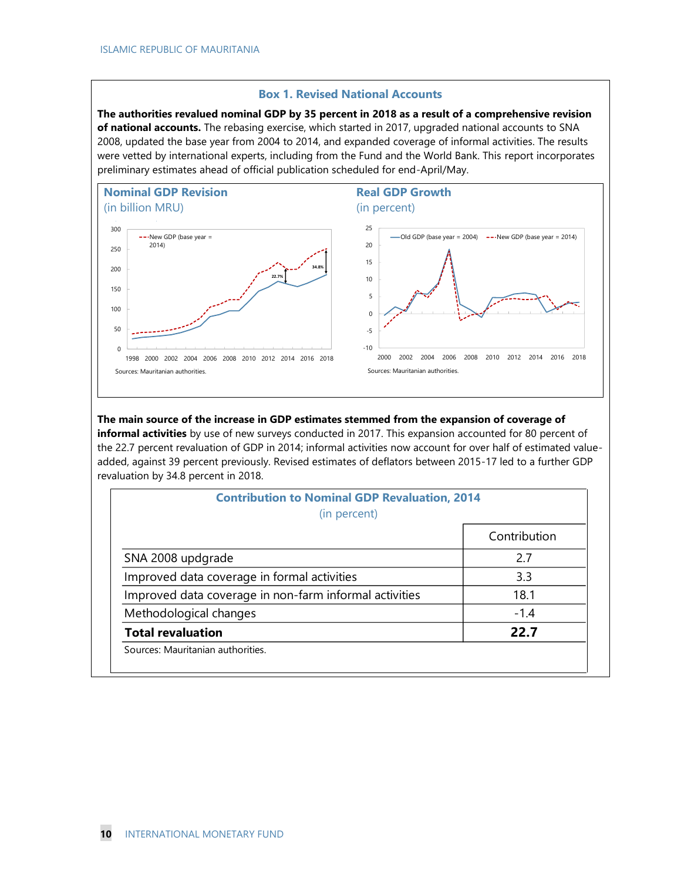#### **Box 1. Revised National Accounts**

**The authorities revalued nominal GDP by 35 percent in 2018 as a result of a comprehensive revision of national accounts.** The rebasing exercise, which started in 2017, upgraded national accounts to SNA 2008, updated the base year from 2004 to 2014, and expanded coverage of informal activities. The results were vetted by international experts, including from the Fund and the World Bank. This report incorporates preliminary estimates ahead of official publication scheduled for end-April/May.



#### **The main source of the increase in GDP estimates stemmed from the expansion of coverage of**

**informal activities** by use of new surveys conducted in 2017. This expansion accounted for 80 percent of the 22.7 percent revaluation of GDP in 2014; informal activities now account for over half of estimated valueadded, against 39 percent previously. Revised estimates of deflators between 2015-17 led to a further GDP revaluation by 34.8 percent in 2018.

| <b>Contribution to Nominal GDP Revaluation, 2014</b><br>(in percent) |              |
|----------------------------------------------------------------------|--------------|
|                                                                      | Contribution |
| SNA 2008 updgrade                                                    | 2.7          |
| Improved data coverage in formal activities                          | 3.3          |
| Improved data coverage in non-farm informal activities               | 18.1         |
| Methodological changes                                               | $-1.4$       |
| <b>Total revaluation</b>                                             | 22.7         |
| Sources: Mauritanian authorities.                                    |              |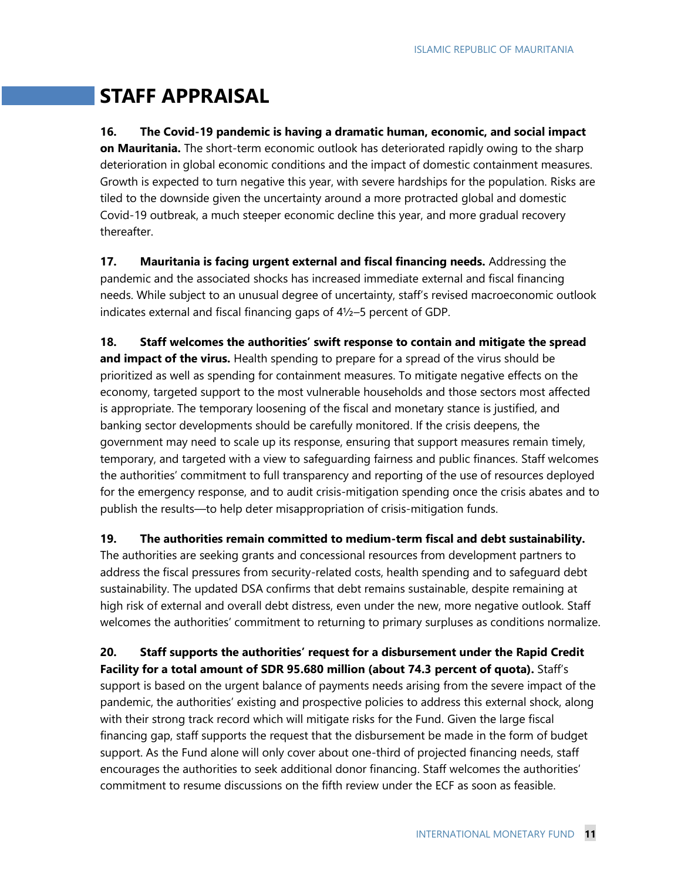# **STAFF APPRAISAL**

**16. The Covid-19 pandemic is having a dramatic human, economic, and social impact on Mauritania.** The short-term economic outlook has deteriorated rapidly owing to the sharp deterioration in global economic conditions and the impact of domestic containment measures. Growth is expected to turn negative this year, with severe hardships for the population. Risks are tiled to the downside given the uncertainty around a more protracted global and domestic Covid-19 outbreak, a much steeper economic decline this year, and more gradual recovery thereafter.

**17. Mauritania is facing urgent external and fiscal financing needs.** Addressing the pandemic and the associated shocks has increased immediate external and fiscal financing needs. While subject to an unusual degree of uncertainty, staff's revised macroeconomic outlook indicates external and fiscal financing gaps of 4½–5 percent of GDP.

**18. Staff welcomes the authorities' swift response to contain and mitigate the spread** and impact of the virus. Health spending to prepare for a spread of the virus should be prioritized as well as spending for containment measures. To mitigate negative effects on the economy, targeted support to the most vulnerable households and those sectors most affected is appropriate. The temporary loosening of the fiscal and monetary stance is justified, and banking sector developments should be carefully monitored. If the crisis deepens, the government may need to scale up its response, ensuring that support measures remain timely, temporary, and targeted with a view to safeguarding fairness and public finances. Staff welcomes the authorities' commitment to full transparency and reporting of the use of resources deployed for the emergency response, and to audit crisis-mitigation spending once the crisis abates and to publish the results—to help deter misappropriation of crisis-mitigation funds.

**19. The authorities remain committed to medium-term fiscal and debt sustainability.**

The authorities are seeking grants and concessional resources from development partners to address the fiscal pressures from security-related costs, health spending and to safeguard debt sustainability. The updated DSA confirms that debt remains sustainable, despite remaining at high risk of external and overall debt distress, even under the new, more negative outlook. Staff welcomes the authorities' commitment to returning to primary surpluses as conditions normalize.

**20. Staff supports the authorities' request for a disbursement under the Rapid Credit Facility for a total amount of SDR 95.680 million (about 74.3 percent of quota).** Staff's

support is based on the urgent balance of payments needs arising from the severe impact of the pandemic, the authorities' existing and prospective policies to address this external shock, along with their strong track record which will mitigate risks for the Fund. Given the large fiscal financing gap, staff supports the request that the disbursement be made in the form of budget support. As the Fund alone will only cover about one-third of projected financing needs, staff encourages the authorities to seek additional donor financing. Staff welcomes the authorities' commitment to resume discussions on the fifth review under the ECF as soon as feasible.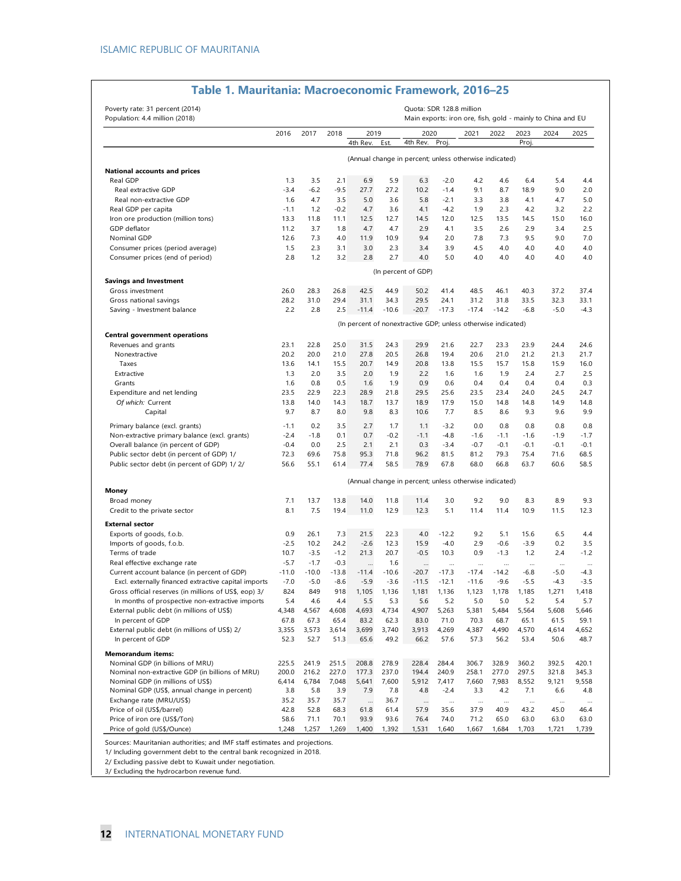| Poverty rate: 31 percent (2014)<br>Population: 4.4 million (2018) |             |             |             |                 |                 |                                                               | Quota: SDR 128.8 million |                 |                 |                | Main exports: iron ore, fish, gold - mainly to China and EU |                |
|-------------------------------------------------------------------|-------------|-------------|-------------|-----------------|-----------------|---------------------------------------------------------------|--------------------------|-----------------|-----------------|----------------|-------------------------------------------------------------|----------------|
|                                                                   | 2016        | 2017        | 2018        | 2019            |                 | 2020                                                          |                          | 2021            | 2022            | 2023           | 2024                                                        | 2025           |
|                                                                   |             |             |             | 4th Rev.        | Est.            | 4th Rev.                                                      | Proj.                    |                 |                 | Proj.          |                                                             |                |
|                                                                   |             |             |             |                 |                 | (Annual change in percent; unless otherwise indicated)        |                          |                 |                 |                |                                                             |                |
| National accounts and prices                                      |             |             |             |                 |                 |                                                               |                          |                 |                 |                |                                                             |                |
| Real GDP                                                          | 1.3         | 3.5         | 2.1         | 6.9             | 5.9             | 6.3                                                           | $-2.0$                   | 4.2             | 4.6             | 6.4            | 5.4                                                         | 4.4            |
| Real extractive GDP                                               | $-3.4$      | $-6.2$      | $-9.5$      | 27.7            | 27.2            | 10.2                                                          | $-1.4$                   | 9.1             | 8.7             | 18.9           | 9.0                                                         | 2.0            |
| Real non-extractive GDP                                           | 1.6         | 4.7         | 3.5         | 5.0             | 3.6             | 5.8                                                           | $-2.1$                   | 3.3             | 3.8             | 4.1            | 4.7                                                         | 5.0            |
| Real GDP per capita                                               | $-1.1$      | 1.2         | $-0.2$      | 4.7             | 3.6             | 4.1                                                           | $-4.2$                   | 1.9             | 2.3             | 4.2            | 3.2                                                         | 2.2            |
| Iron ore production (million tons)                                | 13.3        | 11.8        | 11.1        | 12.5            | 12.7            | 14.5                                                          | 12.0                     | 12.5            | 13.5            | 14.5           | 15.0                                                        | 16.0           |
| GDP deflator                                                      | 11.2        | 3.7         | 1.8         | 4.7             | 4.7             | 2.9                                                           | 4.1                      | 3.5             | 2.6             | 2.9            | 3.4                                                         | 2.5            |
| Nominal GDP                                                       | 12.6        | 7.3         | 4.0         | 11.9            | 10.9            | 9.4                                                           | 2.0                      | 7.8             | 7.3             | 9.5            | 9.0                                                         | 7.0            |
| Consumer prices (period average)                                  | 1.5         | 2.3         | 3.1         | 3.0             | 2.3             | 3.4                                                           | 3.9                      | 4.5             | 4.0             | 4.0            | 4.0                                                         | 4.0            |
| Consumer prices (end of period)                                   | 2.8         | 1.2         | 3.2         | 2.8             | 2.7             | 4.0                                                           | 5.0                      | 4.0             | 4.0             | 4.0            | 4.0                                                         | 4.0            |
|                                                                   |             |             |             |                 |                 | (In percent of GDP)                                           |                          |                 |                 |                |                                                             |                |
| <b>Savings and Investment</b>                                     |             |             |             |                 |                 |                                                               |                          |                 |                 |                |                                                             |                |
| Gross investment                                                  | 26.0        | 28.3        | 26.8        | 42.5            | 44.9            | 50.2                                                          | 41.4                     | 48.5            | 46.1            | 40.3           | 37.2                                                        | 37.4           |
| Gross national savings<br>Saving - Investment balance             | 28.2<br>2.2 | 31.0<br>2.8 | 29.4<br>2.5 | 31.1<br>$-11.4$ | 34.3<br>$-10.6$ | 29.5<br>$-20.7$                                               | 24.1<br>$-17.3$          | 31.2<br>$-17.4$ | 31.8<br>$-14.2$ | 33.5<br>$-6.8$ | 32.3<br>$-5.0$                                              | 33.1<br>$-4.3$ |
|                                                                   |             |             |             |                 |                 |                                                               |                          |                 |                 |                |                                                             |                |
| <b>Central government operations</b>                              |             |             |             |                 |                 | (In percent of nonextractive GDP; unless otherwise indicated) |                          |                 |                 |                |                                                             |                |
| Revenues and grants                                               | 23.1        | 22.8        | 25.0        | 31.5            | 24.3            | 29.9                                                          | 21.6                     | 22.7            | 23.3            | 23.9           | 24.4                                                        | 24.6           |
| Nonextractive                                                     | 20.2        | 20.0        | 21.0        | 27.8            | 20.5            | 26.8                                                          | 19.4                     | 20.6            | 21.0            | 21.2           | 21.3                                                        | 21.7           |
| Taxes                                                             | 13.6        | 14.1        | 15.5        | 20.7            | 14.9            | 20.8                                                          | 13.8                     | 15.5            | 15.7            | 15.8           | 15.9                                                        | 16.0           |
| Extractive                                                        | 1.3         | 2.0         | 3.5         | 2.0             | 1.9             | 2.2                                                           | 1.6                      | 1.6             | 1.9             | 2.4            | 2.7                                                         | 2.5            |
| Grants                                                            | 1.6         | 0.8         | 0.5         | 1.6             | 1.9             | 0.9                                                           | 0.6                      | 0.4             | 0.4             | 0.4            | 0.4                                                         | 0.3            |
| Expenditure and net lending                                       | 23.5        | 22.9        | 22.3        | 28.9            | 21.8            | 29.5                                                          | 25.6                     | 23.5            | 23.4            | 24.0           | 24.5                                                        | 24.7           |
| Of which: Current                                                 | 13.8        | 14.0        | 14.3        | 18.7            | 13.7            | 18.9                                                          | 17.9                     | 15.0            | 14.8            | 14.8           | 14.9                                                        | 14.8           |
| Capital                                                           | 9.7         | 8.7         | 8.0         | 9.8             | 8.3             | 10.6                                                          | 7.7                      | 8.5             | 8.6             | 9.3            | 9.6                                                         | 9.9            |
| Primary balance (excl. grants)                                    | $-1.1$      | 0.2         | 3.5         | 2.7             | 1.7             | 1.1                                                           | $-3.2$                   | 0.0             | 0.8             | 0.8            | 0.8                                                         | 0.8            |
| Non-extractive primary balance (excl. grants)                     | $-2.4$      | $-1.8$      | 0.1         | 0.7             | $-0.2$          | $-1.1$                                                        | $-4.8$                   | $-1.6$          | $-1.1$          | $-1.6$         | $-1.9$                                                      | $-1.7$         |
| Overall balance (in percent of GDP)                               | $-0.4$      | 0.0         | 2.5         | 2.1             | 2.1             | 0.3                                                           | $-3.4$                   | $-0.7$          | $-0.1$          | $-0.1$         | $-0.1$                                                      | $-0.1$         |
| Public sector debt (in percent of GDP) 1/                         | 72.3        | 69.6        | 75.8        | 95.3            | 71.8            | 96.2                                                          | 81.5                     | 81.2            | 79.3            | 75.4           | 71.6                                                        | 68.5           |
| Public sector debt (in percent of GDP) 1/2/                       | 56.6        | 55.1        | 61.4        | 77.4            | 58.5            | 78.9                                                          | 67.8                     | 68.0            | 66.8            | 63.7           | 60.6                                                        | 58.5           |
|                                                                   |             |             |             |                 |                 | (Annual change in percent; unless otherwise indicated)        |                          |                 |                 |                |                                                             |                |
| Money                                                             | 7.1         |             | 13.8        | 14.0            | 11.8            | 11.4                                                          | 3.0                      | 9.2             | 9.0             | 8.3            | 8.9                                                         |                |
| Broad money                                                       |             | 13.7        | 19.4        |                 |                 |                                                               |                          |                 |                 |                |                                                             | 9.3            |
| Credit to the private sector                                      | 8.1         | 7.5         |             | 11.0            | 12.9            | 12.3                                                          | 5.1                      | 11.4            | 11.4            | 10.9           | 11.5                                                        | 12.3           |
| <b>External sector</b><br>Exports of goods, f.o.b.                | 0.9         | 26.1        | 7.3         | 21.5            | 22.3            | 4.0                                                           | $-12.2$                  | 9.2             | 5.1             | 15.6           | 6.5                                                         | 4.4            |
| Imports of goods, f.o.b.                                          | $-2.5$      | 10.2        | 24.2        | $-2.6$          | 12.3            | 15.9                                                          | $-4.0$                   | 2.9             | $-0.6$          | $-3.9$         | 0.2                                                         | 3.5            |
| Terms of trade                                                    | 10.7        | $-3.5$      | $-1.2$      | 21.3            | 20.7            | $-0.5$                                                        | 10.3                     | 0.9             | $-1.3$          | 1.2            | 2.4                                                         | $-1.2$         |
| Real effective exchange rate                                      | $-5.7$      | $-1.7$      | $-0.3$      | $\cdots$        | 1.6             | $\cdots$                                                      |                          | $\cdots$        | $\cdots$        | $\cdots$       | $\ldots$                                                    | $\cdots$       |
| Current account balance (in percent of GDP)                       | $-11.0$     | $-10.0$     | $-13.8$     | $-11.4$         | $-10.6$         | $-20.7$                                                       | $-17.3$                  | $-17.4$         | $-14.2$         | $-6.8$         | $-5.0$                                                      | $-4.3$         |
| Excl. externally financed extractive capital imports              | $-7.0$      | $-5.0$      | $-8.6$      | $-5.9$          | $-3.6$          | $-11.5$                                                       | $-12.1$                  | $-11.6$         | $-9.6$          | $-5.5$         | $-4.3$                                                      | $-3.5$         |
| Gross official reserves (in millions of US\$, eop) 3/             | 824         | 849         | 918         | 1,105           | 1.136           | 1,181                                                         | 1.136                    | 1.123           | 1,178           | 1.185          | 1.271                                                       | 1.418          |
| In months of prospective non-extractive imports                   | 5.4         | 4.6         | 4.4         | 5.5             | 5.3             | 5.6                                                           | 5.2                      | 5.0             | 5.0             | 5.2            | 5.4                                                         | 5.7            |
| External public debt (in millions of US\$)                        | 4,348       | 4,567       | 4,608       | 4,693           | 4,734           | 4,907                                                         | 5,263                    | 5,381           | 5,484           | 5,564          | 5,608                                                       | 5,646          |
| In percent of GDP                                                 | 67.8        | 67.3        | 65.4        | 83.2            | 62.3            | 83.0                                                          | 71.0                     | 70.3            | 68.7            | 65.1           | 61.5                                                        | 59.1           |
| External public debt (in millions of US\$) 2/                     | 3,355       | 3,573       | 3,614       | 3,699           | 3,740           | 3,913                                                         | 4,269                    | 4,387           | 4,490           | 4,570          | 4,614                                                       | 4,652          |
| In percent of GDP                                                 | 52.3        | 52.7        | 51.3        | 65.6            | 49.2            | 66.2                                                          | 57.6                     | 57.3            | 56.2            | 53.4           | 50.6                                                        | 48.7           |
| <b>Memorandum items:</b>                                          |             |             |             |                 |                 |                                                               |                          |                 |                 |                |                                                             |                |
| Nominal GDP (in billions of MRU)                                  | 225.5       | 241.9       | 251.5       | 208.8           | 278.9           | 228.4                                                         | 284.4                    | 306.7           | 328.9           | 360.2          | 392.5                                                       | 420.1          |
| Nominal non-extractive GDP (in billions of MRU)                   | 200.0       | 216.2       | 227.0       | 177.3           | 237.0           | 194.4                                                         | 240.9                    | 258.1           | 277.0           | 297.5          | 321.8                                                       | 345.3          |
| Nominal GDP (in millions of US\$)                                 | 6,414       | 6,784       | 7,048       | 5,641           | 7,600           | 5,912                                                         | 7,417                    | 7,660           | 7,983           | 8,552          | 9,121                                                       | 9,558          |
| Nominal GDP (US\$, annual change in percent)                      | 3.8         | 5.8         | 3.9         | 7.9             | 7.8             | 4.8                                                           | $-2.4$                   | 3.3             | 4.2             | 7.1            | 6.6                                                         | 4.8            |
| Exchange rate (MRU/US\$)                                          | 35.2        | 35.7        | 35.7        | $\cdots$        | 36.7            | $\cdots$                                                      |                          | $\cdots$        | $\cdots$        | $\cdots$       | $\cdots$                                                    |                |
| Price of oil (US\$/barrel)                                        | 42.8        | 52.8        | 68.3        | 61.8            | 61.4            | 57.9                                                          | 35.6                     | 37.9            | 40.9            | 43.2           | 45.0                                                        | 46.4           |
| Price of iron ore (US\$/Ton)                                      | 58.6        | 71.1        | 70.1        | 93.9            | 93.6            | 76.4                                                          | 74.0                     | 71.2            | 65.0            | 63.0           | 63.0                                                        | 63.0           |
| Price of gold (US\$/Ounce)                                        | 1,248       | 1,257       | 1,269       | 1,400           | 1,392           | 1,531                                                         | 1,640                    | 1,667           | 1,684           | 1,703          | 1,721                                                       | 1,739          |

#### **Table 1. Mauritania: Macroeconomic Framework, 2016–25**

Sources: Mauritanian authorities; and IMF staff estimates and projections.

1/ Including government debt to the central bank recognized in 2018.

2/ Excluding passive debt to Kuwait under negotiation.

3/ Excluding the hydrocarbon revenue fund.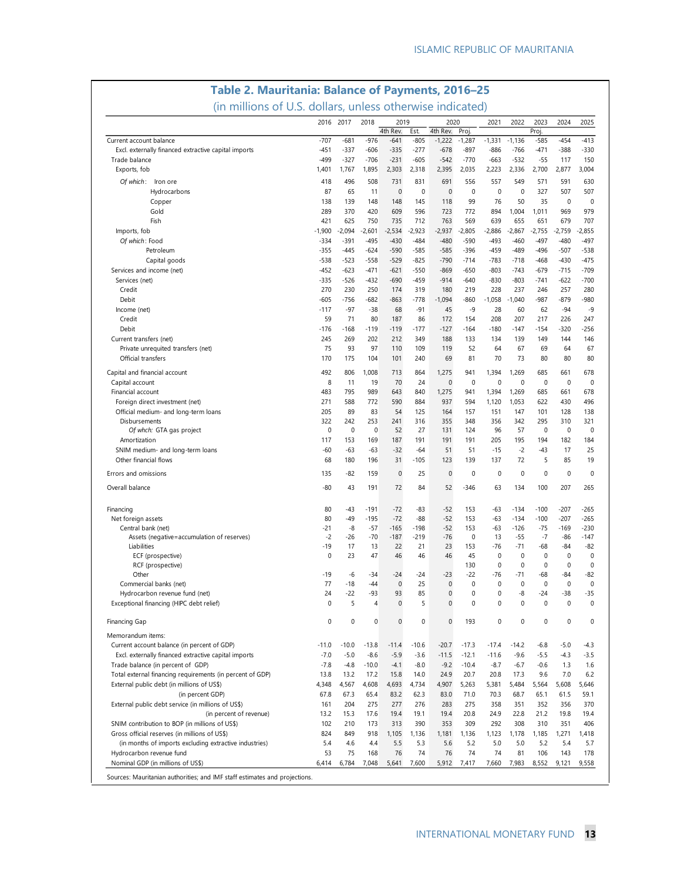| (in millions of U.S. dollars, unless otherwise indicated)<br>2016 2017<br>2018<br>2019<br>2021<br>2022<br>2023<br>2024<br>2025<br>2020<br>4th Rev.<br>4th Rev.<br>Proj<br>Proj.<br>Est.<br>$-707$<br>$-681$<br>$-976$<br>$-413$<br>Current account balance<br>$-641$<br>-805<br>$-1,222$<br>$-1,287$<br>$-1,331$<br>$-1,136$<br>-585<br>$-454$<br>$-451$<br>$-337$<br>$-606$<br>$-335$<br>$-277$<br>$-678$<br>$-897$<br>$-886$<br>$-766$<br>$-471$<br>$-388$<br>$-330$<br>Excl. externally financed extractive capital imports<br>$-499$<br>$-327$<br>$-706$<br>$-231$<br>$-605$<br>$-542$<br>$-770$<br>$-532$<br>$-55$<br>150<br>Trade balance<br>-663<br>117<br>1,895<br>2,303<br>2,395<br>2,035<br>2,336<br>2,700<br>3,004<br>Exports, fob<br>1,401<br>1,767<br>2,318<br>2,223<br>2,877<br>508<br>831<br>691<br>Of which: Iron ore<br>418<br>496<br>731<br>556<br>557<br>549<br>571<br>591<br>630<br>$\mathbf 0$<br>65<br>$\mathbf 0$<br>$\mathbf 0$<br>$\mathbf 0$<br>0<br>$\mathbf 0$<br>327<br>507<br>Hydrocarbons<br>87<br>11<br>507<br>139<br>148<br>148<br>145<br>99<br>76<br>50<br>35<br>0<br>Copper<br>138<br>118<br>0<br>289<br>370<br>420<br>609<br>596<br>723<br>772<br>894<br>1,004<br>1,011<br>969<br>979<br>Gold<br>421<br>750<br>712<br>707<br>Fish<br>625<br>735<br>763<br>569<br>639<br>655<br>651<br>679<br>$-2,923$<br>Imports, fob<br>$-1,900$<br>-2,094<br>$-2,601$<br>$-2,534$<br>-2,937<br>$-2,805$<br>$-2,886$<br>$-2,867$<br>$-2,755$<br>-2,759<br>$-2,855$<br>Of which: Food<br>-334<br>$-391$<br>$-495$<br>$-430$<br>$-484$<br>$-480$<br>$-590$<br>-493<br>$-460$<br>-497<br>$-480$<br>$-497$<br>$-590$<br>Petroleum<br>$-355$<br>$-445$<br>$-624$<br>$-585$<br>$-585$<br>$-396$<br>$-459$<br>$-489$<br>-496<br>$-507$<br>$-538$<br>$-523$<br>$-558$<br>$-529$<br>$-825$<br>$-790$<br>$-783$<br>$-468$<br>$-475$<br>Capital goods<br>$-538$<br>$-714$<br>$-718$<br>$-430$<br>$-452$<br>$-623$<br>$-471$<br>$-621$<br>$-550$<br>$-803$<br>$-709$<br>Services and income (net)<br>$-869$<br>$-650$<br>$-743$<br>$-679$<br>$-715$<br>$-526$<br>$-432$<br>$-690$<br>$-459$<br>$-914$<br>$-830$<br>$-803$<br>$-622$<br>$-700$<br>Services (net)<br>-335<br>$-640$<br>-741<br>270<br>230<br>250<br>319<br>180<br>228<br>237<br>280<br>Credit<br>174<br>219<br>246<br>257<br>$-605$<br>$-682$<br>$-863$<br>$-778$<br>$-1,094$<br>$-860$<br>$-987$<br>$-879$<br>$-980$<br>Debit<br>$-756$<br>$-1,058$<br>$-1,040$<br>$-97$<br>$-38$<br>68<br>$-91$<br>45<br>$-9$<br>$-94$<br>$-9$<br>Income (net)<br>$-117$<br>28<br>60<br>62<br>71<br>Credit<br>59<br>80<br>187<br>86<br>172<br>154<br>208<br>207<br>217<br>226<br>247<br>Debit<br>$-176$<br>$-168$<br>$-119$<br>$-119$<br>$-177$<br>$-127$<br>$-164$<br>$-180$<br>$-147$<br>-154<br>-320<br>-256<br>245<br>202<br>Current transfers (net)<br>269<br>212<br>349<br>188<br>133<br>134<br>139<br>149<br>144<br>146<br>75<br>97<br>Private unrequited transfers (net)<br>93<br>110<br>109<br>119<br>52<br>64<br>67<br>69<br>64<br>67<br>Official transfers<br>170<br>104<br>69<br>73<br>175<br>101<br>240<br>81<br>70<br>80<br>80<br>80<br>492<br>Capital and financial account<br>806<br>1,008<br>713<br>864<br>1,275<br>941<br>1,394<br>1,269<br>685<br>661<br>678<br>8<br>19<br>$\mathbf 0$<br>0<br>$\mathbf 0$<br>$\mathbf 0$<br>$\mathbf 0$<br>0<br>Capital account<br>11<br>70<br>24<br>0<br>795<br>989<br>Financial account<br>483<br>643<br>840<br>1,275<br>941<br>1,394<br>1,269<br>685<br>678<br>661<br>271<br>772<br>590<br>884<br>937<br>1,053<br>622<br>496<br>Foreign direct investment (net)<br>588<br>594<br>1,120<br>430<br>205<br>89<br>83<br>125<br>147<br>101<br>138<br>Official medium- and long-term loans<br>54<br>164<br>157<br>151<br>128<br>322<br>242<br>253<br>241<br>355<br>356<br>342<br>295<br>321<br>Disbursements<br>316<br>348<br>310<br>0<br>$\mathbf 0$<br>$\mathbf 0$<br>0<br>52<br>27<br>131<br>96<br>57<br>0<br>0<br>Of whch: GTA gas project<br>124<br>169<br>187<br>191<br>191<br>205<br>195<br>194<br>184<br>Amortization<br>117<br>153<br>191<br>182<br>SNIM medium- and long-term loans<br>$-60$<br>$-63$<br>$-32$<br>$-64$<br>$-15$<br>$-2$<br>$-43$<br>25<br>$-63$<br>51<br>51<br>17<br>68<br>$-105$<br>139<br>72<br>5<br>19<br>Other financial flows<br>180<br>196<br>31<br>123<br>137<br>85<br>$\mathbf 0$<br>25<br>$\mathbf 0$<br>$\mathbf 0$<br>0<br>$\mathbf 0$<br>0<br>$-82$<br>159<br>0<br>$\mathbf{0}$<br>Errors and omissions<br>135<br>72<br>Overall balance<br>-80<br>43<br>191<br>84<br>52<br>$-346$<br>63<br>134<br>100<br>207<br>265<br>$-72$<br>$-52$<br>Financing<br>80<br>-43<br>$-191$<br>-83<br>153<br>-63<br>$-134$<br>$-100$<br>-207<br>-265<br>80<br>$-49$<br>$-195$<br>$-72$<br>$-88$<br>$-52$<br>$-100$<br>$-207$<br>$-265$<br>Net foreign assets<br>153<br>-63<br>$-134$<br>$-21$<br>$-198$<br>$-52$<br>$-75$<br>$-230$<br>Central bank (net)<br>-8<br>$-57$<br>$-165$<br>153<br>-63<br>$-126$<br>$-169$<br>$-2$<br>$-70$<br>$-187$<br>$-219$<br>$-76$<br>$\mathbf 0$<br>$-55$<br>$-7$<br>Assets (negative=accumulation of reserves)<br>-26<br>13<br>$-86$<br>$-147$<br>$-19$<br>23<br>$-82$<br>Liabilities<br>17<br>13<br>22<br>21<br>153<br>$-76$<br>$-71$<br>-68<br>$-84$<br>$\mathbf 0$<br>$\mathbf 0$<br>$\mathbf{0}$<br>0<br>0<br>ECF (prospective)<br>23<br>47<br>46<br>46<br>46<br>45<br>$\mathbf{0}$<br>$\mathbf 0$<br>0<br>0<br>0<br>RCF (prospective)<br>130<br>0<br>$-23$<br>$-22$<br>$-76$<br>$-71$<br>$-68$<br>$-82$<br>Other<br>$-19$<br>-6<br>$-34$<br>$-24$<br>$-24$<br>-84<br>$\pmb{0}$<br>25<br>$\pmb{0}$<br>$\mathbf 0$<br>0<br>0<br>$\mathbf 0$<br>Commercial banks (net)<br>77<br>-18<br>$-44$<br>0<br>0<br>85<br>24<br>$-22$<br>$-93$<br>93<br>$\pmb{0}$<br>0<br>-8<br>$-24$<br>$-38$<br>$-35$<br>Hydrocarbon revenue fund (net)<br>0<br>0<br>5<br>$\pmb{0}$<br>5<br>$\mathbf 0$<br>0<br>$\mathbf 0$<br>0<br>0<br>Exceptional financing (HIPC debt relief)<br>$\overline{4}$<br>0<br>0<br>0<br>0<br>0<br>$\mathbf 0$<br>0<br>$\pmb{0}$<br>0<br>$\mathbf 0$<br>0<br>0<br>Financing Gap<br>193<br>0<br>Memorandum items:<br>Current account balance (in percent of GDP)<br>$-11.0$<br>$-10.0$<br>$-13.8$<br>$-11.4$<br>$-10.6$<br>$-20.7$<br>$-17.3$<br>$-17.4$<br>$-14.2$<br>$-6.8$<br>$-5.0$<br>$-4.3$<br>$-7.0$<br>$-5.0$<br>$-8.6$<br>$-5.9$<br>$-3.6$<br>$-9.6$<br>$-5.5$<br>Excl. externally financed extractive capital imports<br>$-11.5$<br>$-12.1$<br>$-11.6$<br>$-4.3$<br>$-3.5$<br>$-10.0$<br>$-9.2$<br>$-10.4$<br>$-8.7$<br>$-6.7$<br>$-0.6$<br>Trade balance (in percent of GDP)<br>$-7.8$<br>$-4.8$<br>$-4.1$<br>$-8.0$<br>1.3<br>1.6<br>Total external financing requirements (in percent of GDP)<br>13.8<br>13.2<br>17.2<br>15.8<br>14.0<br>24.9<br>20.7<br>20.8<br>17.3<br>9.6<br>7.0<br>6.2<br>External public debt (in millions of US\$)<br>4,348<br>4,567<br>4,608<br>4,693<br>4,734<br>4,907<br>5,263<br>5,381<br>5,484<br>5,564<br>5,608<br>5,646<br>(in percent GDP)<br>67.8<br>67.3<br>65.4<br>83.2<br>62.3<br>83.0<br>71.0<br>70.3<br>68.7<br>65.1<br>61.5<br>59.1<br>External public debt service (in millions of US\$)<br>275<br>161<br>204<br>277<br>276<br>283<br>275<br>358<br>351<br>352<br>356<br>370<br>17.6<br>19.4<br>19.1<br>19.4<br>20.8<br>24.9<br>22.8<br>21.2<br>19.4<br>(in percent of revenue)<br>13.2<br>15.3<br>19.8<br>102<br>173<br>390<br>353<br>292<br>308<br>310<br>406<br>SNIM contribution to BOP (in millions of US\$)<br>210<br>313<br>309<br>351<br>Gross official reserves (in millions of US\$)<br>918<br>824<br>849<br>1,105<br>1,136<br>1,181<br>1,136<br>1,123<br>1,178<br>1,185<br>1,271<br>1,418<br>5.5<br>5.6<br>5.0<br>(in months of imports excluding extractive industries)<br>5.4<br>4.6<br>4.4<br>5.3<br>5.2<br>5.0<br>5.2<br>5.4<br>5.7<br>76<br>74<br>76<br>74<br>Hydrocarbon revenue fund<br>53<br>75<br>168<br>74<br>81<br>106<br>143<br>178<br>Nominal GDP (in millions of US\$)<br>6,414<br>6,784<br>7,048<br>5,641<br>7,600<br>5,912<br>7,417<br>7,660<br>7,983<br>8,552<br>9,121<br>9,558 | Table 2. Mauritania: Balance of Payments, 2016-25 |  |  |  |  |  |  |  |  |  |  |  |  |
|---------------------------------------------------------------------------------------------------------------------------------------------------------------------------------------------------------------------------------------------------------------------------------------------------------------------------------------------------------------------------------------------------------------------------------------------------------------------------------------------------------------------------------------------------------------------------------------------------------------------------------------------------------------------------------------------------------------------------------------------------------------------------------------------------------------------------------------------------------------------------------------------------------------------------------------------------------------------------------------------------------------------------------------------------------------------------------------------------------------------------------------------------------------------------------------------------------------------------------------------------------------------------------------------------------------------------------------------------------------------------------------------------------------------------------------------------------------------------------------------------------------------------------------------------------------------------------------------------------------------------------------------------------------------------------------------------------------------------------------------------------------------------------------------------------------------------------------------------------------------------------------------------------------------------------------------------------------------------------------------------------------------------------------------------------------------------------------------------------------------------------------------------------------------------------------------------------------------------------------------------------------------------------------------------------------------------------------------------------------------------------------------------------------------------------------------------------------------------------------------------------------------------------------------------------------------------------------------------------------------------------------------------------------------------------------------------------------------------------------------------------------------------------------------------------------------------------------------------------------------------------------------------------------------------------------------------------------------------------------------------------------------------------------------------------------------------------------------------------------------------------------------------------------------------------------------------------------------------------------------------------------------------------------------------------------------------------------------------------------------------------------------------------------------------------------------------------------------------------------------------------------------------------------------------------------------------------------------------------------------------------------------------------------------------------------------------------------------------------------------------------------------------------------------------------------------------------------------------------------------------------------------------------------------------------------------------------------------------------------------------------------------------------------------------------------------------------------------------------------------------------------------------------------------------------------------------------------------------------------------------------------------------------------------------------------------------------------------------------------------------------------------------------------------------------------------------------------------------------------------------------------------------------------------------------------------------------------------------------------------------------------------------------------------------------------------------------------------------------------------------------------------------------------------------------------------------------------------------------------------------------------------------------------------------------------------------------------------------------------------------------------------------------------------------------------------------------------------------------------------------------------------------------------------------------------------------------------------------------------------------------------------------------------------------------------------------------------------------------------------------------------------------------------------------------------------------------------------------------------------------------------------------------------------------------------------------------------------------------------------------------------------------------------------------------------------------------------------------------------------------------------------------------------------------------------------------------------------------------------------------------------------------------------------------------------------------------------------------------------------------------------------------------------------------------------------------------------------------------------------------------------------------------------------------------------------------------------------------------------------------------------------------------------------------------------------------------------------------------------------------------------------------------------------------------------------------------------------------------------------------------------------------------------------------------------------------------------------------------------------------------------------------------------------------------------------------------------------------------------------------------------------------------------------------------------------------------------------------------------------------------------------------------------------------------------------------------------------------------------------------------------------------------------------------------------------------------------------------------------------------------------------------------------------------------------------------------------------------------------------------------------------------------------------------------------------------------------------------------------------------------------------------------------------------------------------------------------------------------------------------------------------------------------------------------------------------------------------------------------------------------------------------------------------------------------------------------------------------------------------------------------------------------------------------------------------------------------------------------------------------------------------------------------------------------------------------------------------------------------------------------------------------------------|---------------------------------------------------|--|--|--|--|--|--|--|--|--|--|--|--|
|                                                                                                                                                                                                                                                                                                                                                                                                                                                                                                                                                                                                                                                                                                                                                                                                                                                                                                                                                                                                                                                                                                                                                                                                                                                                                                                                                                                                                                                                                                                                                                                                                                                                                                                                                                                                                                                                                                                                                                                                                                                                                                                                                                                                                                                                                                                                                                                                                                                                                                                                                                                                                                                                                                                                                                                                                                                                                                                                                                                                                                                                                                                                                                                                                                                                                                                                                                                                                                                                                                                                                                                                                                                                                                                                                                                                                                                                                                                                                                                                                                                                                                                                                                                                                                                                                                                                                                                                                                                                                                                                                                                                                                                                                                                                                                                                                                                                                                                                                                                                                                                                                                                                                                                                                                                                                                                                                                                                                                                                                                                                                                                                                                                                                                                                                                                                                                                                                                                                                                                                                                                                                                                                                                                                                                                                                                                                                                                                                                                                                                                                                                                                                                                                                                                                                                                                                                                                                                                                                                                                                                                                                                                                                                                                                                                                                                                                                                                                                                                                                                                                                                                                                                                                                                                                                                                                                                                                                                                                                                                                                                       |                                                   |  |  |  |  |  |  |  |  |  |  |  |  |
|                                                                                                                                                                                                                                                                                                                                                                                                                                                                                                                                                                                                                                                                                                                                                                                                                                                                                                                                                                                                                                                                                                                                                                                                                                                                                                                                                                                                                                                                                                                                                                                                                                                                                                                                                                                                                                                                                                                                                                                                                                                                                                                                                                                                                                                                                                                                                                                                                                                                                                                                                                                                                                                                                                                                                                                                                                                                                                                                                                                                                                                                                                                                                                                                                                                                                                                                                                                                                                                                                                                                                                                                                                                                                                                                                                                                                                                                                                                                                                                                                                                                                                                                                                                                                                                                                                                                                                                                                                                                                                                                                                                                                                                                                                                                                                                                                                                                                                                                                                                                                                                                                                                                                                                                                                                                                                                                                                                                                                                                                                                                                                                                                                                                                                                                                                                                                                                                                                                                                                                                                                                                                                                                                                                                                                                                                                                                                                                                                                                                                                                                                                                                                                                                                                                                                                                                                                                                                                                                                                                                                                                                                                                                                                                                                                                                                                                                                                                                                                                                                                                                                                                                                                                                                                                                                                                                                                                                                                                                                                                                                                       |                                                   |  |  |  |  |  |  |  |  |  |  |  |  |
|                                                                                                                                                                                                                                                                                                                                                                                                                                                                                                                                                                                                                                                                                                                                                                                                                                                                                                                                                                                                                                                                                                                                                                                                                                                                                                                                                                                                                                                                                                                                                                                                                                                                                                                                                                                                                                                                                                                                                                                                                                                                                                                                                                                                                                                                                                                                                                                                                                                                                                                                                                                                                                                                                                                                                                                                                                                                                                                                                                                                                                                                                                                                                                                                                                                                                                                                                                                                                                                                                                                                                                                                                                                                                                                                                                                                                                                                                                                                                                                                                                                                                                                                                                                                                                                                                                                                                                                                                                                                                                                                                                                                                                                                                                                                                                                                                                                                                                                                                                                                                                                                                                                                                                                                                                                                                                                                                                                                                                                                                                                                                                                                                                                                                                                                                                                                                                                                                                                                                                                                                                                                                                                                                                                                                                                                                                                                                                                                                                                                                                                                                                                                                                                                                                                                                                                                                                                                                                                                                                                                                                                                                                                                                                                                                                                                                                                                                                                                                                                                                                                                                                                                                                                                                                                                                                                                                                                                                                                                                                                                                                       |                                                   |  |  |  |  |  |  |  |  |  |  |  |  |
|                                                                                                                                                                                                                                                                                                                                                                                                                                                                                                                                                                                                                                                                                                                                                                                                                                                                                                                                                                                                                                                                                                                                                                                                                                                                                                                                                                                                                                                                                                                                                                                                                                                                                                                                                                                                                                                                                                                                                                                                                                                                                                                                                                                                                                                                                                                                                                                                                                                                                                                                                                                                                                                                                                                                                                                                                                                                                                                                                                                                                                                                                                                                                                                                                                                                                                                                                                                                                                                                                                                                                                                                                                                                                                                                                                                                                                                                                                                                                                                                                                                                                                                                                                                                                                                                                                                                                                                                                                                                                                                                                                                                                                                                                                                                                                                                                                                                                                                                                                                                                                                                                                                                                                                                                                                                                                                                                                                                                                                                                                                                                                                                                                                                                                                                                                                                                                                                                                                                                                                                                                                                                                                                                                                                                                                                                                                                                                                                                                                                                                                                                                                                                                                                                                                                                                                                                                                                                                                                                                                                                                                                                                                                                                                                                                                                                                                                                                                                                                                                                                                                                                                                                                                                                                                                                                                                                                                                                                                                                                                                                                       |                                                   |  |  |  |  |  |  |  |  |  |  |  |  |
|                                                                                                                                                                                                                                                                                                                                                                                                                                                                                                                                                                                                                                                                                                                                                                                                                                                                                                                                                                                                                                                                                                                                                                                                                                                                                                                                                                                                                                                                                                                                                                                                                                                                                                                                                                                                                                                                                                                                                                                                                                                                                                                                                                                                                                                                                                                                                                                                                                                                                                                                                                                                                                                                                                                                                                                                                                                                                                                                                                                                                                                                                                                                                                                                                                                                                                                                                                                                                                                                                                                                                                                                                                                                                                                                                                                                                                                                                                                                                                                                                                                                                                                                                                                                                                                                                                                                                                                                                                                                                                                                                                                                                                                                                                                                                                                                                                                                                                                                                                                                                                                                                                                                                                                                                                                                                                                                                                                                                                                                                                                                                                                                                                                                                                                                                                                                                                                                                                                                                                                                                                                                                                                                                                                                                                                                                                                                                                                                                                                                                                                                                                                                                                                                                                                                                                                                                                                                                                                                                                                                                                                                                                                                                                                                                                                                                                                                                                                                                                                                                                                                                                                                                                                                                                                                                                                                                                                                                                                                                                                                                                       |                                                   |  |  |  |  |  |  |  |  |  |  |  |  |
|                                                                                                                                                                                                                                                                                                                                                                                                                                                                                                                                                                                                                                                                                                                                                                                                                                                                                                                                                                                                                                                                                                                                                                                                                                                                                                                                                                                                                                                                                                                                                                                                                                                                                                                                                                                                                                                                                                                                                                                                                                                                                                                                                                                                                                                                                                                                                                                                                                                                                                                                                                                                                                                                                                                                                                                                                                                                                                                                                                                                                                                                                                                                                                                                                                                                                                                                                                                                                                                                                                                                                                                                                                                                                                                                                                                                                                                                                                                                                                                                                                                                                                                                                                                                                                                                                                                                                                                                                                                                                                                                                                                                                                                                                                                                                                                                                                                                                                                                                                                                                                                                                                                                                                                                                                                                                                                                                                                                                                                                                                                                                                                                                                                                                                                                                                                                                                                                                                                                                                                                                                                                                                                                                                                                                                                                                                                                                                                                                                                                                                                                                                                                                                                                                                                                                                                                                                                                                                                                                                                                                                                                                                                                                                                                                                                                                                                                                                                                                                                                                                                                                                                                                                                                                                                                                                                                                                                                                                                                                                                                                                       |                                                   |  |  |  |  |  |  |  |  |  |  |  |  |
|                                                                                                                                                                                                                                                                                                                                                                                                                                                                                                                                                                                                                                                                                                                                                                                                                                                                                                                                                                                                                                                                                                                                                                                                                                                                                                                                                                                                                                                                                                                                                                                                                                                                                                                                                                                                                                                                                                                                                                                                                                                                                                                                                                                                                                                                                                                                                                                                                                                                                                                                                                                                                                                                                                                                                                                                                                                                                                                                                                                                                                                                                                                                                                                                                                                                                                                                                                                                                                                                                                                                                                                                                                                                                                                                                                                                                                                                                                                                                                                                                                                                                                                                                                                                                                                                                                                                                                                                                                                                                                                                                                                                                                                                                                                                                                                                                                                                                                                                                                                                                                                                                                                                                                                                                                                                                                                                                                                                                                                                                                                                                                                                                                                                                                                                                                                                                                                                                                                                                                                                                                                                                                                                                                                                                                                                                                                                                                                                                                                                                                                                                                                                                                                                                                                                                                                                                                                                                                                                                                                                                                                                                                                                                                                                                                                                                                                                                                                                                                                                                                                                                                                                                                                                                                                                                                                                                                                                                                                                                                                                                                       |                                                   |  |  |  |  |  |  |  |  |  |  |  |  |
|                                                                                                                                                                                                                                                                                                                                                                                                                                                                                                                                                                                                                                                                                                                                                                                                                                                                                                                                                                                                                                                                                                                                                                                                                                                                                                                                                                                                                                                                                                                                                                                                                                                                                                                                                                                                                                                                                                                                                                                                                                                                                                                                                                                                                                                                                                                                                                                                                                                                                                                                                                                                                                                                                                                                                                                                                                                                                                                                                                                                                                                                                                                                                                                                                                                                                                                                                                                                                                                                                                                                                                                                                                                                                                                                                                                                                                                                                                                                                                                                                                                                                                                                                                                                                                                                                                                                                                                                                                                                                                                                                                                                                                                                                                                                                                                                                                                                                                                                                                                                                                                                                                                                                                                                                                                                                                                                                                                                                                                                                                                                                                                                                                                                                                                                                                                                                                                                                                                                                                                                                                                                                                                                                                                                                                                                                                                                                                                                                                                                                                                                                                                                                                                                                                                                                                                                                                                                                                                                                                                                                                                                                                                                                                                                                                                                                                                                                                                                                                                                                                                                                                                                                                                                                                                                                                                                                                                                                                                                                                                                                                       |                                                   |  |  |  |  |  |  |  |  |  |  |  |  |
|                                                                                                                                                                                                                                                                                                                                                                                                                                                                                                                                                                                                                                                                                                                                                                                                                                                                                                                                                                                                                                                                                                                                                                                                                                                                                                                                                                                                                                                                                                                                                                                                                                                                                                                                                                                                                                                                                                                                                                                                                                                                                                                                                                                                                                                                                                                                                                                                                                                                                                                                                                                                                                                                                                                                                                                                                                                                                                                                                                                                                                                                                                                                                                                                                                                                                                                                                                                                                                                                                                                                                                                                                                                                                                                                                                                                                                                                                                                                                                                                                                                                                                                                                                                                                                                                                                                                                                                                                                                                                                                                                                                                                                                                                                                                                                                                                                                                                                                                                                                                                                                                                                                                                                                                                                                                                                                                                                                                                                                                                                                                                                                                                                                                                                                                                                                                                                                                                                                                                                                                                                                                                                                                                                                                                                                                                                                                                                                                                                                                                                                                                                                                                                                                                                                                                                                                                                                                                                                                                                                                                                                                                                                                                                                                                                                                                                                                                                                                                                                                                                                                                                                                                                                                                                                                                                                                                                                                                                                                                                                                                                       |                                                   |  |  |  |  |  |  |  |  |  |  |  |  |
|                                                                                                                                                                                                                                                                                                                                                                                                                                                                                                                                                                                                                                                                                                                                                                                                                                                                                                                                                                                                                                                                                                                                                                                                                                                                                                                                                                                                                                                                                                                                                                                                                                                                                                                                                                                                                                                                                                                                                                                                                                                                                                                                                                                                                                                                                                                                                                                                                                                                                                                                                                                                                                                                                                                                                                                                                                                                                                                                                                                                                                                                                                                                                                                                                                                                                                                                                                                                                                                                                                                                                                                                                                                                                                                                                                                                                                                                                                                                                                                                                                                                                                                                                                                                                                                                                                                                                                                                                                                                                                                                                                                                                                                                                                                                                                                                                                                                                                                                                                                                                                                                                                                                                                                                                                                                                                                                                                                                                                                                                                                                                                                                                                                                                                                                                                                                                                                                                                                                                                                                                                                                                                                                                                                                                                                                                                                                                                                                                                                                                                                                                                                                                                                                                                                                                                                                                                                                                                                                                                                                                                                                                                                                                                                                                                                                                                                                                                                                                                                                                                                                                                                                                                                                                                                                                                                                                                                                                                                                                                                                                                       |                                                   |  |  |  |  |  |  |  |  |  |  |  |  |
|                                                                                                                                                                                                                                                                                                                                                                                                                                                                                                                                                                                                                                                                                                                                                                                                                                                                                                                                                                                                                                                                                                                                                                                                                                                                                                                                                                                                                                                                                                                                                                                                                                                                                                                                                                                                                                                                                                                                                                                                                                                                                                                                                                                                                                                                                                                                                                                                                                                                                                                                                                                                                                                                                                                                                                                                                                                                                                                                                                                                                                                                                                                                                                                                                                                                                                                                                                                                                                                                                                                                                                                                                                                                                                                                                                                                                                                                                                                                                                                                                                                                                                                                                                                                                                                                                                                                                                                                                                                                                                                                                                                                                                                                                                                                                                                                                                                                                                                                                                                                                                                                                                                                                                                                                                                                                                                                                                                                                                                                                                                                                                                                                                                                                                                                                                                                                                                                                                                                                                                                                                                                                                                                                                                                                                                                                                                                                                                                                                                                                                                                                                                                                                                                                                                                                                                                                                                                                                                                                                                                                                                                                                                                                                                                                                                                                                                                                                                                                                                                                                                                                                                                                                                                                                                                                                                                                                                                                                                                                                                                                                       |                                                   |  |  |  |  |  |  |  |  |  |  |  |  |
|                                                                                                                                                                                                                                                                                                                                                                                                                                                                                                                                                                                                                                                                                                                                                                                                                                                                                                                                                                                                                                                                                                                                                                                                                                                                                                                                                                                                                                                                                                                                                                                                                                                                                                                                                                                                                                                                                                                                                                                                                                                                                                                                                                                                                                                                                                                                                                                                                                                                                                                                                                                                                                                                                                                                                                                                                                                                                                                                                                                                                                                                                                                                                                                                                                                                                                                                                                                                                                                                                                                                                                                                                                                                                                                                                                                                                                                                                                                                                                                                                                                                                                                                                                                                                                                                                                                                                                                                                                                                                                                                                                                                                                                                                                                                                                                                                                                                                                                                                                                                                                                                                                                                                                                                                                                                                                                                                                                                                                                                                                                                                                                                                                                                                                                                                                                                                                                                                                                                                                                                                                                                                                                                                                                                                                                                                                                                                                                                                                                                                                                                                                                                                                                                                                                                                                                                                                                                                                                                                                                                                                                                                                                                                                                                                                                                                                                                                                                                                                                                                                                                                                                                                                                                                                                                                                                                                                                                                                                                                                                                                                       |                                                   |  |  |  |  |  |  |  |  |  |  |  |  |
|                                                                                                                                                                                                                                                                                                                                                                                                                                                                                                                                                                                                                                                                                                                                                                                                                                                                                                                                                                                                                                                                                                                                                                                                                                                                                                                                                                                                                                                                                                                                                                                                                                                                                                                                                                                                                                                                                                                                                                                                                                                                                                                                                                                                                                                                                                                                                                                                                                                                                                                                                                                                                                                                                                                                                                                                                                                                                                                                                                                                                                                                                                                                                                                                                                                                                                                                                                                                                                                                                                                                                                                                                                                                                                                                                                                                                                                                                                                                                                                                                                                                                                                                                                                                                                                                                                                                                                                                                                                                                                                                                                                                                                                                                                                                                                                                                                                                                                                                                                                                                                                                                                                                                                                                                                                                                                                                                                                                                                                                                                                                                                                                                                                                                                                                                                                                                                                                                                                                                                                                                                                                                                                                                                                                                                                                                                                                                                                                                                                                                                                                                                                                                                                                                                                                                                                                                                                                                                                                                                                                                                                                                                                                                                                                                                                                                                                                                                                                                                                                                                                                                                                                                                                                                                                                                                                                                                                                                                                                                                                                                                       |                                                   |  |  |  |  |  |  |  |  |  |  |  |  |
|                                                                                                                                                                                                                                                                                                                                                                                                                                                                                                                                                                                                                                                                                                                                                                                                                                                                                                                                                                                                                                                                                                                                                                                                                                                                                                                                                                                                                                                                                                                                                                                                                                                                                                                                                                                                                                                                                                                                                                                                                                                                                                                                                                                                                                                                                                                                                                                                                                                                                                                                                                                                                                                                                                                                                                                                                                                                                                                                                                                                                                                                                                                                                                                                                                                                                                                                                                                                                                                                                                                                                                                                                                                                                                                                                                                                                                                                                                                                                                                                                                                                                                                                                                                                                                                                                                                                                                                                                                                                                                                                                                                                                                                                                                                                                                                                                                                                                                                                                                                                                                                                                                                                                                                                                                                                                                                                                                                                                                                                                                                                                                                                                                                                                                                                                                                                                                                                                                                                                                                                                                                                                                                                                                                                                                                                                                                                                                                                                                                                                                                                                                                                                                                                                                                                                                                                                                                                                                                                                                                                                                                                                                                                                                                                                                                                                                                                                                                                                                                                                                                                                                                                                                                                                                                                                                                                                                                                                                                                                                                                                                       |                                                   |  |  |  |  |  |  |  |  |  |  |  |  |
|                                                                                                                                                                                                                                                                                                                                                                                                                                                                                                                                                                                                                                                                                                                                                                                                                                                                                                                                                                                                                                                                                                                                                                                                                                                                                                                                                                                                                                                                                                                                                                                                                                                                                                                                                                                                                                                                                                                                                                                                                                                                                                                                                                                                                                                                                                                                                                                                                                                                                                                                                                                                                                                                                                                                                                                                                                                                                                                                                                                                                                                                                                                                                                                                                                                                                                                                                                                                                                                                                                                                                                                                                                                                                                                                                                                                                                                                                                                                                                                                                                                                                                                                                                                                                                                                                                                                                                                                                                                                                                                                                                                                                                                                                                                                                                                                                                                                                                                                                                                                                                                                                                                                                                                                                                                                                                                                                                                                                                                                                                                                                                                                                                                                                                                                                                                                                                                                                                                                                                                                                                                                                                                                                                                                                                                                                                                                                                                                                                                                                                                                                                                                                                                                                                                                                                                                                                                                                                                                                                                                                                                                                                                                                                                                                                                                                                                                                                                                                                                                                                                                                                                                                                                                                                                                                                                                                                                                                                                                                                                                                                       |                                                   |  |  |  |  |  |  |  |  |  |  |  |  |
|                                                                                                                                                                                                                                                                                                                                                                                                                                                                                                                                                                                                                                                                                                                                                                                                                                                                                                                                                                                                                                                                                                                                                                                                                                                                                                                                                                                                                                                                                                                                                                                                                                                                                                                                                                                                                                                                                                                                                                                                                                                                                                                                                                                                                                                                                                                                                                                                                                                                                                                                                                                                                                                                                                                                                                                                                                                                                                                                                                                                                                                                                                                                                                                                                                                                                                                                                                                                                                                                                                                                                                                                                                                                                                                                                                                                                                                                                                                                                                                                                                                                                                                                                                                                                                                                                                                                                                                                                                                                                                                                                                                                                                                                                                                                                                                                                                                                                                                                                                                                                                                                                                                                                                                                                                                                                                                                                                                                                                                                                                                                                                                                                                                                                                                                                                                                                                                                                                                                                                                                                                                                                                                                                                                                                                                                                                                                                                                                                                                                                                                                                                                                                                                                                                                                                                                                                                                                                                                                                                                                                                                                                                                                                                                                                                                                                                                                                                                                                                                                                                                                                                                                                                                                                                                                                                                                                                                                                                                                                                                                                                       |                                                   |  |  |  |  |  |  |  |  |  |  |  |  |
|                                                                                                                                                                                                                                                                                                                                                                                                                                                                                                                                                                                                                                                                                                                                                                                                                                                                                                                                                                                                                                                                                                                                                                                                                                                                                                                                                                                                                                                                                                                                                                                                                                                                                                                                                                                                                                                                                                                                                                                                                                                                                                                                                                                                                                                                                                                                                                                                                                                                                                                                                                                                                                                                                                                                                                                                                                                                                                                                                                                                                                                                                                                                                                                                                                                                                                                                                                                                                                                                                                                                                                                                                                                                                                                                                                                                                                                                                                                                                                                                                                                                                                                                                                                                                                                                                                                                                                                                                                                                                                                                                                                                                                                                                                                                                                                                                                                                                                                                                                                                                                                                                                                                                                                                                                                                                                                                                                                                                                                                                                                                                                                                                                                                                                                                                                                                                                                                                                                                                                                                                                                                                                                                                                                                                                                                                                                                                                                                                                                                                                                                                                                                                                                                                                                                                                                                                                                                                                                                                                                                                                                                                                                                                                                                                                                                                                                                                                                                                                                                                                                                                                                                                                                                                                                                                                                                                                                                                                                                                                                                                                       |                                                   |  |  |  |  |  |  |  |  |  |  |  |  |
|                                                                                                                                                                                                                                                                                                                                                                                                                                                                                                                                                                                                                                                                                                                                                                                                                                                                                                                                                                                                                                                                                                                                                                                                                                                                                                                                                                                                                                                                                                                                                                                                                                                                                                                                                                                                                                                                                                                                                                                                                                                                                                                                                                                                                                                                                                                                                                                                                                                                                                                                                                                                                                                                                                                                                                                                                                                                                                                                                                                                                                                                                                                                                                                                                                                                                                                                                                                                                                                                                                                                                                                                                                                                                                                                                                                                                                                                                                                                                                                                                                                                                                                                                                                                                                                                                                                                                                                                                                                                                                                                                                                                                                                                                                                                                                                                                                                                                                                                                                                                                                                                                                                                                                                                                                                                                                                                                                                                                                                                                                                                                                                                                                                                                                                                                                                                                                                                                                                                                                                                                                                                                                                                                                                                                                                                                                                                                                                                                                                                                                                                                                                                                                                                                                                                                                                                                                                                                                                                                                                                                                                                                                                                                                                                                                                                                                                                                                                                                                                                                                                                                                                                                                                                                                                                                                                                                                                                                                                                                                                                                                       |                                                   |  |  |  |  |  |  |  |  |  |  |  |  |
|                                                                                                                                                                                                                                                                                                                                                                                                                                                                                                                                                                                                                                                                                                                                                                                                                                                                                                                                                                                                                                                                                                                                                                                                                                                                                                                                                                                                                                                                                                                                                                                                                                                                                                                                                                                                                                                                                                                                                                                                                                                                                                                                                                                                                                                                                                                                                                                                                                                                                                                                                                                                                                                                                                                                                                                                                                                                                                                                                                                                                                                                                                                                                                                                                                                                                                                                                                                                                                                                                                                                                                                                                                                                                                                                                                                                                                                                                                                                                                                                                                                                                                                                                                                                                                                                                                                                                                                                                                                                                                                                                                                                                                                                                                                                                                                                                                                                                                                                                                                                                                                                                                                                                                                                                                                                                                                                                                                                                                                                                                                                                                                                                                                                                                                                                                                                                                                                                                                                                                                                                                                                                                                                                                                                                                                                                                                                                                                                                                                                                                                                                                                                                                                                                                                                                                                                                                                                                                                                                                                                                                                                                                                                                                                                                                                                                                                                                                                                                                                                                                                                                                                                                                                                                                                                                                                                                                                                                                                                                                                                                                       |                                                   |  |  |  |  |  |  |  |  |  |  |  |  |
|                                                                                                                                                                                                                                                                                                                                                                                                                                                                                                                                                                                                                                                                                                                                                                                                                                                                                                                                                                                                                                                                                                                                                                                                                                                                                                                                                                                                                                                                                                                                                                                                                                                                                                                                                                                                                                                                                                                                                                                                                                                                                                                                                                                                                                                                                                                                                                                                                                                                                                                                                                                                                                                                                                                                                                                                                                                                                                                                                                                                                                                                                                                                                                                                                                                                                                                                                                                                                                                                                                                                                                                                                                                                                                                                                                                                                                                                                                                                                                                                                                                                                                                                                                                                                                                                                                                                                                                                                                                                                                                                                                                                                                                                                                                                                                                                                                                                                                                                                                                                                                                                                                                                                                                                                                                                                                                                                                                                                                                                                                                                                                                                                                                                                                                                                                                                                                                                                                                                                                                                                                                                                                                                                                                                                                                                                                                                                                                                                                                                                                                                                                                                                                                                                                                                                                                                                                                                                                                                                                                                                                                                                                                                                                                                                                                                                                                                                                                                                                                                                                                                                                                                                                                                                                                                                                                                                                                                                                                                                                                                                                       |                                                   |  |  |  |  |  |  |  |  |  |  |  |  |
|                                                                                                                                                                                                                                                                                                                                                                                                                                                                                                                                                                                                                                                                                                                                                                                                                                                                                                                                                                                                                                                                                                                                                                                                                                                                                                                                                                                                                                                                                                                                                                                                                                                                                                                                                                                                                                                                                                                                                                                                                                                                                                                                                                                                                                                                                                                                                                                                                                                                                                                                                                                                                                                                                                                                                                                                                                                                                                                                                                                                                                                                                                                                                                                                                                                                                                                                                                                                                                                                                                                                                                                                                                                                                                                                                                                                                                                                                                                                                                                                                                                                                                                                                                                                                                                                                                                                                                                                                                                                                                                                                                                                                                                                                                                                                                                                                                                                                                                                                                                                                                                                                                                                                                                                                                                                                                                                                                                                                                                                                                                                                                                                                                                                                                                                                                                                                                                                                                                                                                                                                                                                                                                                                                                                                                                                                                                                                                                                                                                                                                                                                                                                                                                                                                                                                                                                                                                                                                                                                                                                                                                                                                                                                                                                                                                                                                                                                                                                                                                                                                                                                                                                                                                                                                                                                                                                                                                                                                                                                                                                                                       |                                                   |  |  |  |  |  |  |  |  |  |  |  |  |
|                                                                                                                                                                                                                                                                                                                                                                                                                                                                                                                                                                                                                                                                                                                                                                                                                                                                                                                                                                                                                                                                                                                                                                                                                                                                                                                                                                                                                                                                                                                                                                                                                                                                                                                                                                                                                                                                                                                                                                                                                                                                                                                                                                                                                                                                                                                                                                                                                                                                                                                                                                                                                                                                                                                                                                                                                                                                                                                                                                                                                                                                                                                                                                                                                                                                                                                                                                                                                                                                                                                                                                                                                                                                                                                                                                                                                                                                                                                                                                                                                                                                                                                                                                                                                                                                                                                                                                                                                                                                                                                                                                                                                                                                                                                                                                                                                                                                                                                                                                                                                                                                                                                                                                                                                                                                                                                                                                                                                                                                                                                                                                                                                                                                                                                                                                                                                                                                                                                                                                                                                                                                                                                                                                                                                                                                                                                                                                                                                                                                                                                                                                                                                                                                                                                                                                                                                                                                                                                                                                                                                                                                                                                                                                                                                                                                                                                                                                                                                                                                                                                                                                                                                                                                                                                                                                                                                                                                                                                                                                                                                                       |                                                   |  |  |  |  |  |  |  |  |  |  |  |  |
|                                                                                                                                                                                                                                                                                                                                                                                                                                                                                                                                                                                                                                                                                                                                                                                                                                                                                                                                                                                                                                                                                                                                                                                                                                                                                                                                                                                                                                                                                                                                                                                                                                                                                                                                                                                                                                                                                                                                                                                                                                                                                                                                                                                                                                                                                                                                                                                                                                                                                                                                                                                                                                                                                                                                                                                                                                                                                                                                                                                                                                                                                                                                                                                                                                                                                                                                                                                                                                                                                                                                                                                                                                                                                                                                                                                                                                                                                                                                                                                                                                                                                                                                                                                                                                                                                                                                                                                                                                                                                                                                                                                                                                                                                                                                                                                                                                                                                                                                                                                                                                                                                                                                                                                                                                                                                                                                                                                                                                                                                                                                                                                                                                                                                                                                                                                                                                                                                                                                                                                                                                                                                                                                                                                                                                                                                                                                                                                                                                                                                                                                                                                                                                                                                                                                                                                                                                                                                                                                                                                                                                                                                                                                                                                                                                                                                                                                                                                                                                                                                                                                                                                                                                                                                                                                                                                                                                                                                                                                                                                                                                       |                                                   |  |  |  |  |  |  |  |  |  |  |  |  |
|                                                                                                                                                                                                                                                                                                                                                                                                                                                                                                                                                                                                                                                                                                                                                                                                                                                                                                                                                                                                                                                                                                                                                                                                                                                                                                                                                                                                                                                                                                                                                                                                                                                                                                                                                                                                                                                                                                                                                                                                                                                                                                                                                                                                                                                                                                                                                                                                                                                                                                                                                                                                                                                                                                                                                                                                                                                                                                                                                                                                                                                                                                                                                                                                                                                                                                                                                                                                                                                                                                                                                                                                                                                                                                                                                                                                                                                                                                                                                                                                                                                                                                                                                                                                                                                                                                                                                                                                                                                                                                                                                                                                                                                                                                                                                                                                                                                                                                                                                                                                                                                                                                                                                                                                                                                                                                                                                                                                                                                                                                                                                                                                                                                                                                                                                                                                                                                                                                                                                                                                                                                                                                                                                                                                                                                                                                                                                                                                                                                                                                                                                                                                                                                                                                                                                                                                                                                                                                                                                                                                                                                                                                                                                                                                                                                                                                                                                                                                                                                                                                                                                                                                                                                                                                                                                                                                                                                                                                                                                                                                                                       |                                                   |  |  |  |  |  |  |  |  |  |  |  |  |
|                                                                                                                                                                                                                                                                                                                                                                                                                                                                                                                                                                                                                                                                                                                                                                                                                                                                                                                                                                                                                                                                                                                                                                                                                                                                                                                                                                                                                                                                                                                                                                                                                                                                                                                                                                                                                                                                                                                                                                                                                                                                                                                                                                                                                                                                                                                                                                                                                                                                                                                                                                                                                                                                                                                                                                                                                                                                                                                                                                                                                                                                                                                                                                                                                                                                                                                                                                                                                                                                                                                                                                                                                                                                                                                                                                                                                                                                                                                                                                                                                                                                                                                                                                                                                                                                                                                                                                                                                                                                                                                                                                                                                                                                                                                                                                                                                                                                                                                                                                                                                                                                                                                                                                                                                                                                                                                                                                                                                                                                                                                                                                                                                                                                                                                                                                                                                                                                                                                                                                                                                                                                                                                                                                                                                                                                                                                                                                                                                                                                                                                                                                                                                                                                                                                                                                                                                                                                                                                                                                                                                                                                                                                                                                                                                                                                                                                                                                                                                                                                                                                                                                                                                                                                                                                                                                                                                                                                                                                                                                                                                                       |                                                   |  |  |  |  |  |  |  |  |  |  |  |  |
|                                                                                                                                                                                                                                                                                                                                                                                                                                                                                                                                                                                                                                                                                                                                                                                                                                                                                                                                                                                                                                                                                                                                                                                                                                                                                                                                                                                                                                                                                                                                                                                                                                                                                                                                                                                                                                                                                                                                                                                                                                                                                                                                                                                                                                                                                                                                                                                                                                                                                                                                                                                                                                                                                                                                                                                                                                                                                                                                                                                                                                                                                                                                                                                                                                                                                                                                                                                                                                                                                                                                                                                                                                                                                                                                                                                                                                                                                                                                                                                                                                                                                                                                                                                                                                                                                                                                                                                                                                                                                                                                                                                                                                                                                                                                                                                                                                                                                                                                                                                                                                                                                                                                                                                                                                                                                                                                                                                                                                                                                                                                                                                                                                                                                                                                                                                                                                                                                                                                                                                                                                                                                                                                                                                                                                                                                                                                                                                                                                                                                                                                                                                                                                                                                                                                                                                                                                                                                                                                                                                                                                                                                                                                                                                                                                                                                                                                                                                                                                                                                                                                                                                                                                                                                                                                                                                                                                                                                                                                                                                                                                       |                                                   |  |  |  |  |  |  |  |  |  |  |  |  |
|                                                                                                                                                                                                                                                                                                                                                                                                                                                                                                                                                                                                                                                                                                                                                                                                                                                                                                                                                                                                                                                                                                                                                                                                                                                                                                                                                                                                                                                                                                                                                                                                                                                                                                                                                                                                                                                                                                                                                                                                                                                                                                                                                                                                                                                                                                                                                                                                                                                                                                                                                                                                                                                                                                                                                                                                                                                                                                                                                                                                                                                                                                                                                                                                                                                                                                                                                                                                                                                                                                                                                                                                                                                                                                                                                                                                                                                                                                                                                                                                                                                                                                                                                                                                                                                                                                                                                                                                                                                                                                                                                                                                                                                                                                                                                                                                                                                                                                                                                                                                                                                                                                                                                                                                                                                                                                                                                                                                                                                                                                                                                                                                                                                                                                                                                                                                                                                                                                                                                                                                                                                                                                                                                                                                                                                                                                                                                                                                                                                                                                                                                                                                                                                                                                                                                                                                                                                                                                                                                                                                                                                                                                                                                                                                                                                                                                                                                                                                                                                                                                                                                                                                                                                                                                                                                                                                                                                                                                                                                                                                                                       |                                                   |  |  |  |  |  |  |  |  |  |  |  |  |
|                                                                                                                                                                                                                                                                                                                                                                                                                                                                                                                                                                                                                                                                                                                                                                                                                                                                                                                                                                                                                                                                                                                                                                                                                                                                                                                                                                                                                                                                                                                                                                                                                                                                                                                                                                                                                                                                                                                                                                                                                                                                                                                                                                                                                                                                                                                                                                                                                                                                                                                                                                                                                                                                                                                                                                                                                                                                                                                                                                                                                                                                                                                                                                                                                                                                                                                                                                                                                                                                                                                                                                                                                                                                                                                                                                                                                                                                                                                                                                                                                                                                                                                                                                                                                                                                                                                                                                                                                                                                                                                                                                                                                                                                                                                                                                                                                                                                                                                                                                                                                                                                                                                                                                                                                                                                                                                                                                                                                                                                                                                                                                                                                                                                                                                                                                                                                                                                                                                                                                                                                                                                                                                                                                                                                                                                                                                                                                                                                                                                                                                                                                                                                                                                                                                                                                                                                                                                                                                                                                                                                                                                                                                                                                                                                                                                                                                                                                                                                                                                                                                                                                                                                                                                                                                                                                                                                                                                                                                                                                                                                                       |                                                   |  |  |  |  |  |  |  |  |  |  |  |  |
|                                                                                                                                                                                                                                                                                                                                                                                                                                                                                                                                                                                                                                                                                                                                                                                                                                                                                                                                                                                                                                                                                                                                                                                                                                                                                                                                                                                                                                                                                                                                                                                                                                                                                                                                                                                                                                                                                                                                                                                                                                                                                                                                                                                                                                                                                                                                                                                                                                                                                                                                                                                                                                                                                                                                                                                                                                                                                                                                                                                                                                                                                                                                                                                                                                                                                                                                                                                                                                                                                                                                                                                                                                                                                                                                                                                                                                                                                                                                                                                                                                                                                                                                                                                                                                                                                                                                                                                                                                                                                                                                                                                                                                                                                                                                                                                                                                                                                                                                                                                                                                                                                                                                                                                                                                                                                                                                                                                                                                                                                                                                                                                                                                                                                                                                                                                                                                                                                                                                                                                                                                                                                                                                                                                                                                                                                                                                                                                                                                                                                                                                                                                                                                                                                                                                                                                                                                                                                                                                                                                                                                                                                                                                                                                                                                                                                                                                                                                                                                                                                                                                                                                                                                                                                                                                                                                                                                                                                                                                                                                                                                       |                                                   |  |  |  |  |  |  |  |  |  |  |  |  |
|                                                                                                                                                                                                                                                                                                                                                                                                                                                                                                                                                                                                                                                                                                                                                                                                                                                                                                                                                                                                                                                                                                                                                                                                                                                                                                                                                                                                                                                                                                                                                                                                                                                                                                                                                                                                                                                                                                                                                                                                                                                                                                                                                                                                                                                                                                                                                                                                                                                                                                                                                                                                                                                                                                                                                                                                                                                                                                                                                                                                                                                                                                                                                                                                                                                                                                                                                                                                                                                                                                                                                                                                                                                                                                                                                                                                                                                                                                                                                                                                                                                                                                                                                                                                                                                                                                                                                                                                                                                                                                                                                                                                                                                                                                                                                                                                                                                                                                                                                                                                                                                                                                                                                                                                                                                                                                                                                                                                                                                                                                                                                                                                                                                                                                                                                                                                                                                                                                                                                                                                                                                                                                                                                                                                                                                                                                                                                                                                                                                                                                                                                                                                                                                                                                                                                                                                                                                                                                                                                                                                                                                                                                                                                                                                                                                                                                                                                                                                                                                                                                                                                                                                                                                                                                                                                                                                                                                                                                                                                                                                                                       |                                                   |  |  |  |  |  |  |  |  |  |  |  |  |
|                                                                                                                                                                                                                                                                                                                                                                                                                                                                                                                                                                                                                                                                                                                                                                                                                                                                                                                                                                                                                                                                                                                                                                                                                                                                                                                                                                                                                                                                                                                                                                                                                                                                                                                                                                                                                                                                                                                                                                                                                                                                                                                                                                                                                                                                                                                                                                                                                                                                                                                                                                                                                                                                                                                                                                                                                                                                                                                                                                                                                                                                                                                                                                                                                                                                                                                                                                                                                                                                                                                                                                                                                                                                                                                                                                                                                                                                                                                                                                                                                                                                                                                                                                                                                                                                                                                                                                                                                                                                                                                                                                                                                                                                                                                                                                                                                                                                                                                                                                                                                                                                                                                                                                                                                                                                                                                                                                                                                                                                                                                                                                                                                                                                                                                                                                                                                                                                                                                                                                                                                                                                                                                                                                                                                                                                                                                                                                                                                                                                                                                                                                                                                                                                                                                                                                                                                                                                                                                                                                                                                                                                                                                                                                                                                                                                                                                                                                                                                                                                                                                                                                                                                                                                                                                                                                                                                                                                                                                                                                                                                                       |                                                   |  |  |  |  |  |  |  |  |  |  |  |  |
|                                                                                                                                                                                                                                                                                                                                                                                                                                                                                                                                                                                                                                                                                                                                                                                                                                                                                                                                                                                                                                                                                                                                                                                                                                                                                                                                                                                                                                                                                                                                                                                                                                                                                                                                                                                                                                                                                                                                                                                                                                                                                                                                                                                                                                                                                                                                                                                                                                                                                                                                                                                                                                                                                                                                                                                                                                                                                                                                                                                                                                                                                                                                                                                                                                                                                                                                                                                                                                                                                                                                                                                                                                                                                                                                                                                                                                                                                                                                                                                                                                                                                                                                                                                                                                                                                                                                                                                                                                                                                                                                                                                                                                                                                                                                                                                                                                                                                                                                                                                                                                                                                                                                                                                                                                                                                                                                                                                                                                                                                                                                                                                                                                                                                                                                                                                                                                                                                                                                                                                                                                                                                                                                                                                                                                                                                                                                                                                                                                                                                                                                                                                                                                                                                                                                                                                                                                                                                                                                                                                                                                                                                                                                                                                                                                                                                                                                                                                                                                                                                                                                                                                                                                                                                                                                                                                                                                                                                                                                                                                                                                       |                                                   |  |  |  |  |  |  |  |  |  |  |  |  |
|                                                                                                                                                                                                                                                                                                                                                                                                                                                                                                                                                                                                                                                                                                                                                                                                                                                                                                                                                                                                                                                                                                                                                                                                                                                                                                                                                                                                                                                                                                                                                                                                                                                                                                                                                                                                                                                                                                                                                                                                                                                                                                                                                                                                                                                                                                                                                                                                                                                                                                                                                                                                                                                                                                                                                                                                                                                                                                                                                                                                                                                                                                                                                                                                                                                                                                                                                                                                                                                                                                                                                                                                                                                                                                                                                                                                                                                                                                                                                                                                                                                                                                                                                                                                                                                                                                                                                                                                                                                                                                                                                                                                                                                                                                                                                                                                                                                                                                                                                                                                                                                                                                                                                                                                                                                                                                                                                                                                                                                                                                                                                                                                                                                                                                                                                                                                                                                                                                                                                                                                                                                                                                                                                                                                                                                                                                                                                                                                                                                                                                                                                                                                                                                                                                                                                                                                                                                                                                                                                                                                                                                                                                                                                                                                                                                                                                                                                                                                                                                                                                                                                                                                                                                                                                                                                                                                                                                                                                                                                                                                                                       |                                                   |  |  |  |  |  |  |  |  |  |  |  |  |
|                                                                                                                                                                                                                                                                                                                                                                                                                                                                                                                                                                                                                                                                                                                                                                                                                                                                                                                                                                                                                                                                                                                                                                                                                                                                                                                                                                                                                                                                                                                                                                                                                                                                                                                                                                                                                                                                                                                                                                                                                                                                                                                                                                                                                                                                                                                                                                                                                                                                                                                                                                                                                                                                                                                                                                                                                                                                                                                                                                                                                                                                                                                                                                                                                                                                                                                                                                                                                                                                                                                                                                                                                                                                                                                                                                                                                                                                                                                                                                                                                                                                                                                                                                                                                                                                                                                                                                                                                                                                                                                                                                                                                                                                                                                                                                                                                                                                                                                                                                                                                                                                                                                                                                                                                                                                                                                                                                                                                                                                                                                                                                                                                                                                                                                                                                                                                                                                                                                                                                                                                                                                                                                                                                                                                                                                                                                                                                                                                                                                                                                                                                                                                                                                                                                                                                                                                                                                                                                                                                                                                                                                                                                                                                                                                                                                                                                                                                                                                                                                                                                                                                                                                                                                                                                                                                                                                                                                                                                                                                                                                                       |                                                   |  |  |  |  |  |  |  |  |  |  |  |  |
|                                                                                                                                                                                                                                                                                                                                                                                                                                                                                                                                                                                                                                                                                                                                                                                                                                                                                                                                                                                                                                                                                                                                                                                                                                                                                                                                                                                                                                                                                                                                                                                                                                                                                                                                                                                                                                                                                                                                                                                                                                                                                                                                                                                                                                                                                                                                                                                                                                                                                                                                                                                                                                                                                                                                                                                                                                                                                                                                                                                                                                                                                                                                                                                                                                                                                                                                                                                                                                                                                                                                                                                                                                                                                                                                                                                                                                                                                                                                                                                                                                                                                                                                                                                                                                                                                                                                                                                                                                                                                                                                                                                                                                                                                                                                                                                                                                                                                                                                                                                                                                                                                                                                                                                                                                                                                                                                                                                                                                                                                                                                                                                                                                                                                                                                                                                                                                                                                                                                                                                                                                                                                                                                                                                                                                                                                                                                                                                                                                                                                                                                                                                                                                                                                                                                                                                                                                                                                                                                                                                                                                                                                                                                                                                                                                                                                                                                                                                                                                                                                                                                                                                                                                                                                                                                                                                                                                                                                                                                                                                                                                       |                                                   |  |  |  |  |  |  |  |  |  |  |  |  |
|                                                                                                                                                                                                                                                                                                                                                                                                                                                                                                                                                                                                                                                                                                                                                                                                                                                                                                                                                                                                                                                                                                                                                                                                                                                                                                                                                                                                                                                                                                                                                                                                                                                                                                                                                                                                                                                                                                                                                                                                                                                                                                                                                                                                                                                                                                                                                                                                                                                                                                                                                                                                                                                                                                                                                                                                                                                                                                                                                                                                                                                                                                                                                                                                                                                                                                                                                                                                                                                                                                                                                                                                                                                                                                                                                                                                                                                                                                                                                                                                                                                                                                                                                                                                                                                                                                                                                                                                                                                                                                                                                                                                                                                                                                                                                                                                                                                                                                                                                                                                                                                                                                                                                                                                                                                                                                                                                                                                                                                                                                                                                                                                                                                                                                                                                                                                                                                                                                                                                                                                                                                                                                                                                                                                                                                                                                                                                                                                                                                                                                                                                                                                                                                                                                                                                                                                                                                                                                                                                                                                                                                                                                                                                                                                                                                                                                                                                                                                                                                                                                                                                                                                                                                                                                                                                                                                                                                                                                                                                                                                                                       |                                                   |  |  |  |  |  |  |  |  |  |  |  |  |
|                                                                                                                                                                                                                                                                                                                                                                                                                                                                                                                                                                                                                                                                                                                                                                                                                                                                                                                                                                                                                                                                                                                                                                                                                                                                                                                                                                                                                                                                                                                                                                                                                                                                                                                                                                                                                                                                                                                                                                                                                                                                                                                                                                                                                                                                                                                                                                                                                                                                                                                                                                                                                                                                                                                                                                                                                                                                                                                                                                                                                                                                                                                                                                                                                                                                                                                                                                                                                                                                                                                                                                                                                                                                                                                                                                                                                                                                                                                                                                                                                                                                                                                                                                                                                                                                                                                                                                                                                                                                                                                                                                                                                                                                                                                                                                                                                                                                                                                                                                                                                                                                                                                                                                                                                                                                                                                                                                                                                                                                                                                                                                                                                                                                                                                                                                                                                                                                                                                                                                                                                                                                                                                                                                                                                                                                                                                                                                                                                                                                                                                                                                                                                                                                                                                                                                                                                                                                                                                                                                                                                                                                                                                                                                                                                                                                                                                                                                                                                                                                                                                                                                                                                                                                                                                                                                                                                                                                                                                                                                                                                                       |                                                   |  |  |  |  |  |  |  |  |  |  |  |  |
|                                                                                                                                                                                                                                                                                                                                                                                                                                                                                                                                                                                                                                                                                                                                                                                                                                                                                                                                                                                                                                                                                                                                                                                                                                                                                                                                                                                                                                                                                                                                                                                                                                                                                                                                                                                                                                                                                                                                                                                                                                                                                                                                                                                                                                                                                                                                                                                                                                                                                                                                                                                                                                                                                                                                                                                                                                                                                                                                                                                                                                                                                                                                                                                                                                                                                                                                                                                                                                                                                                                                                                                                                                                                                                                                                                                                                                                                                                                                                                                                                                                                                                                                                                                                                                                                                                                                                                                                                                                                                                                                                                                                                                                                                                                                                                                                                                                                                                                                                                                                                                                                                                                                                                                                                                                                                                                                                                                                                                                                                                                                                                                                                                                                                                                                                                                                                                                                                                                                                                                                                                                                                                                                                                                                                                                                                                                                                                                                                                                                                                                                                                                                                                                                                                                                                                                                                                                                                                                                                                                                                                                                                                                                                                                                                                                                                                                                                                                                                                                                                                                                                                                                                                                                                                                                                                                                                                                                                                                                                                                                                                       |                                                   |  |  |  |  |  |  |  |  |  |  |  |  |
|                                                                                                                                                                                                                                                                                                                                                                                                                                                                                                                                                                                                                                                                                                                                                                                                                                                                                                                                                                                                                                                                                                                                                                                                                                                                                                                                                                                                                                                                                                                                                                                                                                                                                                                                                                                                                                                                                                                                                                                                                                                                                                                                                                                                                                                                                                                                                                                                                                                                                                                                                                                                                                                                                                                                                                                                                                                                                                                                                                                                                                                                                                                                                                                                                                                                                                                                                                                                                                                                                                                                                                                                                                                                                                                                                                                                                                                                                                                                                                                                                                                                                                                                                                                                                                                                                                                                                                                                                                                                                                                                                                                                                                                                                                                                                                                                                                                                                                                                                                                                                                                                                                                                                                                                                                                                                                                                                                                                                                                                                                                                                                                                                                                                                                                                                                                                                                                                                                                                                                                                                                                                                                                                                                                                                                                                                                                                                                                                                                                                                                                                                                                                                                                                                                                                                                                                                                                                                                                                                                                                                                                                                                                                                                                                                                                                                                                                                                                                                                                                                                                                                                                                                                                                                                                                                                                                                                                                                                                                                                                                                                       |                                                   |  |  |  |  |  |  |  |  |  |  |  |  |
|                                                                                                                                                                                                                                                                                                                                                                                                                                                                                                                                                                                                                                                                                                                                                                                                                                                                                                                                                                                                                                                                                                                                                                                                                                                                                                                                                                                                                                                                                                                                                                                                                                                                                                                                                                                                                                                                                                                                                                                                                                                                                                                                                                                                                                                                                                                                                                                                                                                                                                                                                                                                                                                                                                                                                                                                                                                                                                                                                                                                                                                                                                                                                                                                                                                                                                                                                                                                                                                                                                                                                                                                                                                                                                                                                                                                                                                                                                                                                                                                                                                                                                                                                                                                                                                                                                                                                                                                                                                                                                                                                                                                                                                                                                                                                                                                                                                                                                                                                                                                                                                                                                                                                                                                                                                                                                                                                                                                                                                                                                                                                                                                                                                                                                                                                                                                                                                                                                                                                                                                                                                                                                                                                                                                                                                                                                                                                                                                                                                                                                                                                                                                                                                                                                                                                                                                                                                                                                                                                                                                                                                                                                                                                                                                                                                                                                                                                                                                                                                                                                                                                                                                                                                                                                                                                                                                                                                                                                                                                                                                                                       |                                                   |  |  |  |  |  |  |  |  |  |  |  |  |
|                                                                                                                                                                                                                                                                                                                                                                                                                                                                                                                                                                                                                                                                                                                                                                                                                                                                                                                                                                                                                                                                                                                                                                                                                                                                                                                                                                                                                                                                                                                                                                                                                                                                                                                                                                                                                                                                                                                                                                                                                                                                                                                                                                                                                                                                                                                                                                                                                                                                                                                                                                                                                                                                                                                                                                                                                                                                                                                                                                                                                                                                                                                                                                                                                                                                                                                                                                                                                                                                                                                                                                                                                                                                                                                                                                                                                                                                                                                                                                                                                                                                                                                                                                                                                                                                                                                                                                                                                                                                                                                                                                                                                                                                                                                                                                                                                                                                                                                                                                                                                                                                                                                                                                                                                                                                                                                                                                                                                                                                                                                                                                                                                                                                                                                                                                                                                                                                                                                                                                                                                                                                                                                                                                                                                                                                                                                                                                                                                                                                                                                                                                                                                                                                                                                                                                                                                                                                                                                                                                                                                                                                                                                                                                                                                                                                                                                                                                                                                                                                                                                                                                                                                                                                                                                                                                                                                                                                                                                                                                                                                                       |                                                   |  |  |  |  |  |  |  |  |  |  |  |  |
|                                                                                                                                                                                                                                                                                                                                                                                                                                                                                                                                                                                                                                                                                                                                                                                                                                                                                                                                                                                                                                                                                                                                                                                                                                                                                                                                                                                                                                                                                                                                                                                                                                                                                                                                                                                                                                                                                                                                                                                                                                                                                                                                                                                                                                                                                                                                                                                                                                                                                                                                                                                                                                                                                                                                                                                                                                                                                                                                                                                                                                                                                                                                                                                                                                                                                                                                                                                                                                                                                                                                                                                                                                                                                                                                                                                                                                                                                                                                                                                                                                                                                                                                                                                                                                                                                                                                                                                                                                                                                                                                                                                                                                                                                                                                                                                                                                                                                                                                                                                                                                                                                                                                                                                                                                                                                                                                                                                                                                                                                                                                                                                                                                                                                                                                                                                                                                                                                                                                                                                                                                                                                                                                                                                                                                                                                                                                                                                                                                                                                                                                                                                                                                                                                                                                                                                                                                                                                                                                                                                                                                                                                                                                                                                                                                                                                                                                                                                                                                                                                                                                                                                                                                                                                                                                                                                                                                                                                                                                                                                                                                       |                                                   |  |  |  |  |  |  |  |  |  |  |  |  |
|                                                                                                                                                                                                                                                                                                                                                                                                                                                                                                                                                                                                                                                                                                                                                                                                                                                                                                                                                                                                                                                                                                                                                                                                                                                                                                                                                                                                                                                                                                                                                                                                                                                                                                                                                                                                                                                                                                                                                                                                                                                                                                                                                                                                                                                                                                                                                                                                                                                                                                                                                                                                                                                                                                                                                                                                                                                                                                                                                                                                                                                                                                                                                                                                                                                                                                                                                                                                                                                                                                                                                                                                                                                                                                                                                                                                                                                                                                                                                                                                                                                                                                                                                                                                                                                                                                                                                                                                                                                                                                                                                                                                                                                                                                                                                                                                                                                                                                                                                                                                                                                                                                                                                                                                                                                                                                                                                                                                                                                                                                                                                                                                                                                                                                                                                                                                                                                                                                                                                                                                                                                                                                                                                                                                                                                                                                                                                                                                                                                                                                                                                                                                                                                                                                                                                                                                                                                                                                                                                                                                                                                                                                                                                                                                                                                                                                                                                                                                                                                                                                                                                                                                                                                                                                                                                                                                                                                                                                                                                                                                                                       |                                                   |  |  |  |  |  |  |  |  |  |  |  |  |
|                                                                                                                                                                                                                                                                                                                                                                                                                                                                                                                                                                                                                                                                                                                                                                                                                                                                                                                                                                                                                                                                                                                                                                                                                                                                                                                                                                                                                                                                                                                                                                                                                                                                                                                                                                                                                                                                                                                                                                                                                                                                                                                                                                                                                                                                                                                                                                                                                                                                                                                                                                                                                                                                                                                                                                                                                                                                                                                                                                                                                                                                                                                                                                                                                                                                                                                                                                                                                                                                                                                                                                                                                                                                                                                                                                                                                                                                                                                                                                                                                                                                                                                                                                                                                                                                                                                                                                                                                                                                                                                                                                                                                                                                                                                                                                                                                                                                                                                                                                                                                                                                                                                                                                                                                                                                                                                                                                                                                                                                                                                                                                                                                                                                                                                                                                                                                                                                                                                                                                                                                                                                                                                                                                                                                                                                                                                                                                                                                                                                                                                                                                                                                                                                                                                                                                                                                                                                                                                                                                                                                                                                                                                                                                                                                                                                                                                                                                                                                                                                                                                                                                                                                                                                                                                                                                                                                                                                                                                                                                                                                                       |                                                   |  |  |  |  |  |  |  |  |  |  |  |  |
|                                                                                                                                                                                                                                                                                                                                                                                                                                                                                                                                                                                                                                                                                                                                                                                                                                                                                                                                                                                                                                                                                                                                                                                                                                                                                                                                                                                                                                                                                                                                                                                                                                                                                                                                                                                                                                                                                                                                                                                                                                                                                                                                                                                                                                                                                                                                                                                                                                                                                                                                                                                                                                                                                                                                                                                                                                                                                                                                                                                                                                                                                                                                                                                                                                                                                                                                                                                                                                                                                                                                                                                                                                                                                                                                                                                                                                                                                                                                                                                                                                                                                                                                                                                                                                                                                                                                                                                                                                                                                                                                                                                                                                                                                                                                                                                                                                                                                                                                                                                                                                                                                                                                                                                                                                                                                                                                                                                                                                                                                                                                                                                                                                                                                                                                                                                                                                                                                                                                                                                                                                                                                                                                                                                                                                                                                                                                                                                                                                                                                                                                                                                                                                                                                                                                                                                                                                                                                                                                                                                                                                                                                                                                                                                                                                                                                                                                                                                                                                                                                                                                                                                                                                                                                                                                                                                                                                                                                                                                                                                                                                       |                                                   |  |  |  |  |  |  |  |  |  |  |  |  |
|                                                                                                                                                                                                                                                                                                                                                                                                                                                                                                                                                                                                                                                                                                                                                                                                                                                                                                                                                                                                                                                                                                                                                                                                                                                                                                                                                                                                                                                                                                                                                                                                                                                                                                                                                                                                                                                                                                                                                                                                                                                                                                                                                                                                                                                                                                                                                                                                                                                                                                                                                                                                                                                                                                                                                                                                                                                                                                                                                                                                                                                                                                                                                                                                                                                                                                                                                                                                                                                                                                                                                                                                                                                                                                                                                                                                                                                                                                                                                                                                                                                                                                                                                                                                                                                                                                                                                                                                                                                                                                                                                                                                                                                                                                                                                                                                                                                                                                                                                                                                                                                                                                                                                                                                                                                                                                                                                                                                                                                                                                                                                                                                                                                                                                                                                                                                                                                                                                                                                                                                                                                                                                                                                                                                                                                                                                                                                                                                                                                                                                                                                                                                                                                                                                                                                                                                                                                                                                                                                                                                                                                                                                                                                                                                                                                                                                                                                                                                                                                                                                                                                                                                                                                                                                                                                                                                                                                                                                                                                                                                                                       |                                                   |  |  |  |  |  |  |  |  |  |  |  |  |
|                                                                                                                                                                                                                                                                                                                                                                                                                                                                                                                                                                                                                                                                                                                                                                                                                                                                                                                                                                                                                                                                                                                                                                                                                                                                                                                                                                                                                                                                                                                                                                                                                                                                                                                                                                                                                                                                                                                                                                                                                                                                                                                                                                                                                                                                                                                                                                                                                                                                                                                                                                                                                                                                                                                                                                                                                                                                                                                                                                                                                                                                                                                                                                                                                                                                                                                                                                                                                                                                                                                                                                                                                                                                                                                                                                                                                                                                                                                                                                                                                                                                                                                                                                                                                                                                                                                                                                                                                                                                                                                                                                                                                                                                                                                                                                                                                                                                                                                                                                                                                                                                                                                                                                                                                                                                                                                                                                                                                                                                                                                                                                                                                                                                                                                                                                                                                                                                                                                                                                                                                                                                                                                                                                                                                                                                                                                                                                                                                                                                                                                                                                                                                                                                                                                                                                                                                                                                                                                                                                                                                                                                                                                                                                                                                                                                                                                                                                                                                                                                                                                                                                                                                                                                                                                                                                                                                                                                                                                                                                                                                                       |                                                   |  |  |  |  |  |  |  |  |  |  |  |  |
|                                                                                                                                                                                                                                                                                                                                                                                                                                                                                                                                                                                                                                                                                                                                                                                                                                                                                                                                                                                                                                                                                                                                                                                                                                                                                                                                                                                                                                                                                                                                                                                                                                                                                                                                                                                                                                                                                                                                                                                                                                                                                                                                                                                                                                                                                                                                                                                                                                                                                                                                                                                                                                                                                                                                                                                                                                                                                                                                                                                                                                                                                                                                                                                                                                                                                                                                                                                                                                                                                                                                                                                                                                                                                                                                                                                                                                                                                                                                                                                                                                                                                                                                                                                                                                                                                                                                                                                                                                                                                                                                                                                                                                                                                                                                                                                                                                                                                                                                                                                                                                                                                                                                                                                                                                                                                                                                                                                                                                                                                                                                                                                                                                                                                                                                                                                                                                                                                                                                                                                                                                                                                                                                                                                                                                                                                                                                                                                                                                                                                                                                                                                                                                                                                                                                                                                                                                                                                                                                                                                                                                                                                                                                                                                                                                                                                                                                                                                                                                                                                                                                                                                                                                                                                                                                                                                                                                                                                                                                                                                                                                       |                                                   |  |  |  |  |  |  |  |  |  |  |  |  |
|                                                                                                                                                                                                                                                                                                                                                                                                                                                                                                                                                                                                                                                                                                                                                                                                                                                                                                                                                                                                                                                                                                                                                                                                                                                                                                                                                                                                                                                                                                                                                                                                                                                                                                                                                                                                                                                                                                                                                                                                                                                                                                                                                                                                                                                                                                                                                                                                                                                                                                                                                                                                                                                                                                                                                                                                                                                                                                                                                                                                                                                                                                                                                                                                                                                                                                                                                                                                                                                                                                                                                                                                                                                                                                                                                                                                                                                                                                                                                                                                                                                                                                                                                                                                                                                                                                                                                                                                                                                                                                                                                                                                                                                                                                                                                                                                                                                                                                                                                                                                                                                                                                                                                                                                                                                                                                                                                                                                                                                                                                                                                                                                                                                                                                                                                                                                                                                                                                                                                                                                                                                                                                                                                                                                                                                                                                                                                                                                                                                                                                                                                                                                                                                                                                                                                                                                                                                                                                                                                                                                                                                                                                                                                                                                                                                                                                                                                                                                                                                                                                                                                                                                                                                                                                                                                                                                                                                                                                                                                                                                                                       |                                                   |  |  |  |  |  |  |  |  |  |  |  |  |
|                                                                                                                                                                                                                                                                                                                                                                                                                                                                                                                                                                                                                                                                                                                                                                                                                                                                                                                                                                                                                                                                                                                                                                                                                                                                                                                                                                                                                                                                                                                                                                                                                                                                                                                                                                                                                                                                                                                                                                                                                                                                                                                                                                                                                                                                                                                                                                                                                                                                                                                                                                                                                                                                                                                                                                                                                                                                                                                                                                                                                                                                                                                                                                                                                                                                                                                                                                                                                                                                                                                                                                                                                                                                                                                                                                                                                                                                                                                                                                                                                                                                                                                                                                                                                                                                                                                                                                                                                                                                                                                                                                                                                                                                                                                                                                                                                                                                                                                                                                                                                                                                                                                                                                                                                                                                                                                                                                                                                                                                                                                                                                                                                                                                                                                                                                                                                                                                                                                                                                                                                                                                                                                                                                                                                                                                                                                                                                                                                                                                                                                                                                                                                                                                                                                                                                                                                                                                                                                                                                                                                                                                                                                                                                                                                                                                                                                                                                                                                                                                                                                                                                                                                                                                                                                                                                                                                                                                                                                                                                                                                                       |                                                   |  |  |  |  |  |  |  |  |  |  |  |  |
|                                                                                                                                                                                                                                                                                                                                                                                                                                                                                                                                                                                                                                                                                                                                                                                                                                                                                                                                                                                                                                                                                                                                                                                                                                                                                                                                                                                                                                                                                                                                                                                                                                                                                                                                                                                                                                                                                                                                                                                                                                                                                                                                                                                                                                                                                                                                                                                                                                                                                                                                                                                                                                                                                                                                                                                                                                                                                                                                                                                                                                                                                                                                                                                                                                                                                                                                                                                                                                                                                                                                                                                                                                                                                                                                                                                                                                                                                                                                                                                                                                                                                                                                                                                                                                                                                                                                                                                                                                                                                                                                                                                                                                                                                                                                                                                                                                                                                                                                                                                                                                                                                                                                                                                                                                                                                                                                                                                                                                                                                                                                                                                                                                                                                                                                                                                                                                                                                                                                                                                                                                                                                                                                                                                                                                                                                                                                                                                                                                                                                                                                                                                                                                                                                                                                                                                                                                                                                                                                                                                                                                                                                                                                                                                                                                                                                                                                                                                                                                                                                                                                                                                                                                                                                                                                                                                                                                                                                                                                                                                                                                       |                                                   |  |  |  |  |  |  |  |  |  |  |  |  |
|                                                                                                                                                                                                                                                                                                                                                                                                                                                                                                                                                                                                                                                                                                                                                                                                                                                                                                                                                                                                                                                                                                                                                                                                                                                                                                                                                                                                                                                                                                                                                                                                                                                                                                                                                                                                                                                                                                                                                                                                                                                                                                                                                                                                                                                                                                                                                                                                                                                                                                                                                                                                                                                                                                                                                                                                                                                                                                                                                                                                                                                                                                                                                                                                                                                                                                                                                                                                                                                                                                                                                                                                                                                                                                                                                                                                                                                                                                                                                                                                                                                                                                                                                                                                                                                                                                                                                                                                                                                                                                                                                                                                                                                                                                                                                                                                                                                                                                                                                                                                                                                                                                                                                                                                                                                                                                                                                                                                                                                                                                                                                                                                                                                                                                                                                                                                                                                                                                                                                                                                                                                                                                                                                                                                                                                                                                                                                                                                                                                                                                                                                                                                                                                                                                                                                                                                                                                                                                                                                                                                                                                                                                                                                                                                                                                                                                                                                                                                                                                                                                                                                                                                                                                                                                                                                                                                                                                                                                                                                                                                                                       |                                                   |  |  |  |  |  |  |  |  |  |  |  |  |
|                                                                                                                                                                                                                                                                                                                                                                                                                                                                                                                                                                                                                                                                                                                                                                                                                                                                                                                                                                                                                                                                                                                                                                                                                                                                                                                                                                                                                                                                                                                                                                                                                                                                                                                                                                                                                                                                                                                                                                                                                                                                                                                                                                                                                                                                                                                                                                                                                                                                                                                                                                                                                                                                                                                                                                                                                                                                                                                                                                                                                                                                                                                                                                                                                                                                                                                                                                                                                                                                                                                                                                                                                                                                                                                                                                                                                                                                                                                                                                                                                                                                                                                                                                                                                                                                                                                                                                                                                                                                                                                                                                                                                                                                                                                                                                                                                                                                                                                                                                                                                                                                                                                                                                                                                                                                                                                                                                                                                                                                                                                                                                                                                                                                                                                                                                                                                                                                                                                                                                                                                                                                                                                                                                                                                                                                                                                                                                                                                                                                                                                                                                                                                                                                                                                                                                                                                                                                                                                                                                                                                                                                                                                                                                                                                                                                                                                                                                                                                                                                                                                                                                                                                                                                                                                                                                                                                                                                                                                                                                                                                                       |                                                   |  |  |  |  |  |  |  |  |  |  |  |  |
|                                                                                                                                                                                                                                                                                                                                                                                                                                                                                                                                                                                                                                                                                                                                                                                                                                                                                                                                                                                                                                                                                                                                                                                                                                                                                                                                                                                                                                                                                                                                                                                                                                                                                                                                                                                                                                                                                                                                                                                                                                                                                                                                                                                                                                                                                                                                                                                                                                                                                                                                                                                                                                                                                                                                                                                                                                                                                                                                                                                                                                                                                                                                                                                                                                                                                                                                                                                                                                                                                                                                                                                                                                                                                                                                                                                                                                                                                                                                                                                                                                                                                                                                                                                                                                                                                                                                                                                                                                                                                                                                                                                                                                                                                                                                                                                                                                                                                                                                                                                                                                                                                                                                                                                                                                                                                                                                                                                                                                                                                                                                                                                                                                                                                                                                                                                                                                                                                                                                                                                                                                                                                                                                                                                                                                                                                                                                                                                                                                                                                                                                                                                                                                                                                                                                                                                                                                                                                                                                                                                                                                                                                                                                                                                                                                                                                                                                                                                                                                                                                                                                                                                                                                                                                                                                                                                                                                                                                                                                                                                                                                       |                                                   |  |  |  |  |  |  |  |  |  |  |  |  |
|                                                                                                                                                                                                                                                                                                                                                                                                                                                                                                                                                                                                                                                                                                                                                                                                                                                                                                                                                                                                                                                                                                                                                                                                                                                                                                                                                                                                                                                                                                                                                                                                                                                                                                                                                                                                                                                                                                                                                                                                                                                                                                                                                                                                                                                                                                                                                                                                                                                                                                                                                                                                                                                                                                                                                                                                                                                                                                                                                                                                                                                                                                                                                                                                                                                                                                                                                                                                                                                                                                                                                                                                                                                                                                                                                                                                                                                                                                                                                                                                                                                                                                                                                                                                                                                                                                                                                                                                                                                                                                                                                                                                                                                                                                                                                                                                                                                                                                                                                                                                                                                                                                                                                                                                                                                                                                                                                                                                                                                                                                                                                                                                                                                                                                                                                                                                                                                                                                                                                                                                                                                                                                                                                                                                                                                                                                                                                                                                                                                                                                                                                                                                                                                                                                                                                                                                                                                                                                                                                                                                                                                                                                                                                                                                                                                                                                                                                                                                                                                                                                                                                                                                                                                                                                                                                                                                                                                                                                                                                                                                                                       |                                                   |  |  |  |  |  |  |  |  |  |  |  |  |
|                                                                                                                                                                                                                                                                                                                                                                                                                                                                                                                                                                                                                                                                                                                                                                                                                                                                                                                                                                                                                                                                                                                                                                                                                                                                                                                                                                                                                                                                                                                                                                                                                                                                                                                                                                                                                                                                                                                                                                                                                                                                                                                                                                                                                                                                                                                                                                                                                                                                                                                                                                                                                                                                                                                                                                                                                                                                                                                                                                                                                                                                                                                                                                                                                                                                                                                                                                                                                                                                                                                                                                                                                                                                                                                                                                                                                                                                                                                                                                                                                                                                                                                                                                                                                                                                                                                                                                                                                                                                                                                                                                                                                                                                                                                                                                                                                                                                                                                                                                                                                                                                                                                                                                                                                                                                                                                                                                                                                                                                                                                                                                                                                                                                                                                                                                                                                                                                                                                                                                                                                                                                                                                                                                                                                                                                                                                                                                                                                                                                                                                                                                                                                                                                                                                                                                                                                                                                                                                                                                                                                                                                                                                                                                                                                                                                                                                                                                                                                                                                                                                                                                                                                                                                                                                                                                                                                                                                                                                                                                                                                                       |                                                   |  |  |  |  |  |  |  |  |  |  |  |  |
|                                                                                                                                                                                                                                                                                                                                                                                                                                                                                                                                                                                                                                                                                                                                                                                                                                                                                                                                                                                                                                                                                                                                                                                                                                                                                                                                                                                                                                                                                                                                                                                                                                                                                                                                                                                                                                                                                                                                                                                                                                                                                                                                                                                                                                                                                                                                                                                                                                                                                                                                                                                                                                                                                                                                                                                                                                                                                                                                                                                                                                                                                                                                                                                                                                                                                                                                                                                                                                                                                                                                                                                                                                                                                                                                                                                                                                                                                                                                                                                                                                                                                                                                                                                                                                                                                                                                                                                                                                                                                                                                                                                                                                                                                                                                                                                                                                                                                                                                                                                                                                                                                                                                                                                                                                                                                                                                                                                                                                                                                                                                                                                                                                                                                                                                                                                                                                                                                                                                                                                                                                                                                                                                                                                                                                                                                                                                                                                                                                                                                                                                                                                                                                                                                                                                                                                                                                                                                                                                                                                                                                                                                                                                                                                                                                                                                                                                                                                                                                                                                                                                                                                                                                                                                                                                                                                                                                                                                                                                                                                                                                       |                                                   |  |  |  |  |  |  |  |  |  |  |  |  |
|                                                                                                                                                                                                                                                                                                                                                                                                                                                                                                                                                                                                                                                                                                                                                                                                                                                                                                                                                                                                                                                                                                                                                                                                                                                                                                                                                                                                                                                                                                                                                                                                                                                                                                                                                                                                                                                                                                                                                                                                                                                                                                                                                                                                                                                                                                                                                                                                                                                                                                                                                                                                                                                                                                                                                                                                                                                                                                                                                                                                                                                                                                                                                                                                                                                                                                                                                                                                                                                                                                                                                                                                                                                                                                                                                                                                                                                                                                                                                                                                                                                                                                                                                                                                                                                                                                                                                                                                                                                                                                                                                                                                                                                                                                                                                                                                                                                                                                                                                                                                                                                                                                                                                                                                                                                                                                                                                                                                                                                                                                                                                                                                                                                                                                                                                                                                                                                                                                                                                                                                                                                                                                                                                                                                                                                                                                                                                                                                                                                                                                                                                                                                                                                                                                                                                                                                                                                                                                                                                                                                                                                                                                                                                                                                                                                                                                                                                                                                                                                                                                                                                                                                                                                                                                                                                                                                                                                                                                                                                                                                                                       |                                                   |  |  |  |  |  |  |  |  |  |  |  |  |
|                                                                                                                                                                                                                                                                                                                                                                                                                                                                                                                                                                                                                                                                                                                                                                                                                                                                                                                                                                                                                                                                                                                                                                                                                                                                                                                                                                                                                                                                                                                                                                                                                                                                                                                                                                                                                                                                                                                                                                                                                                                                                                                                                                                                                                                                                                                                                                                                                                                                                                                                                                                                                                                                                                                                                                                                                                                                                                                                                                                                                                                                                                                                                                                                                                                                                                                                                                                                                                                                                                                                                                                                                                                                                                                                                                                                                                                                                                                                                                                                                                                                                                                                                                                                                                                                                                                                                                                                                                                                                                                                                                                                                                                                                                                                                                                                                                                                                                                                                                                                                                                                                                                                                                                                                                                                                                                                                                                                                                                                                                                                                                                                                                                                                                                                                                                                                                                                                                                                                                                                                                                                                                                                                                                                                                                                                                                                                                                                                                                                                                                                                                                                                                                                                                                                                                                                                                                                                                                                                                                                                                                                                                                                                                                                                                                                                                                                                                                                                                                                                                                                                                                                                                                                                                                                                                                                                                                                                                                                                                                                                                       |                                                   |  |  |  |  |  |  |  |  |  |  |  |  |

#### Sources: Mauritanian authorities; and IMF staff estimates and projections.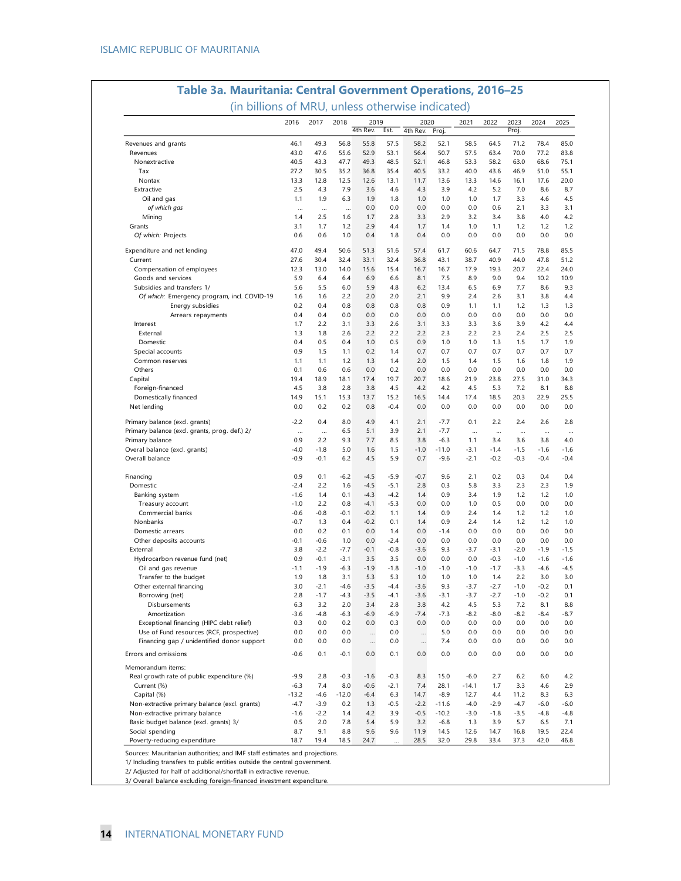| (in billions of MRU, unless otherwise indicated) |               |               |               |                  |               |                  |               |               |               |               |               |               |
|--------------------------------------------------|---------------|---------------|---------------|------------------|---------------|------------------|---------------|---------------|---------------|---------------|---------------|---------------|
|                                                  | 2016          | 2017          | 2018          | 2019<br>4th Rev. | Est.          | 2020<br>4th Rev. | Proj.         | 2021          | 2022          | 2023<br>Proj. | 2024          | 2025          |
| Revenues and grants                              | 46.1          | 49.3          | 56.8          | 55.8             | 57.5          | 58.2             | 52.1          | 58.5          | 64.5          | 71.2          | 78.4          | 85.0          |
| Revenues                                         | 43.0          | 47.6          | 55.6          | 52.9             | 53.1          | 56.4             | 50.7          | 57.5          | 63.4          | 70.0          | 77.2          | 83.8          |
| Nonextractive                                    | 40.5          | 43.3          | 47.7          | 49.3             | 48.5          | 52.1             | 46.8          | 53.3          | 58.2          | 63.0          | 68.6          | 75.1          |
| Tax                                              | 27.2          | 30.5          | 35.2          | 36.8             | 35.4          | 40.5             | 33.2          | 40.0          | 43.6          | 46.9          | 51.0          | 55.1          |
| Nontax                                           | 13.3          | 12.8          | 12.5          | 12.6             | 13.1          | 11.7             | 13.6          | 13.3          | 14.6          | 16.1          | 17.6          | 20.0          |
| Extractive                                       | 2.5           | 4.3           | 7.9           | 3.6              | 4.6           | 4.3              | 3.9           | 4.2           | 5.2           | 7.0           | 8.6           | 8.7           |
| Oil and gas                                      | 1.1           | 1.9           | 6.3           | 1.9              | 1.8           | 1.0              | 1.0           | 1.0           | 1.7           | 3.3           | 4.6           | 4.5           |
| of which gas                                     | $\cdots$      | $\cdots$      | $\cdots$      | 0.0              | 0.0           | 0.0              | 0.0           | 0.0           | 0.6           | 2.1           | 3.3           | 3.1           |
| Mining                                           | 1.4<br>3.1    | 2.5<br>1.7    | 1.6<br>1.2    | 1.7<br>2.9       | 2.8<br>4.4    | 3.3<br>1.7       | 2.9<br>1.4    | 3.2<br>1.0    | 3.4<br>1.1    | 3.8<br>1.2    | 4.0<br>1.2    | 4.2<br>1.2    |
| Grants<br>Of which: Projects                     | 0.6           | 0.6           | 1.0           | 0.4              | 1.8           | 0.4              | 0.0           | 0.0           | 0.0           | 0.0           | 0.0           | 0.0           |
|                                                  |               |               |               |                  |               |                  |               |               |               |               |               |               |
| Expenditure and net lending                      | 47.0          | 49.4          | 50.6          | 51.3             | 51.6          | 57.4             | 61.7          | 60.6          | 64.7          | 71.5          | 78.8          | 85.5          |
| Current                                          | 27.6          | 30.4          | 32.4          | 33.1             | 32.4          | 36.8             | 43.1          | 38.7          | 40.9          | 44.0          | 47.8          | 51.2          |
| Compensation of employees                        | 12.3          | 13.0          | 14.0          | 15.6             | 15.4          | 16.7             | 16.7          | 17.9          | 19.3          | 20.7          | 22.4          | 24.0          |
| Goods and services                               | 5.9           | 6.4           | 6.4           | 6.9              | 6.6           | 8.1              | 7.5           | 8.9           | 9.0           | 9.4           | 10.2          | 10.9          |
| Subsidies and transfers 1/                       | 5.6           | 5.5           | 6.0           | 5.9              | 4.8           | 6.2              | 13.4          | 6.5           | 6.9           | 7.7           | 8.6           | 9.3           |
| Of which: Emergency program, incl. COVID-19      | 1.6           | 1.6<br>0.4    | 2.2           | 2.0              | 2.0           | 2.1              | 9.9           | 2.4           | 2.6           | 3.1           | 3.8           | 4.4<br>1.3    |
| Energy subsidies                                 | 0.2<br>0.4    | 0.4           | 0.8<br>0.0    | 0.8<br>0.0       | 0.8<br>0.0    | 0.8<br>0.0       | 0.9<br>0.0    | 1.1<br>0.0    | 1.1<br>0.0    | 1.2<br>0.0    | 1.3<br>0.0    | 0.0           |
| Arrears repayments<br>Interest                   | 1.7           | 2.2           | 3.1           | 3.3              | 2.6           | 3.1              | 3.3           | 3.3           | 3.6           | 3.9           | 4.2           | 4.4           |
| External                                         | 1.3           | 1.8           | 2.6           | 2.2              | 2.2           | 2.2              | 2.3           | 2.2           | 2.3           | 2.4           | 2.5           | 2.5           |
| Domestic                                         | 0.4           | 0.5           | 0.4           | 1.0              | 0.5           | 0.9              | 1.0           | 1.0           | 1.3           | 1.5           | 1.7           | 1.9           |
| Special accounts                                 | 0.9           | 1.5           | 1.1           | 0.2              | 1.4           | 0.7              | 0.7           | 0.7           | 0.7           | 0.7           | 0.7           | 0.7           |
| Common reserves                                  | 1.1           | 1.1           | 1.2           | 1.3              | 1.4           | 2.0              | 1.5           | 1.4           | 1.5           | 1.6           | 1.8           | 1.9           |
| Others                                           | 0.1           | 0.6           | 0.6           | 0.0              | 0.2           | 0.0              | 0.0           | 0.0           | 0.0           | 0.0           | 0.0           | 0.0           |
| Capital                                          | 19.4          | 18.9          | 18.1          | 17.4             | 19.7          | 20.7             | 18.6          | 21.9          | 23.8          | 27.5          | 31.0          | 34.3          |
| Foreign-financed                                 | 4.5           | 3.8           | 2.8           | 3.8              | 4.5           | 4.2              | 4.2           | 4.5           | 5.3           | 7.2           | 8.1           | 8.8           |
| Domestically financed                            | 14.9          | 15.1          | 15.3          | 13.7             | 15.2          | 16.5             | 14.4          | 17.4          | 18.5          | 20.3          | 22.9          | 25.5          |
| Net lending                                      | 0.0           | 0.2           | 0.2           | 0.8              | $-0.4$        | 0.0              | 0.0           | 0.0           | 0.0           | 0.0           | 0.0           | 0.0           |
| Primary balance (excl. grants)                   | $-2.2$        | 0.4           | 8.0           | 4.9              | 4.1           | 2.1              | $-7.7$        | 0.1           | 2.2           | 2.4           | 2.6           | 2.8           |
| Primary balance (excl. grants, prog. def.) 2/    |               | $\ddotsc$     | 6.5           | 5.1              | 3.9           | 2.1              | $-7.7$        |               | $\ddotsc$     | $\ddotsc$     |               | $\ddotsc$     |
| Primary balance                                  | 0.9           | 2.2           | 9.3           | 7.7              | 8.5           | 3.8              | $-6.3$        | 1.1           | 3.4           | 3.6           | 3.8           | 4.0           |
| Overal balance (excl. grants)                    | $-4.0$        | $-1.8$        | 5.0           | 1.6              | 1.5           | $-1.0$           | $-11.0$       | $-3.1$        | $-1.4$        | $-1.5$        | $-1.6$        | $-1.6$        |
| Overall balance                                  | $-0.9$        | $-0.1$        | 6.2           | 4.5              | 5.9           | 0.7              | $-9.6$        | $-2.1$        | -0.2          | $-0.3$        | $-0.4$        | $-0.4$        |
| Financing                                        | 0.9           | 0.1           | $-6.2$        | $-4.5$           | $-5.9$        | $-0.7$           | 9.6           | 2.1           | 0.2           | 0.3           | 0.4           | 0.4           |
| Domestic                                         | $-2.4$        | 2.2           | 1.6           | -4.5             | -5.1          | 2.8              | 0.3           | 5.8           | 3.3           | 2.3           | 2.3           | 1.9           |
| Banking system                                   | $-1.6$        | 1.4           | 0.1           | $-4.3$           | $-4.2$        | 1.4              | 0.9           | 3.4           | 1.9           | 1.2           | 1.2           | 1.0           |
| Treasury account                                 | $-1.0$        | 2.2           | 0.8           | $-4.1$           | $-5.3$        | 0.0              | 0.0           | 1.0           | 0.5           | 0.0           | 0.0           | 0.0           |
| Commercial banks                                 | $-0.6$        | $-0.8$        | $-0.1$        | $-0.2$           | 1.1           | 1.4              | 0.9           | 2.4           | 1.4           | 1.2           | 1.2           | 1.0           |
| Nonbanks                                         | $-0.7$        | 1.3           | 0.4           | $-0.2$           | 0.1           | 1.4              | 0.9           | 2.4           | 1.4           | 1.2           | 1.2           | 1.0           |
| Domestic arrears                                 | 0.0           | 0.2           | 0.1           | 0.0              | 1.4           | 0.0              | $-1.4$        | 0.0           | 0.0           | 0.0           | 0.0           | 0.0           |
| Other deposits accounts                          | $-0.1$        | $-0.6$        | 1.0           | 0.0              | $-2.4$        | 0.0              | 0.0           | 0.0           | 0.0           | 0.0           | 0.0           | 0.0           |
| External                                         | 3.8           | $-2.2$        | -7.7          | $-0.1$           | $-0.8$        | $-3.6$           | 9.3           | $-3.7$        | $-3.1$        | $-2.0$        | $-1.9$        | $-1.5$        |
| Hydrocarbon revenue fund (net)                   | 0.9           | $-0.1$        | $-3.1$        | 3.5              | 3.5           | 0.0              | 0.0           | 0.0           | $-0.3$        | $-1.0$        | $-1.6$        | $-1.6$        |
| Oil and gas revenue<br>Transfer to the budget    | $-1.1$<br>1.9 | $-1.9$<br>1.8 | $-6.3$<br>3.1 | $-1.9$<br>5.3    | $-1.8$<br>5.3 | $-1.0$<br>1.0    | $-1.0$<br>1.0 | $-1.0$<br>1.0 | $-1.7$<br>1.4 | $-3.3$<br>2.2 | $-4.6$<br>3.0 | $-4.5$<br>3.0 |
| Other external financing                         | 3.0           | $-2.1$        | $-4.6$        | $-3.5$           | $-4.4$        | $-3.6$           | 9.3           | $-3.7$        | $-2.7$        | $-1.0$        | $-0.2$        | 0.1           |
| Borrowing (net)                                  | 2.8           | $-1.7$        | $-4.3$        | $-3.5$           | $-4.1$        | $-3.6$           | $-3.1$        | $-3.7$        | $-2.7$        | $-1.0$        | $-0.2$        | 0.1           |
| Disbursements                                    | 6.3           | 3.2           | 2.0           | 3.4              | 2.8           | 3.8              | 4.2           | 4.5           | 5.3           | 7.2           | 8.1           | 8.8           |
| Amortization                                     | $-3.6$        | $-4.8$        | -6.3          | $-6.9$           | $-6.9$        | $-7.4$           | $-7.3$        | $-8.2$        | $-8.0$        | $-8.2$        | $-8.4$        | $-8.7$        |
| Exceptional financing (HIPC debt relief)         | 0.3           | 0.0           | 0.2           | 0.0              | 0.3           | 0.0              | 0.0           | 0.0           | 0.0           | 0.0           | 0.0           | 0.0           |
| Use of Fund resources (RCF, prospective)         | 0.0           | 0.0           | 0.0           | $\cdots$         | 0.0           |                  | 5.0           | 0.0           | 0.0           | 0.0           | 0.0           | 0.0           |
| Financing gap / unidentified donor support       | 0.0           | 0.0           | 0.0           | $\cdots$         | 0.0           | $\cdots$         | 7.4           | 0.0           | 0.0           | 0.0           | 0.0           | 0.0           |
| Errors and omissions                             | $-0.6$        | 0.1           | $-0.1$        | 0.0              | 0.1           | 0.0              | 0.0           | 0.0           | 0.0           | 0.0           | 0.0           | 0.0           |
| Memorandum items:                                |               |               |               |                  |               |                  |               |               |               |               |               |               |
| Real growth rate of public expenditure (%)       | $-9.9$        | 2.8           | $-0.3$        | $-1.6$           | $-0.3$        | 8.3              | 15.0          | $-6.0$        | 2.7           | 6.2           | 6.0           | 4.2           |
| Current (%)                                      | $-6.3$        | 7.4           | 8.0           | $-0.6$           | $-2.1$        | 7.4              | 28.1          | $-14.1$       | 1.7           | 3.3           | 4.6           | 2.9           |
| Capital (%)                                      | $-13.2$       | $-4.6$        | $-12.0$       | $-6.4$           | 6.3           | 14.7             | $-8.9$        | 12.7          | 4.4           | 11.2          | 8.3           | 6.3           |
| Non-extractive primary balance (excl. grants)    | $-4.7$        | $-3.9$        | 0.2           | 1.3              | $-0.5$        | $-2.2$           | $-11.6$       | $-4.0$        | $-2.9$        | $-4.7$        | $-6.0$        | $-6.0$        |
| Non-extractive primary balance                   | $-1.6$        | $-2.2$        | 1.4           | 4.2              | 3.9           | $-0.5$           | $-10.2$       | $-3.0$        | $-1.8$        | $-3.5$        | $-4.8$        | $-4.8$        |
| Basic budget balance (excl. grants) 3/           | 0.5           | 2.0           | 7.8           | 5.4              | 5.9           | 3.2              | $-6.8$        | 1.3           | 3.9           | 5.7           | 6.5           | 7.1           |
| Social spending                                  | 8.7           | 9.1           | 8.8           | 9.6              | 9.6           | 11.9             | 14.5          | 12.6          | 14.7          | 16.8          | 19.5          | 22.4          |
| Poverty-reducing expenditure                     | 18.7          | 19.4          | 18.5          | 24.7             | $\ddotsc$     | 28.5             | 32.0          | 29.8          | 33.4          | 37.3          | 42.0          | 46.8          |

Sources: Mauritanian authorities; and IMF staff estimates and projections.

1/ Including transfers to public entities outside the central government.

2/ Adjusted for half of additional/shortfall in extractive revenue. 3/ Overall balance excluding foreign-financed investment expenditure.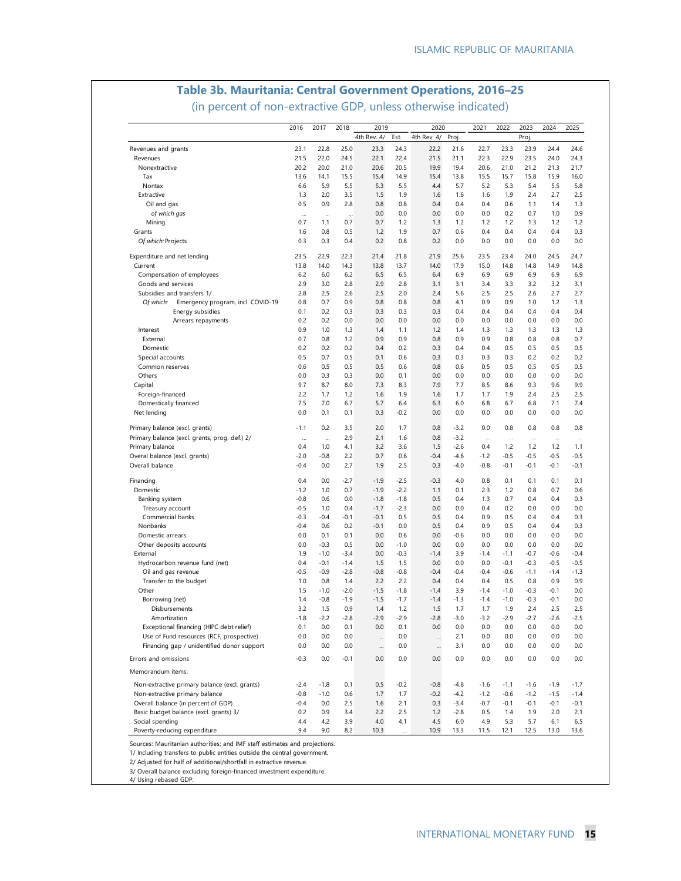# **Table 3b. Mauritania: Central Government Operations, 2016–25**

(in percent of non-extractive GDP, unless otherwise indicated)

|                                                                                 | 2016             | 2017            | 2018       | 2019        |            | 2020        |                  | 2021    | 2022             | 2023             | 2024            | 2025    |
|---------------------------------------------------------------------------------|------------------|-----------------|------------|-------------|------------|-------------|------------------|---------|------------------|------------------|-----------------|---------|
|                                                                                 |                  |                 |            | 4th Rev. 4/ | Est.       | 4th Rev. 4/ | Proj.            |         |                  | Proj.            |                 |         |
| Revenues and grants                                                             | 23.1             | 22.8            | 25.0       | 23.3        | 24.3       | 22.2        | 21.6             | 22.7    | 23.3             | 23.9             | 24.4            | 24.6    |
| Revenues                                                                        | 21.5             | 22.0            | 24.5       | 22.1        | 22.4       | 21.5        | 21.1             | 22.3    | 22.9             | 23.5             | 24.0            | 24.3    |
| Nonextractive                                                                   | 20.2             | 20.0            | 21.0       | 20.6        | 20.5       | 19.9        | 19.4             | 20.6    | 21.0             | 21.2             | 21.3            | 21.7    |
| Tax                                                                             | 13.6             | 14.1            | 15.5       | 15.4        | 14.9       | 15.4        | 13.8             | 15.5    | 15.7             | 15.8             | 15.9            | 16.0    |
| Nontax                                                                          | 6.6              | 5.9             | 5.5        | 5.3         | 5.5        | 4.4         | 5.7              | 5.2     | 5.3              | 5.4              | 5.5             | 5.8     |
| Extractive                                                                      | 1.3              | 2.0             | 3.5        | 1.5         | 1.9        | 1.6         | 1.6              | 1.6     | 1.9              | 2.4              | 2.7             | 2.5     |
| Oil and gas                                                                     | 0.5              | 0.9             | 2.8        | 0.8         | 0.8        | 0.4         | 0.4              | 0.4     | 0.6              | 1.1              | 1.4             | 1.3     |
| of which gas                                                                    | $\cdots$         | $\cdots$        | $\ddotsc$  | 0.0         | 0.0        | 0.0         | 0.0              | 0.0     | 0.2              | 0.7              | 1.0             | 0.9     |
| Mining                                                                          | 0.7              | 1.1             | 0.7        | 0.7         | 1.2        | 1.3         | 1.2              | 1.2     | 1.2              | 1.3              | 1.2             | 1.2     |
| Grants                                                                          | 1.6              | 0.8             | 0.5        | 1.2         | 1.9        | 0.7         | 0.6              | 0.4     | 0.4              | 0.4              | 0.4             | 0.3     |
| Of which: Projects                                                              | 0.3              | 0.3             | 0.4        | 0.2         | 0.8        | 0.2         | 0.0              | 0.0     | 0.0              | 0.0              | 0.0             | 0.0     |
| Expenditure and net lending                                                     | 23.5             | 22.9            | 22.3       | 21.4        | 21.8       | 21.9        | 25.6             | 23.5    | 23.4             | 24.0             | 24.5            | 24.7    |
| Current                                                                         | 13.8             | 14.0            | 14.3       | 13.8        | 13.7       | 14.0        | 17.9             | 15.0    | 14.8             | 14.8             | 14.9            | 14.8    |
| Compensation of employees                                                       | 6.2              | 6.0             | 6.2        | 6.5         | 6.5        | 6.4         | 6.9              | 6.9     | 6.9              | 6.9              | 6.9             | 6.9     |
| Goods and services                                                              | 2.9              | 3.0             | 2.8        | 2.9         | 2.8        | 3.1         | 3.1              | 3.4     | 3.3              | 3.2              | 3.2             | 3.1     |
| Subsidies and transfers 1/                                                      | 2.8              | 2.5             | 2.6        | 2.5         | 2.0        | 2.4         | 5.6              | 2.5     | 2.5              | 2.6              | 2.7             | 2.7     |
| Of which:<br>Emergency program, incl. COVID-19                                  | 0.8              | 0.7             | 0.9        | 0.8         | 0.8        | 0.8         | 4.1              | 0.9     | 0.9              | 1.0              | 1.2             | 1.3     |
| Energy subsidies                                                                | 0.1              | 0.2             | 0.3        | 0.3         | 0.3        | 0.3         | 0.4              | 0.4     | 0.4              | 0.4              | 0.4             | 0.4     |
| Arrears repayments                                                              | 0.2              | 0.2             | 0.0        | 0.0         | 0.0        | 0.0         | 0.0              | 0.0     | 0.0              | 0.0              | 0.0             | 0.0     |
| Interest                                                                        | 0.9              | 1.0             | 1.3        | 1.4         | 1.1        | 1.2         | 1.4              | 1.3     | 1.3              | 1.3              | 1.3             | 1.3     |
| External                                                                        | 0.7              | 0.8             | 1.2        | 0.9         | 0.9        | 0.8         | 0.9              | 0.9     | 0.8              | 0.8              | 0.8             | 0.7     |
| Domestic                                                                        | 0.2              | 0.2             | 0.2        | 0.4         | 0.2        | 0.3         | 0.4              | 0.4     | 0.5              | 0.5              | 0.5             | 0.5     |
| Special accounts                                                                | 0.5              | 0.7             | 0.5        | 0.1         | 0.6        | 0.3         | 0.3              | 0.3     | 0.3              | 0.2              | 0.2             | 0.2     |
| Common reserves                                                                 | 0.6              | 0.5             | 0.5        | 0.5         | 0.6        | 0.8         | 0.6              | 0.5     | 0.5              | 0.5              | 0.5             | 0.5     |
| Others                                                                          | 0.0              | 0.3             | 0.3        | 0.0         | 0.1        | 0.0         | 0.0              | 0.0     | 0.0              | 0.0              | 0.0             | 0.0     |
| Capital                                                                         | 9.7              | 8.7             | 8.0        | 7.3         | 8.3        | 7.9         | 7.7              | 8.5     | 8.6              | 9.3              | 9.6             | 9.9     |
| Foreign-financed                                                                | 2.2              | 1.7             | 1.2        | 1.6         | 1.9        | 1.6         | 1.7              | 1.7     | 1.9              | 2.4              | 2.5             | 2.5     |
| Domestically financed                                                           | 7.5              | 7.0             | 6.7        | 5.7         | 6.4        | 6.3         | 6.0              | 6.8     | 6.7              | 6.8              | 7.1             | 7.4     |
| Net lending                                                                     | 0.0              | 0.1             | 0.1        | 0.3         | $-0.2$     | 0.0         | 0.0              | 0.0     | 0.0              | 0.0              | 0.0             | 0.0     |
|                                                                                 |                  |                 |            |             |            |             |                  |         |                  |                  |                 | 0.8     |
| Primary balance (excl. grants)<br>Primary balance (excl. grants, prog. def.) 2/ | $-1.1$           | 0.2             | 3.5<br>2.9 | 2.0<br>2.1  | 1.7<br>1.6 | 0.8<br>0.8  | $-3.2$<br>$-3.2$ | 0.0     | 0.8              | 0.8              | 0.8             |         |
| Primary balance                                                                 | $\ddotsc$<br>0.4 | $\cdots$<br>1.0 | 4.1        | 3.2         | 3.6        | 1.5         | $-2.6$           | <br>0.4 | $\ddotsc$<br>1.2 | $\ddotsc$<br>1.2 | $\cdots$<br>1.2 | <br>1.1 |
| Overal balance (excl. grants)                                                   | -2.0             | $-0.8$          | 2.2        | 0.7         | 0.6        | $-0.4$      | $-4.6$           | $-1.2$  | $-0.5$           | $-0.5$           | $-0.5$          | $-0.5$  |
| Overall balance                                                                 | $-0.4$           | 0.0             | 2.7        | 1.9         | 2.5        | 0.3         | $-4.0$           | $-0.8$  | -0.1             | $-0.1$           | $-0.1$          | $-0.1$  |
|                                                                                 |                  |                 |            |             |            |             |                  |         |                  |                  |                 |         |
| Financing                                                                       | 0.4              | 0.0             | -2.7       | $-1.9$      | $-2.5$     | $-0.3$      | 4.0              | 0.8     | 0.1              | 0.1              | 0.1             | 0.1     |
| Domestic                                                                        | $-1.2$           | 1.0             | 0.7        | $-1.9$      | $-2.2$     | 1.1         | 0.1              | 2.3     | 1.2              | 0.8              | 0.7             | 0.6     |
| Banking system                                                                  | $-0.8$           | 0.6             | 0.0        | $-1.8$      | $-1.8$     | 0.5         | 0.4              | 1.3     | 0.7              | 0.4              | 0.4             | 0.3     |
| Treasury account                                                                | $-0.5$           | 1.0             | 0.4        | $-1.7$      | $-2.3$     | 0.0         | 0.0              | 0.4     | 0.2              | 0.0              | 0.0             | 0.0     |
| Commercial banks                                                                | $-0.3$           | $-0.4$          | -0.1       | $-0.1$      | 0.5        | 0.5         | 0.4              | 0.9     | 0.5              | 0.4              | 0.4             | 0.3     |
| Nonbanks                                                                        | $-0.4$           | 0.6             | 0.2        | $-0.1$      | 0.0        | 0.5         | 0.4              | 0.9     | 0.5              | 0.4              | 0.4             | 0.3     |
| Domestic arrears                                                                | 0.0              | 0.1             | 0.1        | 0.0         | 0.6        | 0.0         | $-0.6$           | 0.0     | 0.0              | 0.0              | 0.0             | 0.0     |
| Other deposits accounts                                                         | 0.0              | $-0.3$          | 0.5        | 0.0         | $-1.0$     | 0.0         | 0.0              | 0.0     | 0.0              | 0.0              | 0.0             | 0.0     |
| External                                                                        | 1.9              | $-1.0$          | $-3.4$     | 0.0         | $-0.3$     | $-1.4$      | 3.9              | $-1.4$  | $-1.1$           | $-0.7$           | $-0.6$          | $-0.4$  |
| Hydrocarbon revenue fund (net)                                                  | 0.4              | $-0.1$          | $-1.4$     | 1.5         | 1.5        | 0.0         | 0.0              | 0.0     | $-0.1$           | $-0.3$           | $-0.5$          | $-0.5$  |
| Oil and gas revenue                                                             | $-0.5$           | $-0.9$          | $-2.8$     | $-0.8$      | $-0.8$     | $-0.4$      | $-0.4$           | $-0.4$  | $-0.6$           | $-1.1$           | $-1.4$          | $-1.3$  |
| Transfer to the budget                                                          | 1.0              | 0.8             | 1.4        | 2.2         | 2.2        | 0.4         | 0.4              | 0.4     | 0.5              | 0.8              | 0.9             | 0.9     |
| Other                                                                           | 1.5              | $-1.0$          | $-2.0$     | $-1.5$      | $-1.8$     | $-1.4$      | 3.9              | $-1.4$  | $-1.0$           | $-0.3$           | $-0.1$          | 0.0     |
| Borrowing (net)                                                                 | 1.4              | $-0.8$          | $-1.9$     | $-1.5$      | $-1.7$     | $-1.4$      | $-1.3$           | $-1.4$  | $-1.0$           | $-0.3$           | $-0.1$          | 0.0     |
| Disbursements                                                                   | 3.2              | 1.5             | 0.9        | 1.4         | 1.2        | 1.5         | 1.7              | 1.7     | 1.9              | 2.4              | 2.5             | 2.5     |
| Amortization                                                                    | -1.8             | -2.2            | -2.8       | $-2.9$      | و.ح.       | $-2.8$      | -3.0             | -3.2    | $-2.9$           | $-2.7$           | $-2.6$          | -2.5    |
| Exceptional financing (HIPC debt relief)                                        | 0.1              | 0.0             | 0.1        | 0.0         | 0.1        | 0.0         | 0.0              | 0.0     | 0.0              | 0.0              | 0.0             | 0.0     |
| Use of Fund resources (RCF, prospective)                                        | 0.0              | 0.0             | 0.0        | $\cdots$    | 0.0        | $\cdots$    | 2.1              | 0.0     | 0.0              | 0.0              | 0.0             | 0.0     |
| Financing gap / unidentified donor support                                      | 0.0              | 0.0             | 0.0        |             | 0.0        |             | 3.1              | 0.0     | 0.0              | 0.0              | 0.0             | 0.0     |
| Errors and omissions                                                            | $-0.3$           | 0.0             | -0.1       | 0.0         | 0.0        | 0.0         | 0.0              | 0.0     | 0.0              | 0.0              | 0.0             | 0.0     |
| Memorandum items:                                                               |                  |                 |            |             |            |             |                  |         |                  |                  |                 |         |
| Non-extractive primary balance (excl. grants)                                   | $-2.4$           | $-1.8$          | 0.1        | 0.5         | $-0.2$     | $-0.8$      | $-4.8$           | $-1.6$  | $-1.1$           | $-1.6$           | $-1.9$          | $-1.7$  |
| Non-extractive primary balance                                                  | $-0.8$           | $-1.0$          | 0.6        | 1.7         | 1.7        | $-0.2$      | $-4.2$           | $-1.2$  | $-0.6$           | $-1.2$           | $-1.5$          | $-1.4$  |
| Overall balance (in percent of GDP)                                             | $-0.4$           | 0.0             | 2.5        | 1.6         | 2.1        | 0.3         | $-3.4$           | $-0.7$  | $-0.1$           | $-0.1$           | $-0.1$          | $-0.1$  |
| Basic budget balance (excl. grants) 3/                                          | 0.2              | 0.9             | 3.4        | 2.2         | 2.5        | 1.2         | $-2.8$           | 0.5     | 1.4              | 1.9              | 2.0             | 2.1     |
| Social spending                                                                 | 4.4              | 4.2             | 3.9        | 4.0         | 4.1        | 4.5         | 6.0              | 4.9     | 5.3              | 5.7              | 6.1             | 6.5     |
| Poverty-reducing expenditure                                                    | 9.4              | 9.0             | 8.2        | 10.3        |            | 10.9        | 13.3             | 11.5    | 12.1             | 12.5             | 13.0            | 13.6    |

Sources: Mauritanian authorities; and IMF staff estimates and projections.

1/ Including transfers to public entities outside the central government.

2/ Adjusted for half of additional/shortfall in extractive revenue.

3/ Overall balance excluding foreign-financed investment expenditure.

4/ Using rebased GDP.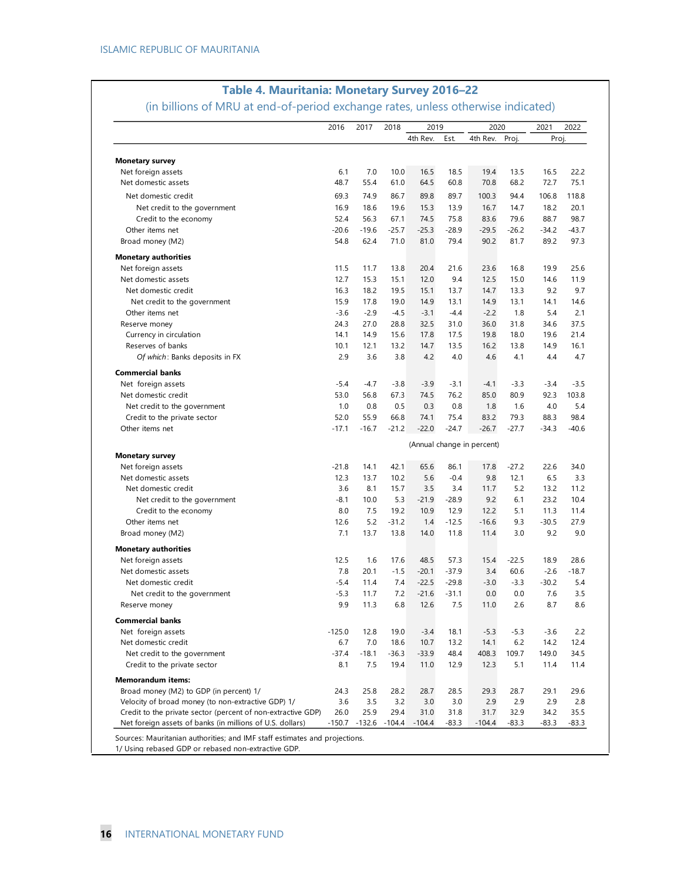|                                                                                                                           | 2016             | 2017             | 2018             | 2019             |                 | 2020                       |                 | 2021            | 2022          |
|---------------------------------------------------------------------------------------------------------------------------|------------------|------------------|------------------|------------------|-----------------|----------------------------|-----------------|-----------------|---------------|
|                                                                                                                           |                  |                  |                  | 4th Rev.         | Est.            | 4th Rev.                   | Proj.           | Proj.           |               |
| <b>Monetary survey</b>                                                                                                    |                  |                  |                  |                  |                 |                            |                 |                 |               |
| Net foreign assets                                                                                                        | 6.1              | 7.0              | 10.0             | 16.5             | 18.5            | 19.4                       | 13.5            | 16.5            | 22.2          |
| Net domestic assets                                                                                                       | 48.7             | 55.4             | 61.0             | 64.5             | 60.8            | 70.8                       | 68.2            | 72.7            | 75.1          |
| Net domestic credit                                                                                                       | 69.3             | 74.9             | 86.7             | 89.8             | 89.7            | 100.3                      | 94.4            | 106.8           | 118.8         |
| Net credit to the government                                                                                              | 16.9             | 18.6             | 19.6             | 15.3             | 13.9            | 16.7                       | 14.7            | 18.2            | 20.1          |
| Credit to the economy                                                                                                     | 52.4             | 56.3             | 67.1             | 74.5             | 75.8            | 83.6                       | 79.6            | 88.7            | 98.7          |
| Other items net                                                                                                           | $-20.6$          | $-19.6$          | $-25.7$          | $-25.3$          | $-28.9$         | $-29.5$                    | $-26.2$         | $-34.2$         | $-43.7$       |
| Broad money (M2)                                                                                                          | 54.8             | 62.4             | 71.0             | 81.0             | 79.4            | 90.2                       | 81.7            | 89.2            | 97.3          |
| <b>Monetary authorities</b>                                                                                               |                  |                  |                  |                  |                 |                            |                 |                 |               |
| Net foreign assets                                                                                                        | 11.5             | 11.7             | 13.8             | 20.4             | 21.6            | 23.6                       | 16.8            | 19.9            | 25.6          |
| Net domestic assets                                                                                                       | 12.7             | 15.3             | 15.1             | 12.0             | 9.4             | 12.5                       | 15.0            | 14.6            | 11.9          |
| Net domestic credit                                                                                                       | 16.3             | 18.2             | 19.5             | 15.1             | 13.7            | 14.7                       | 13.3            | 9.2             | 9.7           |
| Net credit to the government                                                                                              | 15.9             | 17.8             | 19.0             | 14.9             | 13.1            | 14.9                       | 13.1            | 14.1            | 14.6          |
| Other items net                                                                                                           | $-3.6$           | $-2.9$           | $-4.5$           | $-3.1$           | $-4.4$          | $-2.2$                     | 1.8             | 5.4             | 2.1           |
| Reserve money                                                                                                             | 24.3             | 27.0             | 28.8             | 32.5             | 31.0            | 36.0                       | 31.8            | 34.6            | 37.5          |
| Currency in circulation                                                                                                   | 14.1             | 14.9             | 15.6             | 17.8             | 17.5            | 19.8                       | 18.0            | 19.6            | 21.4          |
| Reserves of banks                                                                                                         | 10.1             | 12.1             | 13.2             | 14.7             | 13.5            | 16.2                       | 13.8            | 14.9            | 16.1          |
| Of which: Banks deposits in FX                                                                                            | 2.9              | 3.6              | 3.8              | 4.2              | 4.0             | 4.6                        | 4.1             | 4.4             | 4.7           |
| <b>Commercial banks</b>                                                                                                   |                  |                  |                  |                  |                 |                            |                 |                 |               |
| Net foreign assets                                                                                                        | $-5.4$           | $-4.7$           | $-3.8$           | $-3.9$           | $-3.1$          | -4.1                       | $-3.3$          | $-3.4$          | $-3.5$        |
| Net domestic credit                                                                                                       | 53.0             | 56.8             | 67.3             | 74.5             | 76.2            | 85.0                       | 80.9            | 92.3            | 103.8         |
| Net credit to the government                                                                                              | 1.0              | 0.8              | 0.5              | 0.3              | 0.8             | 1.8                        | 1.6             | 4.0             | 5.4           |
| Credit to the private sector                                                                                              | 52.0             | 55.9             | 66.8             | 74.1             | 75.4            | 83.2                       | 79.3            | 88.3            | 98.4          |
| Other items net                                                                                                           | $-17.1$          | $-16.7$          | $-21.2$          | $-22.0$          | $-24.7$         | $-26.7$                    | $-27.7$         | $-34.3$         | $-40.6$       |
|                                                                                                                           |                  |                  |                  |                  |                 | (Annual change in percent) |                 |                 |               |
| <b>Monetary survey</b><br>Net foreign assets                                                                              | $-21.8$          | 14.1             | 42.1             | 65.6             | 86.1            | 17.8                       | $-27.2$         | 22.6            | 34.0          |
| Net domestic assets                                                                                                       | 12.3             | 13.7             | 10.2             | 5.6              | $-0.4$          | 9.8                        | 12.1            | 6.5             | 3.3           |
| Net domestic credit                                                                                                       | 3.6              | 8.1              | 15.7             | 3.5              | 3.4             | 11.7                       | 5.2             | 13.2            | 11.2          |
| Net credit to the government                                                                                              | $-8.1$           | 10.0             | 5.3              | $-21.9$          | $-28.9$         | 9.2                        | 6.1             | 23.2            | 10.4          |
| Credit to the economy                                                                                                     | 8.0              | 7.5              | 19.2             | 10.9             | 12.9            | 12.2                       | 5.1             | 11.3            | 11.4          |
| Other items net                                                                                                           | 12.6             | 5.2              | $-31.2$          | 1.4              | $-12.5$         | $-16.6$                    | 9.3             | $-30.5$         | 27.9          |
| Broad money (M2)                                                                                                          | 7.1              | 13.7             | 13.8             | 14.0             | 11.8            | 11.4                       | 3.0             | 9.2             | 9.0           |
| <b>Monetary authorities</b>                                                                                               |                  |                  |                  |                  |                 |                            |                 |                 |               |
| Net foreign assets                                                                                                        | 12.5             | 1.6              | 17.6             | 48.5             | 57.3            | 15.4                       | $-22.5$         | 18.9            | 28.6          |
| Net domestic assets                                                                                                       | 7.8              | 20.1             | $-1.5$           | $-20.1$          | $-37.9$         | 3.4                        | 60.6            | $-2.6$          | $-18.7$       |
| Net domestic credit                                                                                                       | -5.4             | 11.4             | 7.4              | $-22.5$          | $-29.8$         | $-3.0$                     | $-3.3$          | $-30.2$         | 5.4           |
| Net credit to the government                                                                                              | $-5.3$           | 11.7             | 7.2              | $-21.6$          | $-31.1$         | 0.0                        | 0.0             | 7.6             | 3.5           |
| Reserve money                                                                                                             | 9.9              | 11.3             | 6.8              | 12.6             | 7.5             | 11.0                       | 2.6             | 8.7             | 8.6           |
| <b>Commercial banks</b>                                                                                                   |                  |                  |                  |                  |                 |                            |                 |                 |               |
| Net foreign assets                                                                                                        | $-125.0$         | 12.8             | 19.0             | $-3.4$           | 18.1            | $-5.3$                     | $-5.3$          | $-3.6$          | 2.2           |
| Net domestic credit                                                                                                       | 6.7              | 7.0              | 18.6             | 10.7             | 13.2            | 14.1                       | 6.2             | 14.2            | 12.4          |
| Net credit to the government                                                                                              | $-37.4$          | $-18.1$          | $-36.3$          | $-33.9$          | 48.4            | 408.3                      | 109.7           | 149.0           | 34.5          |
| Credit to the private sector                                                                                              | 8.1              | 7.5              | 19.4             | 11.0             | 12.9            | 12.3                       | 5.1             | 11.4            | 11.4          |
| <b>Memorandum items:</b>                                                                                                  |                  |                  |                  |                  |                 |                            |                 |                 |               |
| Broad money (M2) to GDP (in percent) 1/                                                                                   | 24.3             | 25.8             | 28.2             | 28.7             | 28.5            | 29.3                       | 28.7            | 29.1            | 29.6          |
| Velocity of broad money (to non-extractive GDP) 1/                                                                        | 3.6              | 3.5              | 3.2              | 3.0              | 3.0             | 2.9                        | 2.9             | 2.9             | 2.8           |
| Credit to the private sector (percent of non-extractive GDP)<br>Net foreign assets of banks (in millions of U.S. dollars) | 26.0<br>$-150.7$ | 25.9<br>$-132.6$ | 29.4<br>$-104.4$ | 31.0<br>$-104.4$ | 31.8<br>$-83.3$ | 31.7<br>$-104.4$           | 32.9<br>$-83.3$ | 34.2<br>$-83.3$ | 35.5<br>-83.3 |

1/ Using rebased GDP or rebased non-extractive GDP.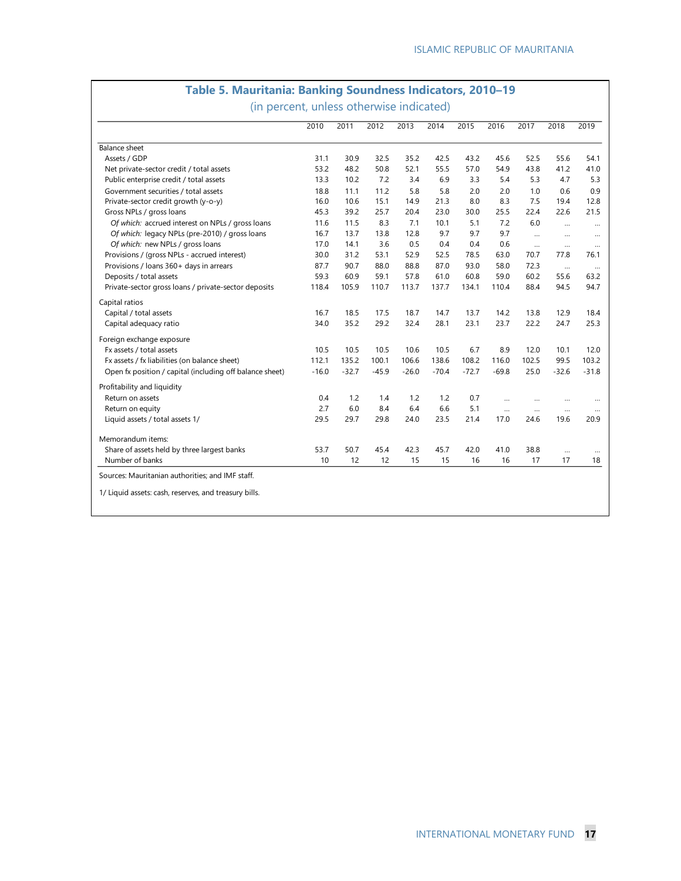# **Table 5. Mauritania: Banking Soundness Indicators, 2010–19 Table 5. Mauritania: Banking Soundness Indicators, 2010–19**

(in percent, unless otherwise indicated) (In percent, unless otherwise indicated)

|                                                          | 2010    | 2011    | 2012    | 2013    | 2014    | 2015    | 2016     | 2017      | 2018     | 2019           |
|----------------------------------------------------------|---------|---------|---------|---------|---------|---------|----------|-----------|----------|----------------|
| <b>Balance sheet</b>                                     |         |         |         |         |         |         |          |           |          |                |
| Assets / GDP                                             | 31.1    | 30.9    | 32.5    | 35.2    | 42.5    | 43.2    | 45.6     | 52.5      | 55.6     | 54.1           |
| Net private-sector credit / total assets                 | 53.2    | 48.2    | 50.8    | 52.1    | 55.5    | 57.0    | 54.9     | 43.8      | 41.2     | 41.0           |
| Public enterprise credit / total assets                  | 13.3    | 10.2    | 7.2     | 3.4     | 6.9     | 3.3     | 5.4      | 5.3       | 4.7      | 5.3            |
| Government securities / total assets                     | 18.8    | 11.1    | 11.2    | 5.8     | 5.8     | 2.0     | 2.0      | 1.0       | 0.6      | 0.9            |
| Private-sector credit growth (y-o-y)                     | 16.0    | 10.6    | 15.1    | 14.9    | 21.3    | 8.0     | 8.3      | 7.5       | 19.4     | 12.8           |
| Gross NPLs / gross loans                                 | 45.3    | 39.2    | 25.7    | 20.4    | 23.0    | 30.0    | 25.5     | 22.4      | 22.6     | 21.5           |
| Of which: accrued interest on NPLs / gross loans         | 11.6    | 11.5    | 8.3     | 7.1     | 10.1    | 5.1     | 7.2      | 6.0       | $\cdots$ | $\cdots$       |
| Of which: legacy NPLs (pre-2010) / gross loans           | 16.7    | 13.7    | 13.8    | 12.8    | 9.7     | 9.7     | 9.7      | $\cdots$  |          |                |
| Of which: new NPLs / gross loans                         | 17.0    | 14.1    | 3.6     | 0.5     | 0.4     | 0.4     | 0.6      | $\cdots$  |          | $\cdots$       |
| Provisions / (gross NPLs - accrued interest)             | 30.0    | 31.2    | 53.1    | 52.9    | 52.5    | 78.5    | 63.0     | 70.7      | 77.8     | 76.1           |
| Provisions / Ioans 360+ days in arrears                  | 87.7    | 90.7    | 88.0    | 88.8    | 87.0    | 93.0    | 58.0     | 72.3      | $\cdots$ | $\cdots$       |
| Deposits / total assets                                  | 59.3    | 60.9    | 59.1    | 57.8    | 61.0    | 60.8    | 59.0     | 60.2      | 55.6     | 63.2           |
| Private-sector gross loans / private-sector deposits     | 118.4   | 105.9   | 110.7   | 113.7   | 137.7   | 134.1   | 110.4    | 88.4      | 94.5     | 94.7           |
| Capital ratios                                           |         |         |         |         |         |         |          |           |          |                |
| Capital / total assets                                   | 16.7    | 18.5    | 17.5    | 18.7    | 14.7    | 13.7    | 14.2     | 13.8      | 12.9     | 18.4           |
| Capital adequacy ratio                                   | 34.0    | 35.2    | 29.2    | 32.4    | 28.1    | 23.1    | 23.7     | 22.2      | 24.7     | 25.3           |
| Foreign exchange exposure                                |         |         |         |         |         |         |          |           |          |                |
| Fx assets / total assets                                 | 10.5    | 10.5    | 10.5    | 10.6    | 10.5    | 6.7     | 8.9      | 12.0      | 10.1     | 12.0           |
| Fx assets / fx liabilities (on balance sheet)            | 112.1   | 135.2   | 100.1   | 106.6   | 138.6   | 108.2   | 116.0    | 102.5     | 99.5     | 103.2          |
| Open fx position / capital (including off balance sheet) | $-16.0$ | $-32.7$ | $-45.9$ | $-26.0$ | $-70.4$ | $-72.7$ | $-69.8$  | 25.0      | $-32.6$  | $-31.8$        |
| Profitability and liquidity                              |         |         |         |         |         |         |          |           |          |                |
| Return on assets                                         | 0.4     | 1.2     | 1.4     | 1.2     | 1.2     | 0.7     | $\cdots$ | $\ddotsc$ |          |                |
| Return on equity                                         | 2.7     | 6.0     | 8.4     | 6.4     | 6.6     | 5.1     | $\cdots$ | $\cdots$  | $\cdots$ | $\ddotsc$      |
| Liquid assets / total assets 1/                          | 29.5    | 29.7    | 29.8    | 24.0    | 23.5    | 21.4    | 17.0     | 24.6      | 19.6     | 20.9           |
| Memorandum items:                                        |         |         |         |         |         |         |          |           |          |                |
| Share of assets held by three largest banks              | 53.7    | 50.7    | 45.4    | 42.3    | 45.7    | 42.0    | 41.0     | 38.8      |          |                |
| Number of banks                                          | 10      | 12      | 12      | 15      | 15      | 16      | 16       | 17        | 17       | $\cdots$<br>18 |
| Sources: Mauritanian authorities; and IMF staff.         |         |         |         |         |         |         |          |           |          |                |
|                                                          |         |         |         |         |         |         |          |           |          |                |
| 1/ Liquid assets: cash, reserves, and treasury bills.    |         |         |         |         |         |         |          |           |          |                |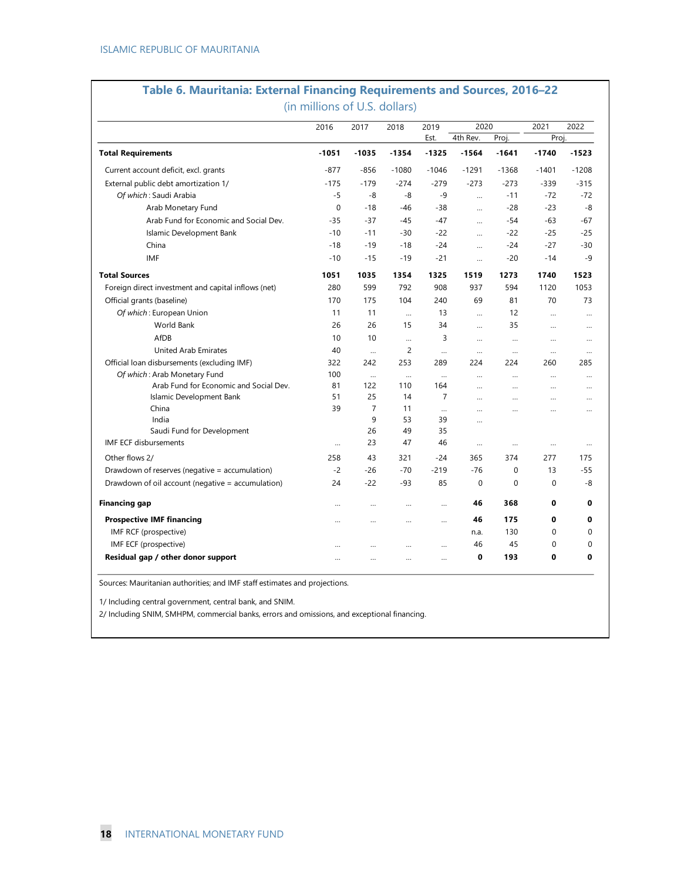## **Table 6. Mauritania: External Financing Requirements and Sources, 2016–22 Table 6. Mauritania: External Financing Requirements and Sources, 2016–22**(in millions of U.S. dollars) (In millions of U.S. dollars)

|                                                     | 2016      | 2017           | 2018           | 2019           | 2020                 |             | 2021      | 2022         |
|-----------------------------------------------------|-----------|----------------|----------------|----------------|----------------------|-------------|-----------|--------------|
|                                                     |           |                |                | Est.           | 4th Rev.             | Proj.       | Proj.     |              |
| <b>Total Requirements</b>                           | $-1051$   | $-1035$        | $-1354$        | $-1325$        | $-1564$              | $-1641$     | $-1740$   | $-1523$      |
| Current account deficit, excl. grants               | $-877$    | $-856$         | $-1080$        | $-1046$        | $-1291$              | $-1368$     | $-1401$   | $-1208$      |
| External public debt amortization 1/                | $-175$    | $-179$         | $-274$         | $-279$         | $-273$               | $-273$      | $-339$    | $-315$       |
| Of which: Saudi Arabia                              | $-5$      | -8             | -8             | $-9$           | $\ddotsc$            | $-11$       | $-72$     | $-72$        |
| Arab Monetary Fund                                  | 0         | $-18$          | -46            | $-38$          | $\cdots$             | $-28$       | $-23$     | -8           |
| Arab Fund for Economic and Social Dev.              | $-35$     | $-37$          | $-45$          | $-47$          | $\cdots$             | $-54$       | $-63$     | $-67$        |
| Islamic Development Bank                            | $-10$     | $-11$          | $-30$          | $-22$          | $\cdots$             | $-22$       | $-25$     | $-25$        |
| China                                               | $-18$     | $-19$          | $-18$          | $-24$          | $\cdots$             | $-24$       | $-27$     | $-30$        |
| <b>IMF</b>                                          | $-10$     | $-15$          | $-19$          | $-21$          | $\cdots$             | $-20$       | $-14$     | $-9$         |
| <b>Total Sources</b>                                | 1051      | 1035           | 1354           | 1325           | 1519                 | 1273        | 1740      | 1523         |
| Foreign direct investment and capital inflows (net) | 280       | 599            | 792            | 908            | 937                  | 594         | 1120      | 1053         |
| Official grants (baseline)                          | 170       | 175            | 104            | 240            | 69                   | 81          | 70        | 73           |
| Of which: European Union                            | 11        | 11             | $\ddotsc$      | 13             | $\ddotsc$            | 12          | $\ddotsc$ | $\cdots$     |
| World Bank                                          | 26        | 26             | 15             | 34             | $\cdots$             | 35          |           |              |
| AfDB                                                | 10        | 10             | $\cdots$       | 3              | $\cdots$             | $\cdots$    | $\cdots$  | $\ddotsc$    |
| <b>United Arab Emirates</b>                         | 40        | $\ddotsc$      | $\overline{c}$ | $\ddotsc$      | $\cdots$             | $\cdots$    | $\ddotsc$ | $\ddotsc$    |
| Official loan disbursements (excluding IMF)         | 322       | 242            | 253            | 289            | 224                  | 224         | 260       | 285          |
| Of which: Arab Monetary Fund                        | 100       | $\cdots$       | $\cdots$       | $\cdots$       | $\cdots$             |             |           |              |
| Arab Fund for Economic and Social Dev.              | 81        | 122            | 110            | 164            | $\sim$               | $\cdots$    | $\cdots$  | $\ddotsc$    |
| Islamic Development Bank                            | 51        | 25             | 14             | $\overline{7}$ | $\cdots$             |             |           | $\cdots$     |
| China                                               | 39        | $\overline{7}$ | 11             | $\ddotsc$      | $\ddot{\phantom{a}}$ | $\ddotsc$   | $\ddotsc$ | $\ddotsc$    |
| India                                               |           | 9              | 53             | 39             | $\ddotsc$            |             |           |              |
| Saudi Fund for Development                          |           | 26             | 49             | 35             |                      |             |           |              |
| <b>IMF ECF disbursements</b>                        |           | 23             | 47             | 46             | $\cdots$             | $\cdots$    |           | $\cdots$     |
| Other flows 2/                                      | 258       | 43             | 321            | $-24$          | 365                  | 374         | 277       | 175          |
| Drawdown of reserves (negative = accumulation)      | $-2$      | $-26$          | $-70$          | $-219$         | $-76$                | $\mathbf 0$ | 13        | $-55$        |
| Drawdown of oil account (negative = accumulation)   | 24        | $-22$          | -93            | 85             | $\mathbf{0}$         | $\Omega$    | 0         | -8           |
| <b>Financing gap</b>                                | $\ddotsc$ | $\cdots$       | $\cdots$       | $\cdots$       | 46                   | 368         | 0         | 0            |
| <b>Prospective IMF financing</b>                    | $\cdots$  | $\cdots$       | $\cdots$       | $\cdots$       | 46                   | 175         | 0         | $\mathbf 0$  |
| IMF RCF (prospective)                               |           |                |                |                | n.a.                 | 130         | 0         | $\mathbf{0}$ |
| IMF ECF (prospective)                               | $\cdots$  | $\cdots$       | $\cdots$       | $\ddotsc$      | 46                   | 45          | 0         | $\mathbf{0}$ |
| Residual gap / other donor support                  | $\ddotsc$ | $\ddotsc$      | $\cdots$       | $\ddotsc$      | 0                    | 193         | 0         | $\mathbf 0$  |

Sources: Mauritanian authorities; and IMF staff estimates and projections.

1/ Including central government, central bank, and SNIM.

2/ Including SNIM, SMHPM, commercial banks, errors and omissions, and exceptional financing.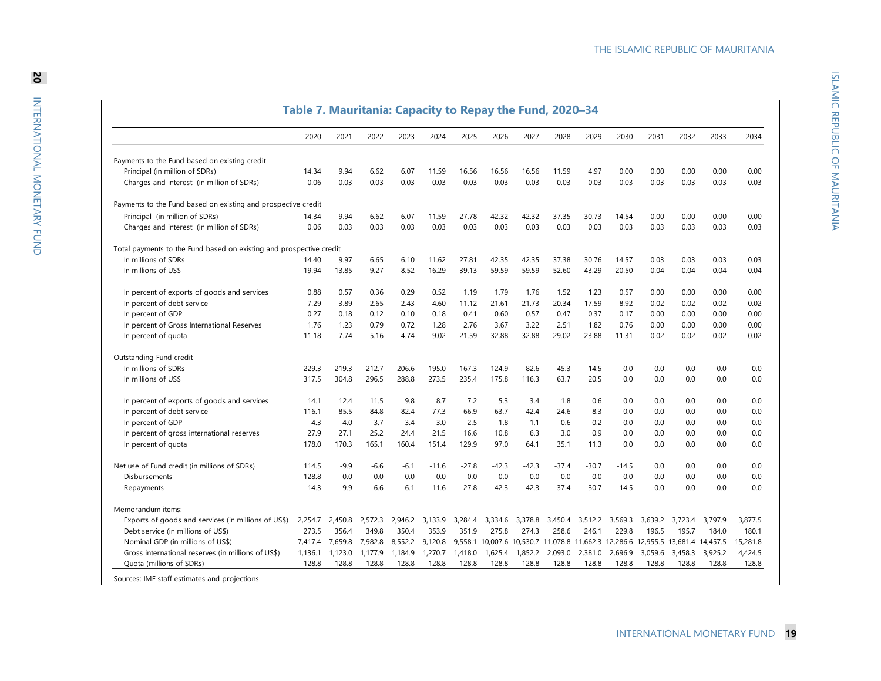ISLAMIC REPUBLIC OF MAURITANIA ISLAMIC REPUBLIC OF MAURITANIA

|                                                                     | Table 7. Mauritania: Capacity to Repay the Fund, 2020-34 |         |         |         |         |         |         |         |         |         |         |         |         |                                                                                 |          |
|---------------------------------------------------------------------|----------------------------------------------------------|---------|---------|---------|---------|---------|---------|---------|---------|---------|---------|---------|---------|---------------------------------------------------------------------------------|----------|
|                                                                     | 2020                                                     | 2021    | 2022    | 2023    | 2024    | 2025    | 2026    | 2027    | 2028    | 2029    | 2030    | 2031    | 2032    | 2033                                                                            | 2034     |
| Payments to the Fund based on existing credit                       |                                                          |         |         |         |         |         |         |         |         |         |         |         |         |                                                                                 |          |
| Principal (in million of SDRs)                                      | 14.34                                                    | 9.94    | 6.62    | 6.07    | 11.59   | 16.56   | 16.56   | 16.56   | 11.59   | 4.97    | 0.00    | 0.00    | 0.00    | 0.00                                                                            | 0.00     |
| Charges and interest (in million of SDRs)                           | 0.06                                                     | 0.03    | 0.03    | 0.03    | 0.03    | 0.03    | 0.03    | 0.03    | 0.03    | 0.03    | 0.03    | 0.03    | 0.03    | 0.03                                                                            | 0.03     |
| Payments to the Fund based on existing and prospective credit       |                                                          |         |         |         |         |         |         |         |         |         |         |         |         |                                                                                 |          |
| Principal (in million of SDRs)                                      | 14.34                                                    | 9.94    | 6.62    | 6.07    | 11.59   | 27.78   | 42.32   | 42.32   | 37.35   | 30.73   | 14.54   | 0.00    | 0.00    | 0.00                                                                            | 0.00     |
| Charges and interest (in million of SDRs)                           | 0.06                                                     | 0.03    | 0.03    | 0.03    | 0.03    | 0.03    | 0.03    | 0.03    | 0.03    | 0.03    | 0.03    | 0.03    | 0.03    | 0.03                                                                            | 0.03     |
| Total payments to the Fund based on existing and prospective credit |                                                          |         |         |         |         |         |         |         |         |         |         |         |         |                                                                                 |          |
| In millions of SDRs                                                 | 14.40                                                    | 9.97    | 6.65    | 6.10    | 11.62   | 27.81   | 42.35   | 42.35   | 37.38   | 30.76   | 14.57   | 0.03    | 0.03    | 0.03                                                                            | 0.03     |
| In millions of US\$                                                 | 19.94                                                    | 13.85   | 9.27    | 8.52    | 16.29   | 39.13   | 59.59   | 59.59   | 52.60   | 43.29   | 20.50   | 0.04    | 0.04    | 0.04                                                                            | 0.04     |
| In percent of exports of goods and services                         | 0.88                                                     | 0.57    | 0.36    | 0.29    | 0.52    | 1.19    | 1.79    | 1.76    | 1.52    | 1.23    | 0.57    | 0.00    | 0.00    | 0.00                                                                            | 0.00     |
| In percent of debt service                                          | 7.29                                                     | 3.89    | 2.65    | 2.43    | 4.60    | 11.12   | 21.61   | 21.73   | 20.34   | 17.59   | 8.92    | 0.02    | 0.02    | 0.02                                                                            | 0.02     |
| In percent of GDP                                                   | 0.27                                                     | 0.18    | 0.12    | 0.10    | 0.18    | 0.41    | 0.60    | 0.57    | 0.47    | 0.37    | 0.17    | 0.00    | 0.00    | 0.00                                                                            | 0.00     |
| In percent of Gross International Reserves                          | 1.76                                                     | 1.23    | 0.79    | 0.72    | 1.28    | 2.76    | 3.67    | 3.22    | 2.51    | 1.82    | 0.76    | 0.00    | 0.00    | 0.00                                                                            | 0.00     |
| In percent of quota                                                 | 11.18                                                    | 7.74    | 5.16    | 4.74    | 9.02    | 21.59   | 32.88   | 32.88   | 29.02   | 23.88   | 11.31   | 0.02    | 0.02    | 0.02                                                                            | 0.02     |
| Outstanding Fund credit                                             |                                                          |         |         |         |         |         |         |         |         |         |         |         |         |                                                                                 |          |
| In millions of SDRs                                                 | 229.3                                                    | 219.3   | 212.7   | 206.6   | 195.0   | 167.3   | 124.9   | 82.6    | 45.3    | 14.5    | 0.0     | 0.0     | 0.0     | 0.0                                                                             | 0.0      |
| In millions of US\$                                                 | 317.5                                                    | 304.8   | 296.5   | 288.8   | 273.5   | 235.4   | 175.8   | 116.3   | 63.7    | 20.5    | 0.0     | 0.0     | 0.0     | 0.0                                                                             | 0.0      |
| In percent of exports of goods and services                         | 14.1                                                     | 12.4    | 11.5    | 9.8     | 8.7     | 7.2     | 5.3     | 3.4     | 1.8     | 0.6     | 0.0     | 0.0     | 0.0     | 0.0                                                                             | 0.0      |
| In percent of debt service                                          | 116.1                                                    | 85.5    | 84.8    | 82.4    | 77.3    | 66.9    | 63.7    | 42.4    | 24.6    | 8.3     | 0.0     | 0.0     | 0.0     | 0.0                                                                             | 0.0      |
| In percent of GDP                                                   | 4.3                                                      | 4.0     | 3.7     | 3.4     | 3.0     | 2.5     | 1.8     | 1.1     | 0.6     | 0.2     | 0.0     | 0.0     | 0.0     | 0.0                                                                             | 0.0      |
| In percent of gross international reserves                          | 27.9                                                     | 27.1    | 25.2    | 24.4    | 21.5    | 16.6    | 10.8    | 6.3     | 3.0     | 0.9     | 0.0     | 0.0     | 0.0     | 0.0                                                                             | 0.0      |
| In percent of quota                                                 | 178.0                                                    | 170.3   | 165.1   | 160.4   | 151.4   | 129.9   | 97.0    | 64.1    | 35.1    | 11.3    | 0.0     | 0.0     | 0.0     | 0.0                                                                             | 0.0      |
| Net use of Fund credit (in millions of SDRs)                        | 114.5                                                    | $-9.9$  | $-6.6$  | $-6.1$  | $-11.6$ | $-27.8$ | $-42.3$ | $-42.3$ | $-37.4$ | $-30.7$ | $-14.5$ | 0.0     | 0.0     | 0.0                                                                             | 0.0      |
| Disbursements                                                       | 128.8                                                    | 0.0     | 0.0     | 0.0     | 0.0     | 0.0     | 0.0     | 0.0     | 0.0     | 0.0     | 0.0     | 0.0     | 0.0     | 0.0                                                                             | 0.0      |
| Repayments                                                          | 14.3                                                     | 9.9     | 6.6     | 6.1     | 11.6    | 27.8    | 42.3    | 42.3    | 37.4    | 30.7    | 14.5    | 0.0     | 0.0     | 0.0                                                                             | 0.0      |
| Memorandum items:                                                   |                                                          |         |         |         |         |         |         |         |         |         |         |         |         |                                                                                 |          |
| Exports of goods and services (in millions of US\$)                 | 2,254.7                                                  | 2,450.8 | 2,572.3 | 2,946.2 | 3,133.9 | 3,284.4 | 3,334.6 | 3,378.8 | 3,450.4 | 3,512.2 | 3,569.3 | 3,639.2 | 3,723.4 | 3,797.9                                                                         | 3,877.5  |
| Debt service (in millions of US\$)                                  | 273.5                                                    | 356.4   | 349.8   | 350.4   | 353.9   | 351.9   | 275.8   | 274.3   | 258.6   | 246.1   | 229.8   | 196.5   | 195.7   | 184.0                                                                           | 180.1    |
| Nominal GDP (in millions of US\$)                                   | 7,417.4                                                  | 7,659.8 | 7,982.8 | 8,552.2 | 9,120.8 |         |         |         |         |         |         |         |         | 9,558.1 10,007.6 10,530.7 11,078.8 11,662.3 12,286.6 12,955.5 13,681.4 14,457.5 | 15,281.8 |
| Gross international reserves (in millions of US\$)                  | 1,136.1                                                  | 1,123.0 | 1,177.9 | 1,184.9 | 1,270.7 | 1,418.0 | 1,625.4 | 1,852.2 | 2,093.0 | 2,381.0 | 2,696.9 | 3,059.6 | 3,458.3 | 3,925.2                                                                         | 4,424.5  |
| Quota (millions of SDRs)                                            | 128.8                                                    | 128.8   | 128.8   | 128.8   | 128.8   | 128.8   | 128.8   | 128.8   | 128.8   | 128.8   | 128.8   | 128.8   | 128.8   | 128.8                                                                           | 128.8    |
| Sources: IMF staff estimates and projections.                       |                                                          |         |         |         |         |         |         |         |         |         |         |         |         |                                                                                 |          |

INTERNATIONAL MONETARY FUND **19**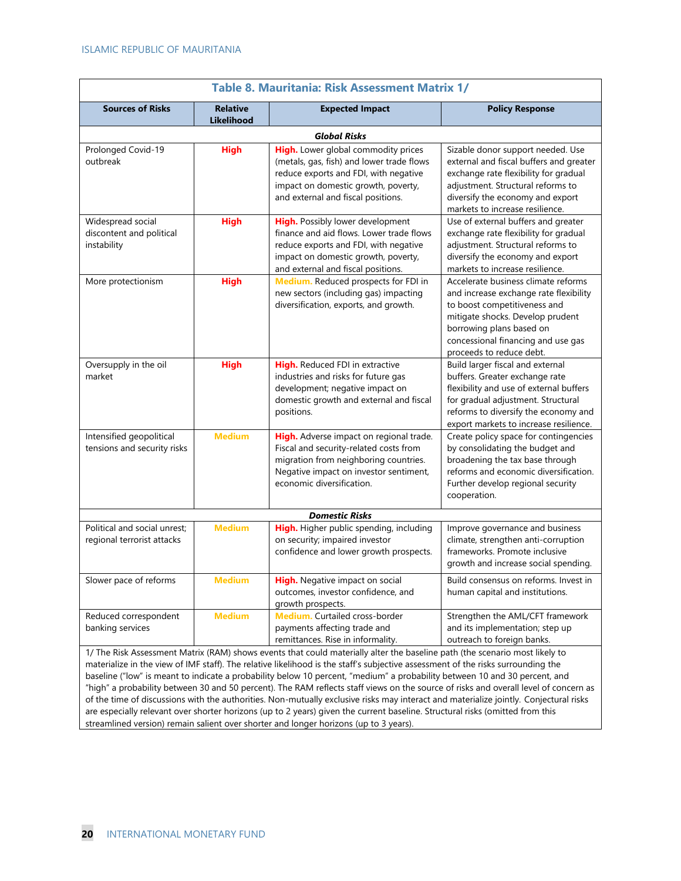| Table 8. Mauritania: Risk Assessment Matrix 1/                                                                                                                                                                                                                                                                                                                                                                                                                                                                                                                                                                                                                                                                                                                                                                                                                                                           |                                      |                                                                                                                                                                                                        |                                                                                                                                                                                                                                                 |  |  |  |  |  |  |  |  |
|----------------------------------------------------------------------------------------------------------------------------------------------------------------------------------------------------------------------------------------------------------------------------------------------------------------------------------------------------------------------------------------------------------------------------------------------------------------------------------------------------------------------------------------------------------------------------------------------------------------------------------------------------------------------------------------------------------------------------------------------------------------------------------------------------------------------------------------------------------------------------------------------------------|--------------------------------------|--------------------------------------------------------------------------------------------------------------------------------------------------------------------------------------------------------|-------------------------------------------------------------------------------------------------------------------------------------------------------------------------------------------------------------------------------------------------|--|--|--|--|--|--|--|--|
| <b>Sources of Risks</b>                                                                                                                                                                                                                                                                                                                                                                                                                                                                                                                                                                                                                                                                                                                                                                                                                                                                                  | <b>Relative</b><br><b>Likelihood</b> | <b>Expected Impact</b>                                                                                                                                                                                 | <b>Policy Response</b>                                                                                                                                                                                                                          |  |  |  |  |  |  |  |  |
|                                                                                                                                                                                                                                                                                                                                                                                                                                                                                                                                                                                                                                                                                                                                                                                                                                                                                                          |                                      | <b>Global Risks</b>                                                                                                                                                                                    |                                                                                                                                                                                                                                                 |  |  |  |  |  |  |  |  |
| Prolonged Covid-19<br>outbreak                                                                                                                                                                                                                                                                                                                                                                                                                                                                                                                                                                                                                                                                                                                                                                                                                                                                           | <b>High</b>                          | High. Lower global commodity prices<br>(metals, gas, fish) and lower trade flows<br>reduce exports and FDI, with negative<br>impact on domestic growth, poverty,<br>and external and fiscal positions. | Sizable donor support needed. Use<br>external and fiscal buffers and greater<br>exchange rate flexibility for gradual<br>adjustment. Structural reforms to<br>diversify the economy and export<br>markets to increase resilience.               |  |  |  |  |  |  |  |  |
| Widespread social<br>discontent and political<br>instability                                                                                                                                                                                                                                                                                                                                                                                                                                                                                                                                                                                                                                                                                                                                                                                                                                             | <b>High</b>                          | High. Possibly lower development<br>finance and aid flows. Lower trade flows<br>reduce exports and FDI, with negative<br>impact on domestic growth, poverty,<br>and external and fiscal positions.     | Use of external buffers and greater<br>exchange rate flexibility for gradual<br>adjustment. Structural reforms to<br>diversify the economy and export<br>markets to increase resilience.                                                        |  |  |  |  |  |  |  |  |
| More protectionism                                                                                                                                                                                                                                                                                                                                                                                                                                                                                                                                                                                                                                                                                                                                                                                                                                                                                       | <b>High</b>                          | Medium. Reduced prospects for FDI in<br>new sectors (including gas) impacting<br>diversification, exports, and growth.                                                                                 | Accelerate business climate reforms<br>and increase exchange rate flexibility<br>to boost competitiveness and<br>mitigate shocks. Develop prudent<br>borrowing plans based on<br>concessional financing and use gas<br>proceeds to reduce debt. |  |  |  |  |  |  |  |  |
| Oversupply in the oil<br>market                                                                                                                                                                                                                                                                                                                                                                                                                                                                                                                                                                                                                                                                                                                                                                                                                                                                          | <b>High</b>                          | High. Reduced FDI in extractive<br>industries and risks for future gas<br>development; negative impact on<br>domestic growth and external and fiscal<br>positions.                                     | Build larger fiscal and external<br>buffers. Greater exchange rate<br>flexibility and use of external buffers<br>for gradual adjustment. Structural<br>reforms to diversify the economy and<br>export markets to increase resilience.           |  |  |  |  |  |  |  |  |
| Intensified geopolitical<br>tensions and security risks                                                                                                                                                                                                                                                                                                                                                                                                                                                                                                                                                                                                                                                                                                                                                                                                                                                  | <b>Medium</b>                        | High. Adverse impact on regional trade.<br>Fiscal and security-related costs from<br>migration from neighboring countries.<br>Negative impact on investor sentiment,<br>economic diversification.      | Create policy space for contingencies<br>by consolidating the budget and<br>broadening the tax base through<br>reforms and economic diversification.<br>Further develop regional security<br>cooperation.                                       |  |  |  |  |  |  |  |  |
|                                                                                                                                                                                                                                                                                                                                                                                                                                                                                                                                                                                                                                                                                                                                                                                                                                                                                                          |                                      | <b>Domestic Risks</b>                                                                                                                                                                                  |                                                                                                                                                                                                                                                 |  |  |  |  |  |  |  |  |
| Political and social unrest:<br>regional terrorist attacks                                                                                                                                                                                                                                                                                                                                                                                                                                                                                                                                                                                                                                                                                                                                                                                                                                               | <b>Medium</b>                        | High. Higher public spending, including<br>on security; impaired investor<br>confidence and lower growth prospects.                                                                                    | Improve governance and business<br>climate, strengthen anti-corruption<br>frameworks. Promote inclusive<br>growth and increase social spending.                                                                                                 |  |  |  |  |  |  |  |  |
| Slower pace of reforms                                                                                                                                                                                                                                                                                                                                                                                                                                                                                                                                                                                                                                                                                                                                                                                                                                                                                   | <b>Medium</b>                        | High. Negative impact on social<br>outcomes, investor confidence, and<br>growth prospects.                                                                                                             | Build consensus on reforms. Invest in<br>human capital and institutions.                                                                                                                                                                        |  |  |  |  |  |  |  |  |
| Reduced correspondent<br>banking services                                                                                                                                                                                                                                                                                                                                                                                                                                                                                                                                                                                                                                                                                                                                                                                                                                                                | <b>Medium</b>                        | Medium. Curtailed cross-border<br>payments affecting trade and<br>remittances. Rise in informality.                                                                                                    | Strengthen the AML/CFT framework<br>and its implementation; step up<br>outreach to foreign banks.                                                                                                                                               |  |  |  |  |  |  |  |  |
| 1/ The Risk Assessment Matrix (RAM) shows events that could materially alter the baseline path (the scenario most likely to<br>materialize in the view of IMF staff). The relative likelihood is the staff's subjective assessment of the risks surrounding the<br>baseline ("low" is meant to indicate a probability below 10 percent, "medium" a probability between 10 and 30 percent, and<br>"high" a probability between 30 and 50 percent). The RAM reflects staff views on the source of risks and overall level of concern as<br>of the time of discussions with the authorities. Non-mutually exclusive risks may interact and materialize jointly. Conjectural risks<br>are especially relevant over shorter horizons (up to 2 years) given the current baseline. Structural risks (omitted from this<br>streamlined version) remain salient over shorter and longer horizons (up to 3 years). |                                      |                                                                                                                                                                                                        |                                                                                                                                                                                                                                                 |  |  |  |  |  |  |  |  |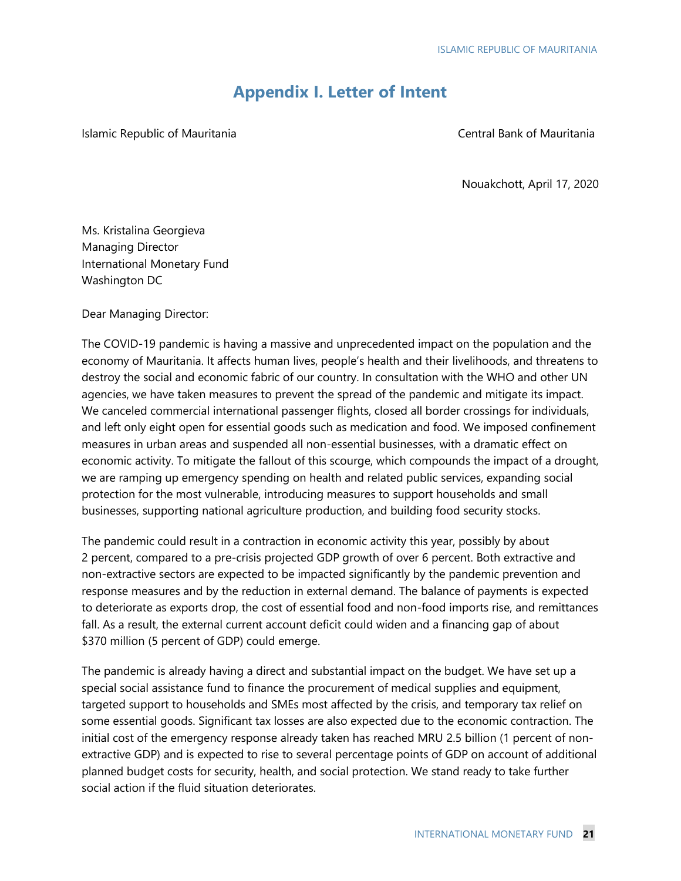# **Appendix I. Letter of Intent**

Islamic Republic of Mauritania **Central Bank of Mauritania** Central Bank of Mauritania

Nouakchott, April 17, 2020

Ms. Kristalina Georgieva Managing Director International Monetary Fund Washington DC

Dear Managing Director:

The COVID-19 pandemic is having a massive and unprecedented impact on the population and the economy of Mauritania. It affects human lives, people's health and their livelihoods, and threatens to destroy the social and economic fabric of our country. In consultation with the WHO and other UN agencies, we have taken measures to prevent the spread of the pandemic and mitigate its impact. We canceled commercial international passenger flights, closed all border crossings for individuals, and left only eight open for essential goods such as medication and food. We imposed confinement measures in urban areas and suspended all non-essential businesses, with a dramatic effect on economic activity. To mitigate the fallout of this scourge, which compounds the impact of a drought, we are ramping up emergency spending on health and related public services, expanding social protection for the most vulnerable, introducing measures to support households and small businesses, supporting national agriculture production, and building food security stocks.

The pandemic could result in a contraction in economic activity this year, possibly by about 2 percent, compared to a pre-crisis projected GDP growth of over 6 percent. Both extractive and non-extractive sectors are expected to be impacted significantly by the pandemic prevention and response measures and by the reduction in external demand. The balance of payments is expected to deteriorate as exports drop, the cost of essential food and non-food imports rise, and remittances fall. As a result, the external current account deficit could widen and a financing gap of about \$370 million (5 percent of GDP) could emerge.

The pandemic is already having a direct and substantial impact on the budget. We have set up a special social assistance fund to finance the procurement of medical supplies and equipment, targeted support to households and SMEs most affected by the crisis, and temporary tax relief on some essential goods. Significant tax losses are also expected due to the economic contraction. The initial cost of the emergency response already taken has reached MRU 2.5 billion (1 percent of nonextractive GDP) and is expected to rise to several percentage points of GDP on account of additional planned budget costs for security, health, and social protection. We stand ready to take further social action if the fluid situation deteriorates.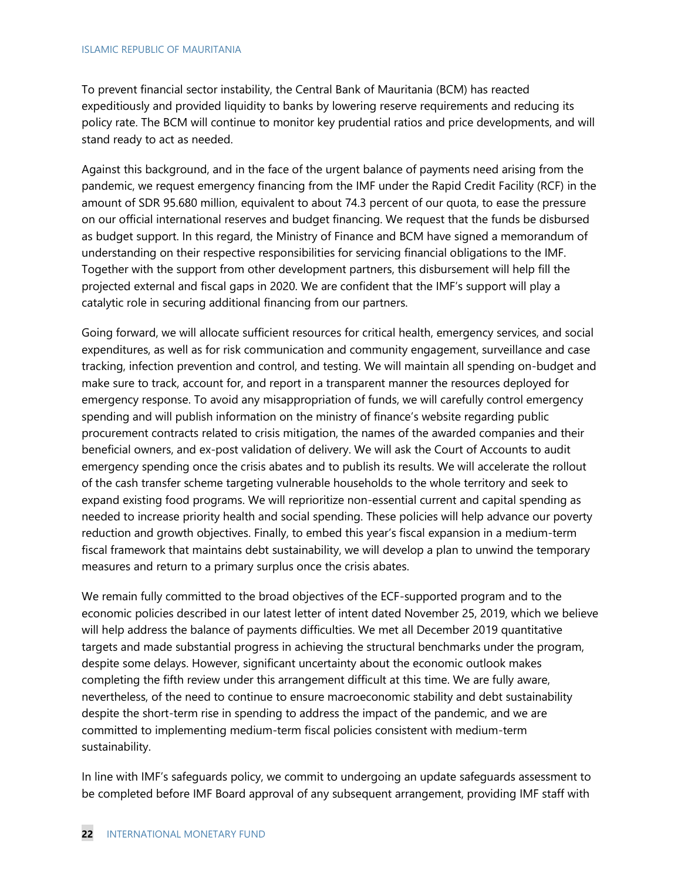To prevent financial sector instability, the Central Bank of Mauritania (BCM) has reacted expeditiously and provided liquidity to banks by lowering reserve requirements and reducing its policy rate. The BCM will continue to monitor key prudential ratios and price developments, and will stand ready to act as needed.

Against this background, and in the face of the urgent balance of payments need arising from the pandemic, we request emergency financing from the IMF under the Rapid Credit Facility (RCF) in the amount of SDR 95.680 million, equivalent to about 74.3 percent of our quota, to ease the pressure on our official international reserves and budget financing. We request that the funds be disbursed as budget support. In this regard, the Ministry of Finance and BCM have signed a memorandum of understanding on their respective responsibilities for servicing financial obligations to the IMF. Together with the support from other development partners, this disbursement will help fill the projected external and fiscal gaps in 2020. We are confident that the IMF's support will play a catalytic role in securing additional financing from our partners.

Going forward, we will allocate sufficient resources for critical health, emergency services, and social expenditures, as well as for risk communication and community engagement, surveillance and case tracking, infection prevention and control, and testing. We will maintain all spending on-budget and make sure to track, account for, and report in a transparent manner the resources deployed for emergency response. To avoid any misappropriation of funds, we will carefully control emergency spending and will publish information on the ministry of finance's website regarding public procurement contracts related to crisis mitigation, the names of the awarded companies and their beneficial owners, and ex-post validation of delivery. We will ask the Court of Accounts to audit emergency spending once the crisis abates and to publish its results. We will accelerate the rollout of the cash transfer scheme targeting vulnerable households to the whole territory and seek to expand existing food programs. We will reprioritize non-essential current and capital spending as needed to increase priority health and social spending. These policies will help advance our poverty reduction and growth objectives. Finally, to embed this year's fiscal expansion in a medium-term fiscal framework that maintains debt sustainability, we will develop a plan to unwind the temporary measures and return to a primary surplus once the crisis abates.

We remain fully committed to the broad objectives of the ECF-supported program and to the economic policies described in our latest letter of intent dated November 25, 2019, which we believe will help address the balance of payments difficulties. We met all December 2019 quantitative targets and made substantial progress in achieving the structural benchmarks under the program, despite some delays. However, significant uncertainty about the economic outlook makes completing the fifth review under this arrangement difficult at this time. We are fully aware, nevertheless, of the need to continue to ensure macroeconomic stability and debt sustainability despite the short-term rise in spending to address the impact of the pandemic, and we are committed to implementing medium-term fiscal policies consistent with medium-term sustainability.

In line with IMF's safeguards policy, we commit to undergoing an update safeguards assessment to be completed before IMF Board approval of any subsequent arrangement, providing IMF staff with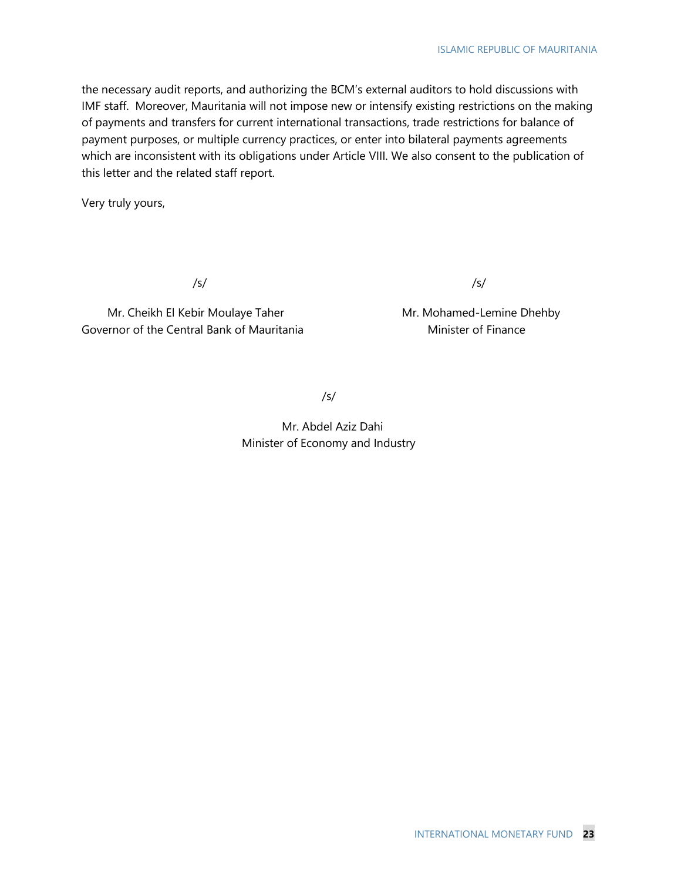the necessary audit reports, and authorizing the BCM's external auditors to hold discussions with IMF staff. Moreover, Mauritania will not impose new or intensify existing restrictions on the making of payments and transfers for current international transactions, trade restrictions for balance of payment purposes, or multiple currency practices, or enter into bilateral payments agreements which are inconsistent with its obligations under Article VIII. We also consent to the publication of this letter and the related staff report.

Very truly yours,

/s/ /s/

Mr. Cheikh El Kebir Moulaye Taher Manuel Mr. Mohamed-Lemine Dhehby Governor of the Central Bank of Mauritania Minister of Finance

/s/

Mr. Abdel Aziz Dahi Minister of Economy and Industry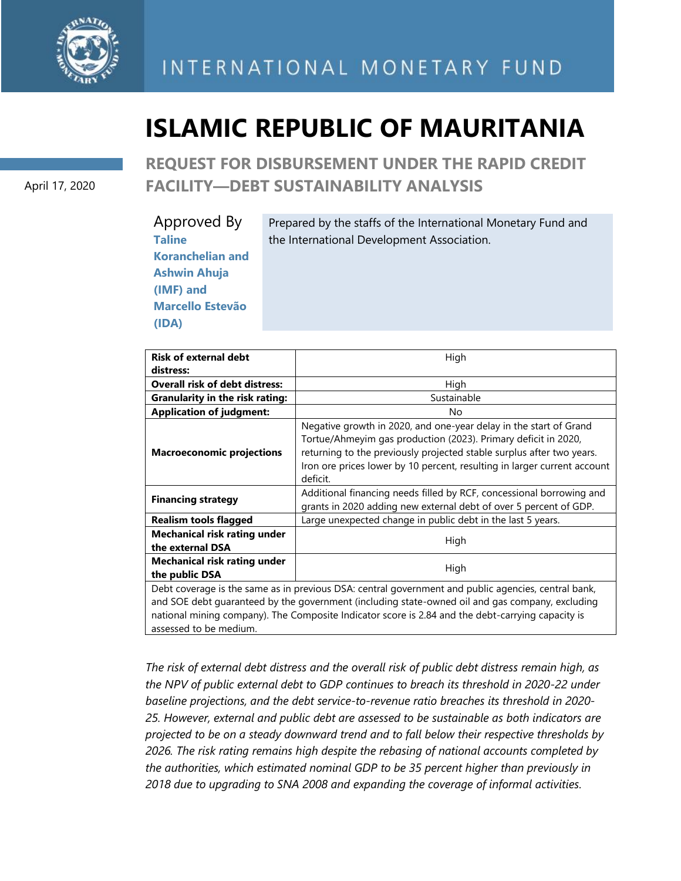

# **ISLAMIC REPUBLIC OF MAURITANIA**

April 17, 2020

**REQUEST FOR DISBURSEMENT UNDER THE RAPID CREDIT FACILITY—DEBT SUSTAINABILITY ANALYSIS**

| Approved By             | Prepared by the staffs of the International Monetary Fund and |
|-------------------------|---------------------------------------------------------------|
| <b>Taline</b>           | the International Development Association.                    |
| <b>Koranchelian and</b> |                                                               |
| <b>Ashwin Ahuja</b>     |                                                               |
| (IMF) and               |                                                               |
| <b>Marcello Estevão</b> |                                                               |
| (IDA)                   |                                                               |

| <b>Risk of external debt</b>                            | High                                                                                                                                                                                                                                                                                                 |  |  |  |  |  |  |  |  |
|---------------------------------------------------------|------------------------------------------------------------------------------------------------------------------------------------------------------------------------------------------------------------------------------------------------------------------------------------------------------|--|--|--|--|--|--|--|--|
| distress:                                               |                                                                                                                                                                                                                                                                                                      |  |  |  |  |  |  |  |  |
| <b>Overall risk of debt distress:</b>                   | High                                                                                                                                                                                                                                                                                                 |  |  |  |  |  |  |  |  |
| <b>Granularity in the risk rating:</b>                  | Sustainable                                                                                                                                                                                                                                                                                          |  |  |  |  |  |  |  |  |
| <b>Application of judgment:</b>                         | No                                                                                                                                                                                                                                                                                                   |  |  |  |  |  |  |  |  |
| <b>Macroeconomic projections</b>                        | Negative growth in 2020, and one-year delay in the start of Grand<br>Tortue/Ahmeyim gas production (2023). Primary deficit in 2020,<br>returning to the previously projected stable surplus after two years.<br>Iron ore prices lower by 10 percent, resulting in larger current account<br>deficit. |  |  |  |  |  |  |  |  |
| <b>Financing strategy</b>                               | Additional financing needs filled by RCF, concessional borrowing and<br>grants in 2020 adding new external debt of over 5 percent of GDP.                                                                                                                                                            |  |  |  |  |  |  |  |  |
| <b>Realism tools flagged</b>                            | Large unexpected change in public debt in the last 5 years.                                                                                                                                                                                                                                          |  |  |  |  |  |  |  |  |
| <b>Mechanical risk rating under</b><br>the external DSA | High                                                                                                                                                                                                                                                                                                 |  |  |  |  |  |  |  |  |
| <b>Mechanical risk rating under</b><br>the public DSA   | High                                                                                                                                                                                                                                                                                                 |  |  |  |  |  |  |  |  |
|                                                         | Debt coverage is the same as in previous DSA: central government and public agencies, central bank,                                                                                                                                                                                                  |  |  |  |  |  |  |  |  |
|                                                         | and SOE debt guaranteed by the government (including state-owned oil and gas company, excluding                                                                                                                                                                                                      |  |  |  |  |  |  |  |  |
|                                                         | national mining company). The Composite Indicator score is 2.84 and the debt-carrying capacity is                                                                                                                                                                                                    |  |  |  |  |  |  |  |  |
| assessed to be medium.                                  |                                                                                                                                                                                                                                                                                                      |  |  |  |  |  |  |  |  |

*The risk of external debt distress and the overall risk of public debt distress remain high, as the NPV of public external debt to GDP continues to breach its threshold in 2020-22 under baseline projections, and the debt service-to-revenue ratio breaches its threshold in 2020- 25. However, external and public debt are assessed to be sustainable as both indicators are projected to be on a steady downward trend and to fall below their respective thresholds by 2026. The risk rating remains high despite the rebasing of national accounts completed by the authorities, which estimated nominal GDP to be 35 percent higher than previously in 2018 due to upgrading to SNA 2008 and expanding the coverage of informal activities.*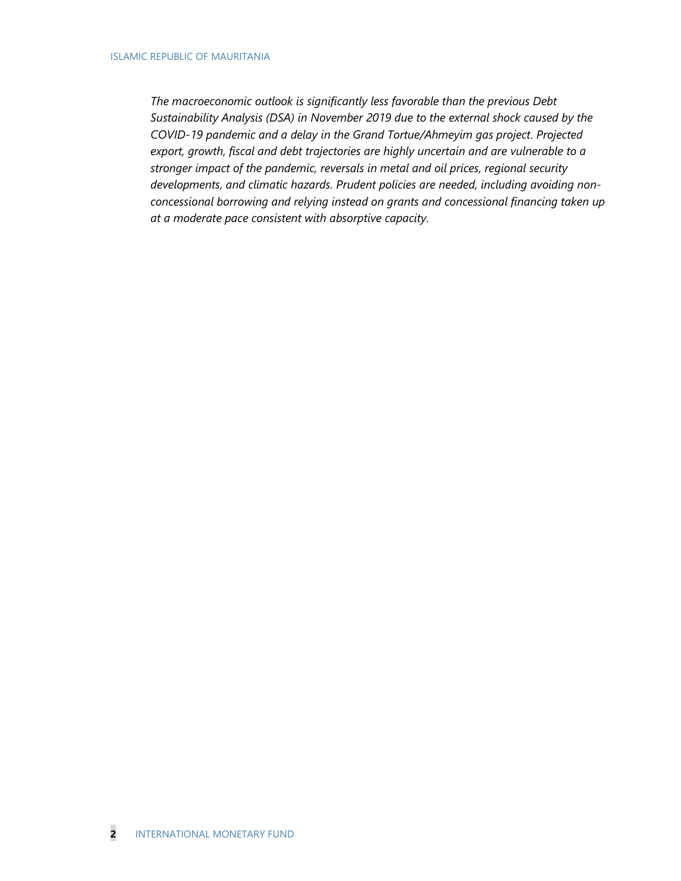*The macroeconomic outlook is significantly less favorable than the previous Debt Sustainability Analysis (DSA) in November 2019 due to the external shock caused by the COVID-19 pandemic and a delay in the Grand Tortue/Ahmeyim gas project. Projected export, growth, fiscal and debt trajectories are highly uncertain and are vulnerable to a stronger impact of the pandemic, reversals in metal and oil prices, regional security developments, and climatic hazards. Prudent policies are needed, including avoiding nonconcessional borrowing and relying instead on grants and concessional financing taken up at a moderate pace consistent with absorptive capacity.*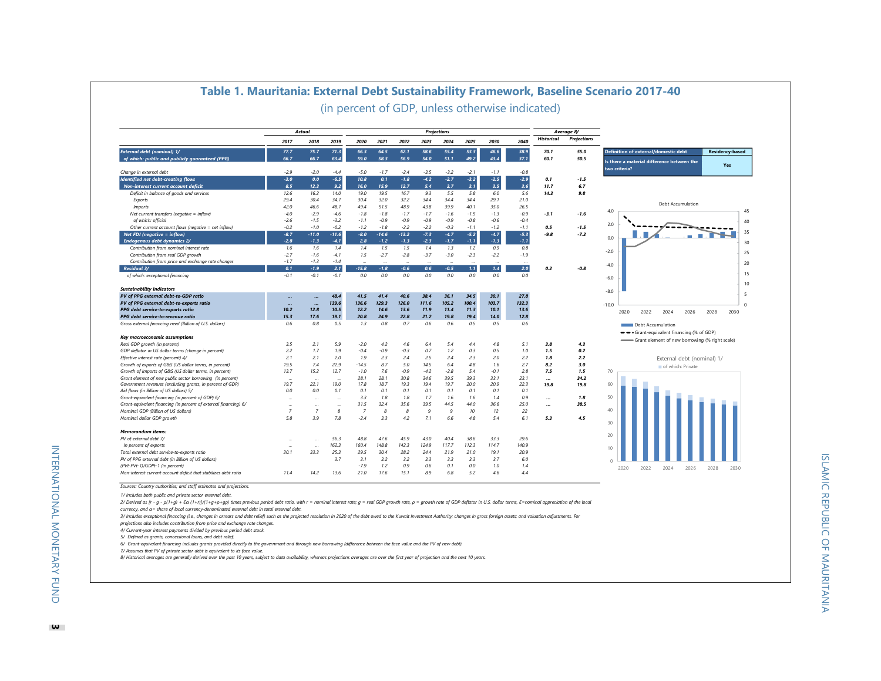|                                                                                                    |                          | <b>Actual</b>  |                          |                |             |             |              | <b>Projections</b> |            |            |            |                   | Average 8/         |                                                |                        |
|----------------------------------------------------------------------------------------------------|--------------------------|----------------|--------------------------|----------------|-------------|-------------|--------------|--------------------|------------|------------|------------|-------------------|--------------------|------------------------------------------------|------------------------|
|                                                                                                    | 2017                     | 2018           | 2019                     | 2020           | 2021        | 2022        | 2023         | 2024               | 2025       | 2030       | 2040       | <b>Historical</b> | <b>Projections</b> |                                                |                        |
| <b>External debt (nominal) 1/</b>                                                                  | 77.7                     | 75.7           | 71.3                     | 66.3           | 64.5        | 62.1        | 58.6         | 55.4               | 53.3       | 46.6       | 38.9       | 70.1              | 55.0               | <b>Definition of external/domestic debt</b>    | <b>Residency-based</b> |
| of which: public and publicly guaranteed (PPG)                                                     | 66.7                     | 66.7           | 63.4                     | 59.0           | 58.3        | 56.9        | 54.0         | 51.1               | 49.2       | 43.4       | 37.1       | 60.1              | 50.5               | Is there a material difference between the     |                        |
| Change in external debt                                                                            | $-2.9$                   | $-2.0$         | $-4.4$                   | $-5.0$         | $-1.7$      | $-2.4$      | $-3.5$       | $-3.2$             | $-2.1$     | $-1.1$     | $-0.8$     |                   |                    | two criteria?                                  | Yes                    |
| <b>Identified net debt-creating flows</b>                                                          | $-3.0$                   | 0.0            | $-6.5$                   | 10.8           | 0.1         | $-1.8$      | $-4.2$       | $-2.7$             | $-3.2$     | $-2.5$     | $-2.9$     | 0.1               | $-1.5$             |                                                |                        |
| Non-interest current account deficit                                                               | 8.5                      | 12.3           | 9.2                      | 16.0           | 15.9        | 12.7        | 5.4          | 3.7                | 3.1        | 3.5        | 3.6        | 11.7              | 6.7                |                                                |                        |
| Deficit in balance of goods and services                                                           | 12.6                     | 16.2           | 14.0                     | 19.0           | 19.5        | 16.7        | 9.3          | 5.5                | 5.8        | 6.0        | 5.6        | 14.3              | 9.8                |                                                |                        |
| Exports                                                                                            | 29.4                     | 30.4           | 34.7                     | 30.4           | 32.0        | 32.2        | 34.4         | 34.4               | 34.4       | 29.1       | 21.0       |                   |                    |                                                |                        |
| <i>Imports</i>                                                                                     | 42.0                     | 46.6           | 48.7                     | 49.4           | 51.5        | 48.9        | 43.8         | 39.9               | 40.1       | 35.0       | 26.5       |                   |                    | Debt Accumulation                              |                        |
| Net current transfers (negative = inflow)                                                          | $-4.0$                   | $-2.9$         | $-4.6$                   | $-1.8$         | $-1.8$      | $-1.7$      | $-1.7$       | $-1.6$             | $-1.5$     | $-1.3$     | $-0.9$     | $-3.1$            | $-1.6$             | 4.0                                            |                        |
| of which: official                                                                                 | $-2.6$                   | $-1.5$         | $-3.2$                   | $-1.1$         | $-0.9$      | $-0.9$      | $-0.9$       | $-0.9$             | $-0.8$     | $-0.6$     | $-0.4$     |                   |                    |                                                |                        |
| Other current account flows (negative = net inflow)                                                | $-0.2$                   | $-1.0$         | $-0.2$                   | $-1.2$         | $-1.8$      | $-2.2$      | $-2.2$       | $-0.3$             | $-7.7$     | $-1.2$     | $-1.1$     | 0.5               | $-1.5$             | 2.0                                            |                        |
| Net FDI (negative = inflow)                                                                        | $-8.7$                   | $-11.0$        | $-11.6$                  | $-8.0$         | $-14.6$     | $-13.2$     | $-7.3$       | $-4.7$             | $-5.2$     | $-4.7$     | $-5.3$     | $-9.8$            | -7.2               |                                                | <b>COL</b>             |
| Endogenous debt dynamics 2/                                                                        | $-2.8$                   | $-1.3$         | $-4.1$                   | 2.8            | $-1.2$      | $-1.3$      | $-2.3$       | $-1.7$             | $-1.1$     | -1.3       | $-1.1$     |                   |                    | 0.0                                            |                        |
| Contribution from nominal interest rate                                                            | 1.6                      | 1.6            | 1.4                      | 1.4            | 1.5         | 1.5         | 1.4          | 1.3                | 1.2        | 0.9        | 0.8        |                   |                    |                                                |                        |
| Contribution from real GDP growth                                                                  | $-2.7$                   | $-1.6$         | $-4.1$                   | 1.5            | $-2.7$      | $-2.8$      | $-3.7$       | $-3.0$             | $-2.3$     | $-2.2$     | $-1.9$     |                   |                    | $-2.0$                                         | 25                     |
| Contribution from price and exchange rate changes                                                  | $-1.7$                   | $-1.3$         | $-1.4$                   |                |             |             |              |                    |            |            |            |                   |                    |                                                |                        |
| Residual 3/                                                                                        | 0.1                      | $-1.9$         | 2.1                      | $-15.8$        | $-1.8$      | $-0.6$      | 0.6          | $-0.5$             | 1.1        | 1.4        | $2.0$      | 0.2               | -0.8               | $-4.0$                                         | 20                     |
| of which: exceptional financing                                                                    | $-0.1$                   | $-0.1$         | $-0.1$                   | 0.0            | 0.0         | 0.0         | 0.0          | 0.0                | 0.0        | 0.0        | 0.0        |                   |                    |                                                | 15                     |
|                                                                                                    |                          |                |                          |                |             |             |              |                    |            |            |            |                   |                    | $-6.0$                                         | 10                     |
| <b>Sustainability indicators</b>                                                                   |                          |                |                          |                |             |             |              |                    |            |            |            |                   |                    | $-8.0$                                         |                        |
| PV of PPG external debt-to-GDP ratio                                                               | $\ddotsc$                |                | 48.4                     | 41.5           | 41.4        | 40.6        | 38.4         | 36.1               | 34.5       | 30.1       | 27.8       |                   |                    |                                                | -5                     |
| PV of PPG external debt-to-exports ratio                                                           |                          |                | 139.6                    | 136.6          | 129.3       | 126.0       | 111.6        | 105.2              | 100.4      | 103.7      | 132.3      |                   |                    | $-10.0$                                        | $\Omega$               |
| PPG debt service-to-exports ratio                                                                  | 10.2                     | 12.8           | 10.5                     | 12.2           | 14.6        | 13.6        | <b>11.9</b>  | 11.4               | 11.3       | 10.1       | 13.6       |                   |                    | 2020<br>2022<br>2024<br>2026                   | 2028<br>2030           |
| PPG debt service-to-revenue ratio                                                                  | 15.3                     | 17.6           | 19.1                     | 20.8           | 24.9        | 22.8        | 21.2         | 19.8               | 19.4       | 14.0       | 12.8       |                   |                    |                                                |                        |
| Gross external financing need (Billion of U.S. dollars)                                            | 0.6                      | 0.8            | 0.5                      | 1.3            | 0.8         | 0.7         | 0.6          | 0.6                | 0.5        | 0.5        | 0.6        |                   |                    | Debt Accumulation                              |                        |
|                                                                                                    |                          |                |                          |                |             |             |              |                    |            |            |            |                   |                    | -- Grant-equivalent financing (% of GDP)       |                        |
| Key macroeconomic assumptions                                                                      |                          |                |                          |                |             |             |              |                    |            |            |            |                   |                    | Grant element of new borrowing (% right scale) |                        |
| Real GDP growth (in percent)                                                                       | 3.5                      | 2.1            | 5.9                      | $-2.0$         | 4.2         | 4.6         | 6.4          | 5.4                | 4.4        | 4.8        | 5.1        | 3.8               | 4.3                |                                                |                        |
| GDP deflator in US dollar terms (change in percent)                                                | 2.2                      | 1.7            | 7.9                      | $-0.4$         | $-0.9$      | $-0.3$      | 0.7          | 1.2                | 0.3        | 0.5        | 1.0        | 1.5               | 0.2                |                                                |                        |
| Effective interest rate (percent) 4/                                                               | 2.1                      | 2.1            | 2.0                      | 1.9            | 2.3         | 2.4         | 2.5          | 2.4                | 2.3        | 2.0        | 2.2        | 7.8               | 2.2                | External debt (nominal) 1/                     |                        |
| Growth of exports of G&S (US dollar terms, in percent)                                             | 19.5                     | 7.4            | 22.9                     | $-14.5$        | 8.7         | 5.0         | 14.5         | 6.4                | 4.8        | 1.6        | 2.7        | 8.2               | 3.0                | of which: Private                              |                        |
| Growth of imports of G&S (US dollar terms, in percent)                                             | 13.7                     | 15.2           | 12.7                     | $-1.0$         | 7.6         | $-0.9$      | $-4.2$       | $-2.8$             | 5.4        | $-01$      | 2.8        | 7.5               | 1.5                | 70                                             |                        |
| Grant element of new public sector borrowing (in percent)                                          | $\overline{\phantom{a}}$ | $\sim$         | $\sim$                   | 28.1           | 28.1        | 30.8        | 34.6         | 39.5               | 39.3       | 33.1       | 23.1       |                   | 34.2               |                                                |                        |
| Government revenues (excluding grants, in percent of GDP)                                          | 19.7                     | 22.1           | 19.0                     | 17.8           | 18.7        | 19.3        | 19.4         | 19.7               | 20.0       | 20.9       | 22.3       | 19.8              | 19.8               | 60                                             |                        |
| Aid flows (in Billion of US dollars) 5/                                                            | 0.0                      | 0.0            | 0.1                      | 0.1            | 0.1         | 0.1         | 0.1          | 0.1                | 0.1        | 0.1        | 0.1        |                   |                    |                                                |                        |
| Grant-equivalent financing (in percent of GDP) 6/                                                  |                          |                |                          | 3.3            | 1.8         | 1.8         | 1.7          | 1.6                | 1.6        | 1.4        | 0.9        |                   | 1.8                | 50                                             |                        |
| Grant-equivalent financing (in percent of external financing) 6/                                   | $\ddotsc$                | $\sim$         | $\overline{\phantom{a}}$ | 31.5           | 32.4        | 35.6        | 39.5         | 44.5               | 44.0       | 36.6       | 25.0       |                   | 38.5               |                                                |                        |
| Nominal GDP (Billion of US dollars)                                                                | $\overline{7}$           | $\overline{7}$ | 8                        | $\overline{z}$ | 8           | 8           | $\mathbf{q}$ | 9                  | 10         | 12         | 22         |                   |                    | 40                                             |                        |
| Nominal dollar GDP growth                                                                          | 5.8                      | 3.9            | 7.8                      | $-2.4$         | 3.3         | 4.2         | 7.1          | 6.6                | 4.8        | 5.4        | 6.1        | 5.3               | 4.5                | 30                                             |                        |
| <b>Memorandum items:</b>                                                                           |                          |                |                          |                |             |             |              |                    |            |            |            |                   |                    |                                                |                        |
|                                                                                                    |                          |                | 56.3                     |                |             |             | 43.0         |                    |            |            |            |                   |                    | 20                                             |                        |
| PV of external debt 7/                                                                             | $\sim$                   |                |                          | 48.8           | 47.6        | 45.9        |              | 40.4               | 38.6       | 33.3       | 29.6       |                   |                    |                                                |                        |
| In percent of exports                                                                              |                          |                | 162.3                    | 160.4          | 148.8       | 142.3       | 124.9        | 117.7              | 112.3      | 114.7      | 140.9      |                   |                    | 10                                             |                        |
| Total external debt service-to-exports ratio                                                       | 30.1                     | 33.3           | 25.3                     | 29.5           | 30.4        | 28.2        | 24.4         | 21.9               | 21.0       | 19.1       | 20.9       |                   |                    |                                                |                        |
| PV of PPG external debt (in Billion of US dollars)                                                 |                          |                | 3.7                      | 3.1            | 3.2         | 3.2         | 3.3          | 3.3                | 3.3        | 3.7        | 6.0        |                   |                    |                                                |                        |
|                                                                                                    |                          |                |                          |                |             |             |              |                    |            |            |            |                   |                    |                                                |                        |
| (PVt-PVt-1)/GDPt-1 (in percent)<br>Non-interest current account deficit that stabilizes debt ratio | 11.4                     | 14.2           | 13.6                     | $-7.9$<br>21.0 | 1.2<br>17.6 | 0.9<br>15.1 | 0.6<br>8.9   | 0.1<br>6.8         | 0.0<br>5.2 | 1.0<br>4.6 | 1.4<br>4.4 |                   |                    | 2020<br>2022<br>2024<br>2026                   | 2028<br>2030           |

#### **Table 1. Mauritania: External Debt Sustainability Framework, Baseline Scenario 2017-40** (in percent of GDP, unless otherwise indicated)

*Sources: Country authorities; and staff estimates and projections. <sup>0</sup>*

*1/ Includes both public and private sector external debt.*

2/ Derived as [r - g - p(1+g) + Ea (1+r)]/(1+g+p+gp) times previous period debt ratio, with r = nominal interest rate; g = real GDP growth rate, p = growth rate of GDP deflator in U.S. dollar terms, E=nominal appreciation

*currency, and α= share of local currency-denominated external debt in total external debt.* 

3/ Includes exceptional financing (i.e., changes in arrears and debt relief) such as the projected resolution in 2020 of the debt owed to the Kuwait Investment Authority; changes in gross foreign assets; and valuation adju

*projections also includes contribution from price and exchange rate changes.*

*4/ Current-year interest payments divided by previous period debt stock. 5/ Defined as grants, concessional loans, and debt relief.*

*6/ Grant-equivalent financing includes grants provided directly to the government and through new borrowing (difference between the face value and the PV of new debt).*

*7/ Assumes that PV of private sector debt is equivalent to its face value.*

*8/ Historical averages are generally derived over the past 10 years, subject to data availability, whereas projections averages are over the first year of projection and the next 10 years.*

INTERNATIONAL MONETARY FUND

**INTERNATIONAL MONETARY FUND**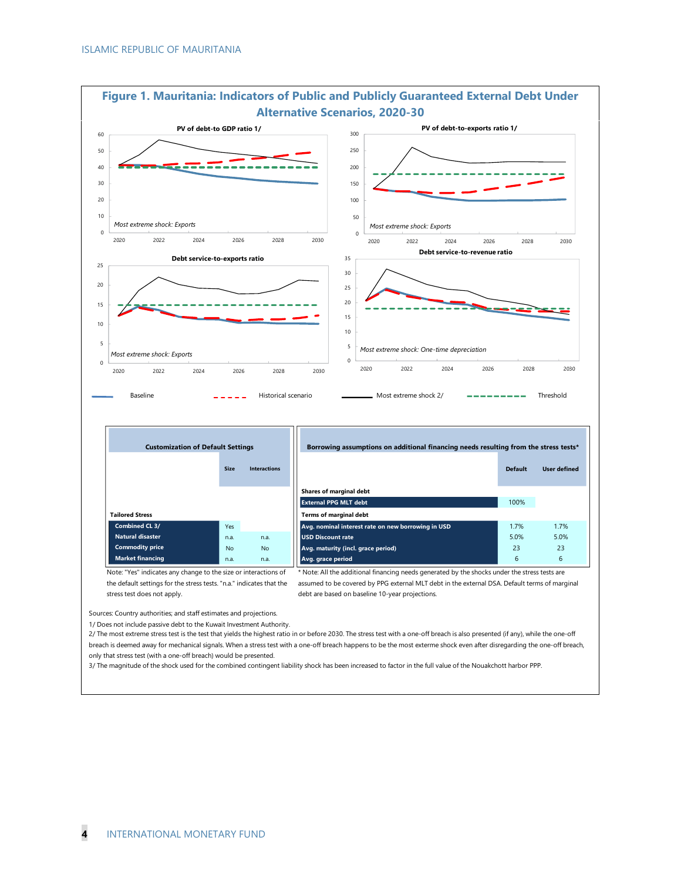

**Figure 1. Mauritania: Indicators of Public and Publicly Guaranteed External Debt Under** 

Sources: Country authorities; and staff estimates and projections.

1/ Does not include passive debt to the Kuwait Investment Authority.

2/ The most extreme stress test is the test that yields the highest ratio in or before 2030. The stress test with a one-off breach is also presented (if any), while the one-off breach is deemed away for mechanical signals. When a stress test with a one-off breach happens to be the most exterme shock even after disregarding the one-off breach, only that stress test (with a one-off breach) would be presented.

3/ The magnitude of the shock used for the combined contingent liability shock has been increased to factor in the full value of the Nouakchott harbor PPP.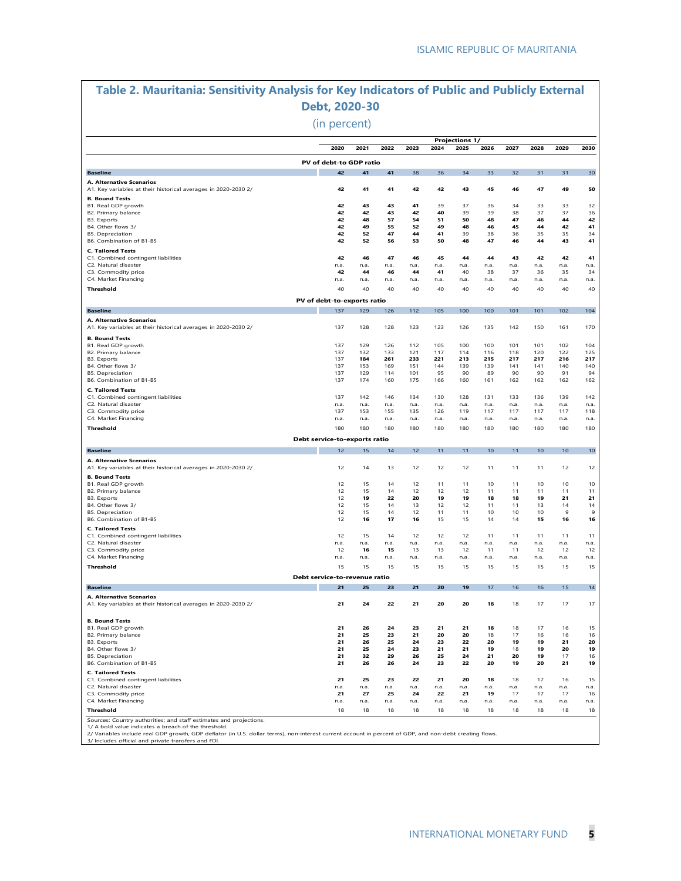# **Table 2. Mauritania: Sensitivity Analysis for Key Indicators of Public and Publicly External Debt, 2020-30**

(in percent)

|                                                                                            |                               |            |            |            |            | <b>Projections 1/</b> |            |            |            |            |                   |
|--------------------------------------------------------------------------------------------|-------------------------------|------------|------------|------------|------------|-----------------------|------------|------------|------------|------------|-------------------|
|                                                                                            | 2020                          | 2021       | 2022       | 2023       | 2024       | 2025                  | 2026       | 2027       | 2028       | 2029       | 2030              |
|                                                                                            | PV of debt-to GDP ratio       |            |            |            |            |                       |            |            |            |            |                   |
| <b>Baseline</b>                                                                            | 42                            | 41         | 41         | 38         | 36         | 34                    | 33         | 32         | 31         | 31         | 30                |
| A. Alternative Scenarios                                                                   |                               | 41         | 41         | 42         |            |                       | 45         |            | 47         | 49         |                   |
| A1. Key variables at their historical averages in 2020-2030 2/<br><b>B. Bound Tests</b>    | 42                            |            |            |            | 42         | 43                    |            | 46         |            |            | 50                |
| B1. Real GDP growth                                                                        | 42                            | 43         | 43         | 41         | 39         | 37                    | 36         | 34         | 33         | 33         | 32                |
| B2. Primary balance                                                                        | 42                            | 42         | 43         | 42         | 40         | 39                    | 39         | 38         | 37         | 37         | 36                |
| B3. Exports<br>B4. Other flows 3/                                                          | 42<br>42                      | 48<br>49   | 57<br>55   | 54<br>52   | 51<br>49   | 50<br>48              | 48<br>46   | 47<br>45   | 46<br>44   | 44<br>42   | 42<br>41          |
| B5. Depreciation                                                                           | 42                            | 52         | 47         | 44         | 41         | 39                    | 38         | 36         | 35         | 35         | 34                |
| B6. Combination of B1-B5                                                                   | 42                            | 52         | 56         | 53         | 50         | 48                    | 47         | 46         | 44         | 43         | 41                |
| <b>C. Tailored Tests</b><br>C1. Combined contingent liabilities                            | 42                            | 46         | 47         | 46         | 45         | 44                    | 44         | 43         | 42         | 42         | 41                |
| C2. Natural disaster                                                                       | n.a.                          | n.a.       | n.a.       | n.a.       | n.a.       | n.a.                  | n.a.       | n.a.       | n.a.       | n.a.       | n.a.              |
| C3. Commodity price                                                                        | 42                            | 44         | 46         | 44         | 41         | 40                    | 38         | 37         | 36         | 35         | 34                |
| C4. Market Financing                                                                       | n.a.                          | n.a.       | n.a.       | n.a.       | n.a.       | n.a.                  | n.a.       | n.a.       | n.a.       | n.a.       | n.a.              |
| Threshold                                                                                  | 40                            | 40         | 40         | 40         | 40         | 40                    | 40         | 40         | 40         | 40         | 40                |
|                                                                                            | PV of debt-to-exports ratio   |            |            |            |            |                       |            |            |            |            |                   |
| <b>Baseline</b>                                                                            | 137                           | 129        | 126        | 112        | 105        | 100                   | 100        | 101        | 101        | 102        | 104               |
| A. Alternative Scenarios<br>A1. Key variables at their historical averages in 2020-2030 2/ | 137                           | 128        | 128        | 123        | 123        | 126                   | 135        | 142        | 150        | 161        | 170               |
| <b>B. Bound Tests</b>                                                                      |                               |            |            |            |            |                       |            |            |            |            |                   |
| B1. Real GDP growth                                                                        | 137                           | 129        | 126        | 112        | 105        | 100                   | 100        | 101        | 101        | 102        | 104               |
| B2. Primary balance                                                                        | 137<br>137                    | 132<br>184 | 133<br>261 | 121<br>233 | 117<br>221 | 114<br>213            | 116<br>215 | 118<br>217 | 120<br>217 | 122<br>216 | 125<br>217        |
| B3. Exports<br>B4. Other flows 3/                                                          | 137                           | 153        | 169        | 151        | 144        | 139                   | 139        | 141        | 141        | 140        | 140               |
| <b>B5.</b> Depreciation                                                                    | 137                           | 129        | 114        | 101        | 95         | 90                    | 89         | 90         | 90         | 91         | 94                |
| B6. Combination of B1-B5                                                                   | 137                           | 174        | 160        | 175        | 166        | 160                   | 161        | 162        | 162        | 162        | 162               |
| <b>C. Tailored Tests</b><br>C1. Combined contingent liabilities                            | 137                           | 142        | 146        | 134        | 130        | 128                   | 131        | 133        | 136        | 139        | 142               |
| C2. Natural disaster                                                                       | n.a.                          | n.a.       | n.a.       | n.a.       | n.a.       | n.a.                  | n.a.       | n.a.       | n.a.       | n.a.       | n.a.              |
| C3. Commodity price                                                                        | 137                           | 153        | 155        | 135        | 126        | 119                   | 117        | 117        | 117        | 117        | 118               |
| C4. Market Financing                                                                       | n.a.                          | n.a.       | n.a.       | n.a.       | n.a.       | n.a.                  | n.a.       | n.a.       | n.a.       | n.a.       | n.a.              |
| Threshold                                                                                  | 180                           | 180        | 180        | 180        | 180        | 180                   | 180        | 180        | 180        | 180        | 180               |
|                                                                                            | Debt service-to-exports ratio |            |            |            |            |                       |            |            |            |            |                   |
| <b>Baseline</b>                                                                            | 12                            | 15         | 14         | 12         | 11         | 11                    | 10         | 11         | 10         | 10         | 10                |
| A. Alternative Scenarios<br>A1. Key variables at their historical averages in 2020-2030 2/ | 12                            | 14         | 13         | 12         | 12         | 12                    | 11         | 11         | 11         | 12         | 12                |
| <b>B. Bound Tests</b><br>B1. Real GDP growth                                               | 12                            | 15         | 14         | 12         | 11         | 11                    | 10         | 11         | 10         | 10         | 10                |
| B2. Primary balance                                                                        | 12                            | 15         | 14         | 12         | 12         | 12                    | 11         | 11         | 11         | 11         | 11                |
| B3. Exports                                                                                | 12                            | 19         | 22         | 20         | 19         | 19                    | 18         | 18         | 19         | 21         | 21                |
| B4. Other flows 3/<br><b>B5.</b> Depreciation                                              | 12<br>12                      | 15<br>15   | 14<br>14   | 13<br>12   | 12<br>11   | 12<br>11              | 11<br>10   | 11<br>10   | 13<br>10   | 14<br>9    | 14<br>$\mathsf 9$ |
| B6. Combination of B1-B5                                                                   | 12                            | 16         | 17         | 16         | 15         | 15                    | 14         | 14         | 15         | 16         | 16                |
| <b>C. Tailored Tests</b>                                                                   |                               |            |            |            |            |                       |            |            |            |            |                   |
| C1. Combined contingent liabilities<br>C2. Natural disaster                                | 12<br>n.a.                    | 15<br>n.a. | 14<br>n.a. | 12<br>n.a. | 12<br>n.a. | 12<br>n.a.            | 11<br>n.a. | 11<br>n.a. | 11<br>n.a. | 11<br>n.a. | 11<br>n.a.        |
| C3. Commodity price                                                                        | 12                            | 16         | 15         | 13         | 13         | 12                    | 11         | 11         | 12         | 12         | 12                |
| C4. Market Financing                                                                       | n.a.                          | n.a.       | n.a.       | n.a.       | n.a.       | n.a.                  | n.a.       | n.a.       | n.a.       | n.a.       | n.a.              |
| Threshold                                                                                  | 15                            | 15         | 15         | 15         | 15         | 15                    | 15         | 15         | 15         | 15         | 15                |
|                                                                                            | Debt service-to-revenue ratio |            |            |            |            |                       |            |            |            |            |                   |
| <b>Baseline</b>                                                                            | 21                            | 25         | 23         | 21         | 20         | 19                    | 17         | 16         | 16         | 15         | 14                |
| A. Alternative Scenarios<br>A1. Key variables at their historical averages in 2020-2030 2/ | 21                            | 24         | 22         | 21         | 20         | 20                    | 18         | 18         | 17         | 17         | 17                |
| <b>B. Bound Tests</b>                                                                      |                               |            |            |            |            |                       |            |            |            |            |                   |
| B1. Real GDP growth                                                                        | 21                            | 26         | 24         | 23         | 21         | 21                    | 18         | 18         | 17         | 16         | 15                |
| B2. Primary balance<br>B3. Exports                                                         | 21<br>21                      | 25<br>26   | 23<br>25   | 21<br>24   | 20<br>23   | 20<br>22              | 18<br>20   | 17<br>19   | 16<br>19   | 16<br>21   | 16<br>20          |
| B4. Other flows 3/                                                                         | 21                            | 25         | 24         | 23         | 21         | 21                    | 19         | 18         | 19         | 20         | 19                |
| <b>B5. Depreciation</b><br>B6. Combination of B1-B5                                        | 21<br>21                      | 32<br>26   | 29<br>26   | 26<br>24   | 25<br>23   | 24<br>22              | 21<br>20   | 20<br>19   | 19<br>20   | 17<br>21   | 16<br>19          |
| <b>C. Tailored Tests</b>                                                                   |                               |            |            |            |            |                       |            |            |            |            |                   |
| C1. Combined contingent liabilities                                                        | 21                            | 25         | 23         | 22         | 21         | 20                    | 18         | 18         | 17         | 16         | 15                |
| C2. Natural disaster                                                                       | n.a.                          | n.a.       | n.a.       | n.a.       | n.a.       | n.a.                  | n.a.       | n.a.       | n.a.       | n.a.       | n.a.              |
| C3. Commodity price<br>C4. Market Financing                                                | 21<br>n.a.                    | 27<br>n.a. | 25<br>n.a. | 24<br>n.a. | 22<br>n.a. | 21<br>n.a.            | 19<br>n.a. | 17<br>n.a. | 17<br>n.a. | 17<br>n.a. | 16<br>n.a.        |
| Threshold                                                                                  | 18                            | 18         | 18         | 18         | 18         | 18                    | 18         | 18         | 18         | 18         | 18                |
| Sources: Country authorities; and staff estimates and projections.                         |                               |            |            |            |            |                       |            |            |            |            |                   |
| ilua indicatas a braach of tha thrasho                                                     |                               |            |            |            |            |                       |            |            |            |            |                   |

1/ A bold value indicates a breach of the threshold.<br>2/ Variables include real GDP growth, GDP deflator (in U.S. dollar terms), non-interest current account in percent of GDP, and non-debt creating flows.<br>3/ Includes offic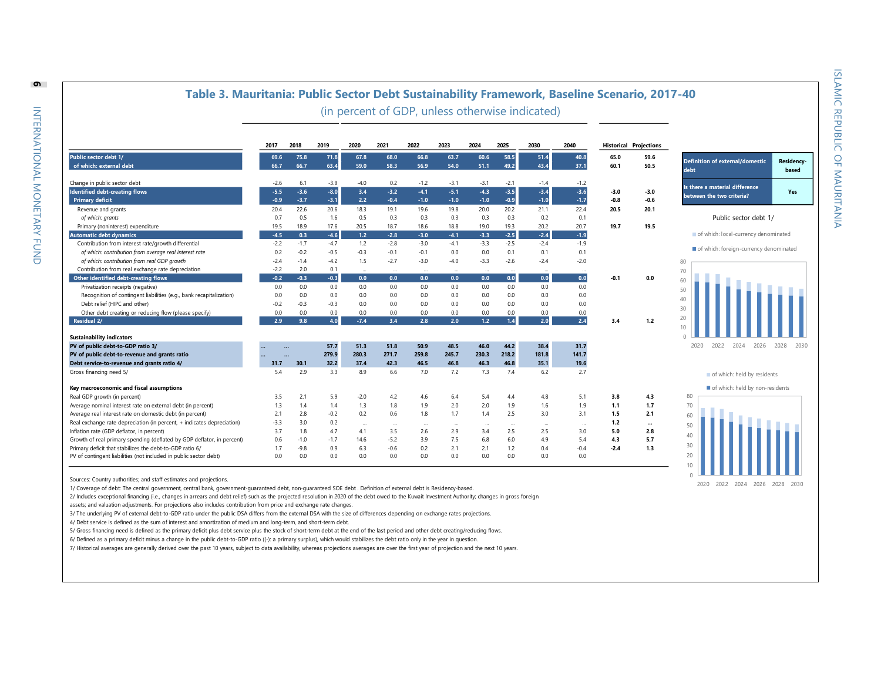**Residencybased**

#### **Table 3. Mauritania: Public Sector Debt Sustainability Framework, Baseline Scenario, 2017 -40**

(in percent of GDP, unless otherwise indicated)

| <b>Public sector debt 1/</b><br>63.7<br>75.8<br>71.8<br>67.8<br>68.0<br>66.8<br>60.6<br>58.5<br>51.4<br>40.8<br>65.0<br>69.6<br>59.6<br>66.7<br>63.4<br>54.0<br>43.4<br>of which: external debt<br>66.7<br>59.0<br>58.3<br>56.9<br>51.1<br>49.2<br>37.1<br>60.1<br>50.5<br>Change in public sector debt<br>$-2.6$<br>6.1<br>$-3.9$<br>$-4.0$<br>0.2<br>$-1.2$<br>$-3.1$<br>$-2.1$<br>$-3.1$<br>$-1.4$<br>$-1.2$<br>$-3.5$<br>$-3.4$<br>$-3.6$<br><b>Identified debt-creating flows</b><br>$-3.6$<br>$-8.0$<br>$-3.2$<br>$-4.1$<br>$-5.1$<br>$-4.3$<br>$-5.5$<br>3.4<br>$-3.0$<br>$-3.0$<br>$-3.7$<br>$-3.1$<br>2.2<br>$-1.7$<br>$-0.6$<br>$-0.9$<br>$-0.4$<br>$-1.0$<br>$-1.0$<br>$-1.0$<br>$-0.9$<br>$-1.0$<br>$-0.8$<br><b>Primary deficit</b><br>Revenue and grants<br>20.6<br>19.1<br>19.6<br>22.4<br>20.5<br>20.4<br>22.6<br>18.3<br>19.8<br>20.0<br>20.2<br>21.1<br>20.1<br>of which: grants<br>0.5<br>1.6<br>0.5<br>0.3<br>0.3<br>0.3<br>0.3<br>0.2<br>0.1<br>0.7<br>0.3<br>17.6<br>20.5<br>20.2<br>19.7<br>Primary (noninterest) expenditure<br>19.5<br>18.9<br>18.7<br>18.6<br>18.8<br>19.0<br>19.3<br>20.7<br>19.5<br>$-2.5$<br>$-2.4$<br>$-4.6$<br>$-1.9$<br><b>Automatic debt dynamics</b><br>$-4.5$<br>0.3<br>1.2<br>$-2.8$<br>$-3.0$<br>$-4.1$<br>$-3.3$<br>Contribution from interest rate/growth differential<br>$-1.7$<br>$-4.7$<br>$-2.8$<br>$-3.0$<br>$-4.1$<br>$-2.5$<br>$-2.4$<br>$-1.9$<br>$-2.2$<br>1.2<br>$-3.3$<br>$-0.3$<br>0.1<br>of which: contribution from average real interest rate<br>0.2<br>$-0.2$<br>$-0.5$<br>$-0.1$<br>$-0.1$<br>0.0<br>0.0<br>0.1<br>0.1<br>of which: contribution from real GDP growth<br>$-4.2$<br>1.5<br>$-2.7$<br>$-3.0$<br>$-4.0$<br>$-2.6$<br>$-2.4$<br>$-2.4$<br>$-1.4$<br>$-3.3$<br>$-2.0$<br>Contribution from real exchange rate depreciation<br>$-2.2$<br>2.0<br>0.1<br>$\cdots$<br><br>$\cdots$<br>$\cdots$<br><br>$\cdots$<br>$\cdots$<br><br>Other identified debt-creating flows<br>$-0.2$<br>$-0.3$<br>$-0.3$<br>0.0<br>0.0<br>0.0<br>0.0<br>0.0<br>0.0<br>0.0<br>0.0<br>$-0.1$<br>0.0<br>Privatization receipts (negative)<br>0.0<br>0.0<br>0.0<br>0.0<br>0.0<br>0.0<br>0.0<br>0.0<br>0.0<br>0.0<br>0.0<br>0.0<br>0.0<br>0.0<br>0.0<br>0.0<br>Recognition of contingent liabilities (e.g., bank recapitalization)<br>0.0<br>0.0<br>0.0<br>0.0<br>0.0<br>0.0<br>Debt relief (HIPC and other)<br>$-0.3$<br>$-0.3$<br>0.0<br>0.0<br>0.0<br>0.0<br>0.0<br>0.0<br>0.0<br>0.0<br>$-0.2$<br>0.0<br>0.0<br>0.0<br>0.0<br>0.0<br>0.0<br>0.0<br>0.0<br>0.0<br>0.0<br>Other debt creating or reducing flow (please specify)<br>0.0<br>4.0<br>3.4<br>$1.2$<br>2.0<br>2.4<br>2.9<br>9.8<br>$-7.4$<br>2.8<br>2.0<br>1.4<br><b>Residual 2/</b><br>3.4<br>1.2<br><b>Sustainability indicators</b><br>44.2<br>PV of public debt-to-GDP ratio 3/<br>50.9<br>46.0<br>38.4<br>31.7<br>57.7<br>51.3<br>51.8<br>48.5<br><br>141.7<br>PV of public debt-to-revenue and grants ratio<br>279.9<br>259.8<br>245.7<br>230.3<br>218.2<br>181.8<br>280.3<br>271.7<br>30.1<br>32.2<br>42.3<br>46.5<br>46.8<br>46.3<br>46.8<br>35.1<br>19.6<br>Debt service-to-revenue and grants ratio 4/<br>37.4<br>31.7<br>Gross financing need 5/<br>2.9<br>3.3<br>6.6<br>7.0<br>7.2<br>7.4<br>6.2<br>2.7<br>5.4<br>8.9<br>7.3<br>Key macroeconomic and fiscal assumptions<br>2.1<br>Real GDP growth (in percent)<br>3.5<br>5.9<br>$-2.0$<br>4.2<br>6.4<br>5.4<br>4.4<br>4.8<br>5.1<br>3.8<br>4.3<br>4.6<br>2.0<br>1.3<br>1.4<br>1.3<br>2.0<br>1.9<br>1.6<br>1.9<br>1,1<br>Average nominal interest rate on external debt (in percent)<br>1.4<br>1.8<br>1.9<br>1.7<br>Average real interest rate on domestic debt (in percent)<br>2.1<br>2.8<br>$-0.2$<br>0.2<br>0.6<br>1.7<br>2.5<br>3.0<br>3.1<br>1.8<br>1.4<br>1.5<br>2.1<br>3.0<br>Real exchange rate depreciation (in percent, + indicates depreciation)<br>0.2<br>1.2<br>$-3.3$<br><br>$\cdots$<br>$\cdots$<br>$\cdots$<br>$\cdots$<br>$\cdots$<br>$\cdots$<br>$\cdots$<br><br>Inflation rate (GDP deflator, in percent)<br>3.7<br>1.8<br>4.7<br>2.9<br>2.5<br>4.1<br>3.5<br>2.6<br>3.4<br>2.5<br>3.0<br>5.0<br>2.8 |                                                                        | 2017 | 2018   | 2019   | 2020 | 2021   | 2022 | 2023 | 2024 | 2025 | 2030 | 2040 |     | <b>Historical Projections</b> |  |
|-------------------------------------------------------------------------------------------------------------------------------------------------------------------------------------------------------------------------------------------------------------------------------------------------------------------------------------------------------------------------------------------------------------------------------------------------------------------------------------------------------------------------------------------------------------------------------------------------------------------------------------------------------------------------------------------------------------------------------------------------------------------------------------------------------------------------------------------------------------------------------------------------------------------------------------------------------------------------------------------------------------------------------------------------------------------------------------------------------------------------------------------------------------------------------------------------------------------------------------------------------------------------------------------------------------------------------------------------------------------------------------------------------------------------------------------------------------------------------------------------------------------------------------------------------------------------------------------------------------------------------------------------------------------------------------------------------------------------------------------------------------------------------------------------------------------------------------------------------------------------------------------------------------------------------------------------------------------------------------------------------------------------------------------------------------------------------------------------------------------------------------------------------------------------------------------------------------------------------------------------------------------------------------------------------------------------------------------------------------------------------------------------------------------------------------------------------------------------------------------------------------------------------------------------------------------------------------------------------------------------------------------------------------------------------------------------------------------------------------------------------------------------------------------------------------------------------------------------------------------------------------------------------------------------------------------------------------------------------------------------------------------------------------------------------------------------------------------------------------------------------------------------------------------------------------------------------------------------------------------------------------------------------------------------------------------------------------------------------------------------------------------------------------------------------------------------------------------------------------------------------------------------------------------------------------------------------------------------------------------------------------------------------------------------------------------------------------------------------------------------------------------------------------------------------------------------------------------------------------------------------------------------------------------------------------------------------------------------------------------------------------------------------------------------------------------------------------------------------|------------------------------------------------------------------------|------|--------|--------|------|--------|------|------|------|------|------|------|-----|-------------------------------|--|
|                                                                                                                                                                                                                                                                                                                                                                                                                                                                                                                                                                                                                                                                                                                                                                                                                                                                                                                                                                                                                                                                                                                                                                                                                                                                                                                                                                                                                                                                                                                                                                                                                                                                                                                                                                                                                                                                                                                                                                                                                                                                                                                                                                                                                                                                                                                                                                                                                                                                                                                                                                                                                                                                                                                                                                                                                                                                                                                                                                                                                                                                                                                                                                                                                                                                                                                                                                                                                                                                                                                                                                                                                                                                                                                                                                                                                                                                                                                                                                                                                                                                                                       |                                                                        |      |        |        |      |        |      |      |      |      |      |      |     |                               |  |
|                                                                                                                                                                                                                                                                                                                                                                                                                                                                                                                                                                                                                                                                                                                                                                                                                                                                                                                                                                                                                                                                                                                                                                                                                                                                                                                                                                                                                                                                                                                                                                                                                                                                                                                                                                                                                                                                                                                                                                                                                                                                                                                                                                                                                                                                                                                                                                                                                                                                                                                                                                                                                                                                                                                                                                                                                                                                                                                                                                                                                                                                                                                                                                                                                                                                                                                                                                                                                                                                                                                                                                                                                                                                                                                                                                                                                                                                                                                                                                                                                                                                                                       |                                                                        |      |        |        |      |        |      |      |      |      |      |      |     |                               |  |
|                                                                                                                                                                                                                                                                                                                                                                                                                                                                                                                                                                                                                                                                                                                                                                                                                                                                                                                                                                                                                                                                                                                                                                                                                                                                                                                                                                                                                                                                                                                                                                                                                                                                                                                                                                                                                                                                                                                                                                                                                                                                                                                                                                                                                                                                                                                                                                                                                                                                                                                                                                                                                                                                                                                                                                                                                                                                                                                                                                                                                                                                                                                                                                                                                                                                                                                                                                                                                                                                                                                                                                                                                                                                                                                                                                                                                                                                                                                                                                                                                                                                                                       |                                                                        |      |        |        |      |        |      |      |      |      |      |      |     |                               |  |
|                                                                                                                                                                                                                                                                                                                                                                                                                                                                                                                                                                                                                                                                                                                                                                                                                                                                                                                                                                                                                                                                                                                                                                                                                                                                                                                                                                                                                                                                                                                                                                                                                                                                                                                                                                                                                                                                                                                                                                                                                                                                                                                                                                                                                                                                                                                                                                                                                                                                                                                                                                                                                                                                                                                                                                                                                                                                                                                                                                                                                                                                                                                                                                                                                                                                                                                                                                                                                                                                                                                                                                                                                                                                                                                                                                                                                                                                                                                                                                                                                                                                                                       |                                                                        |      |        |        |      |        |      |      |      |      |      |      |     |                               |  |
|                                                                                                                                                                                                                                                                                                                                                                                                                                                                                                                                                                                                                                                                                                                                                                                                                                                                                                                                                                                                                                                                                                                                                                                                                                                                                                                                                                                                                                                                                                                                                                                                                                                                                                                                                                                                                                                                                                                                                                                                                                                                                                                                                                                                                                                                                                                                                                                                                                                                                                                                                                                                                                                                                                                                                                                                                                                                                                                                                                                                                                                                                                                                                                                                                                                                                                                                                                                                                                                                                                                                                                                                                                                                                                                                                                                                                                                                                                                                                                                                                                                                                                       |                                                                        |      |        |        |      |        |      |      |      |      |      |      |     |                               |  |
|                                                                                                                                                                                                                                                                                                                                                                                                                                                                                                                                                                                                                                                                                                                                                                                                                                                                                                                                                                                                                                                                                                                                                                                                                                                                                                                                                                                                                                                                                                                                                                                                                                                                                                                                                                                                                                                                                                                                                                                                                                                                                                                                                                                                                                                                                                                                                                                                                                                                                                                                                                                                                                                                                                                                                                                                                                                                                                                                                                                                                                                                                                                                                                                                                                                                                                                                                                                                                                                                                                                                                                                                                                                                                                                                                                                                                                                                                                                                                                                                                                                                                                       |                                                                        |      |        |        |      |        |      |      |      |      |      |      |     |                               |  |
|                                                                                                                                                                                                                                                                                                                                                                                                                                                                                                                                                                                                                                                                                                                                                                                                                                                                                                                                                                                                                                                                                                                                                                                                                                                                                                                                                                                                                                                                                                                                                                                                                                                                                                                                                                                                                                                                                                                                                                                                                                                                                                                                                                                                                                                                                                                                                                                                                                                                                                                                                                                                                                                                                                                                                                                                                                                                                                                                                                                                                                                                                                                                                                                                                                                                                                                                                                                                                                                                                                                                                                                                                                                                                                                                                                                                                                                                                                                                                                                                                                                                                                       |                                                                        |      |        |        |      |        |      |      |      |      |      |      |     |                               |  |
|                                                                                                                                                                                                                                                                                                                                                                                                                                                                                                                                                                                                                                                                                                                                                                                                                                                                                                                                                                                                                                                                                                                                                                                                                                                                                                                                                                                                                                                                                                                                                                                                                                                                                                                                                                                                                                                                                                                                                                                                                                                                                                                                                                                                                                                                                                                                                                                                                                                                                                                                                                                                                                                                                                                                                                                                                                                                                                                                                                                                                                                                                                                                                                                                                                                                                                                                                                                                                                                                                                                                                                                                                                                                                                                                                                                                                                                                                                                                                                                                                                                                                                       |                                                                        |      |        |        |      |        |      |      |      |      |      |      |     |                               |  |
|                                                                                                                                                                                                                                                                                                                                                                                                                                                                                                                                                                                                                                                                                                                                                                                                                                                                                                                                                                                                                                                                                                                                                                                                                                                                                                                                                                                                                                                                                                                                                                                                                                                                                                                                                                                                                                                                                                                                                                                                                                                                                                                                                                                                                                                                                                                                                                                                                                                                                                                                                                                                                                                                                                                                                                                                                                                                                                                                                                                                                                                                                                                                                                                                                                                                                                                                                                                                                                                                                                                                                                                                                                                                                                                                                                                                                                                                                                                                                                                                                                                                                                       |                                                                        |      |        |        |      |        |      |      |      |      |      |      |     |                               |  |
|                                                                                                                                                                                                                                                                                                                                                                                                                                                                                                                                                                                                                                                                                                                                                                                                                                                                                                                                                                                                                                                                                                                                                                                                                                                                                                                                                                                                                                                                                                                                                                                                                                                                                                                                                                                                                                                                                                                                                                                                                                                                                                                                                                                                                                                                                                                                                                                                                                                                                                                                                                                                                                                                                                                                                                                                                                                                                                                                                                                                                                                                                                                                                                                                                                                                                                                                                                                                                                                                                                                                                                                                                                                                                                                                                                                                                                                                                                                                                                                                                                                                                                       |                                                                        |      |        |        |      |        |      |      |      |      |      |      |     |                               |  |
|                                                                                                                                                                                                                                                                                                                                                                                                                                                                                                                                                                                                                                                                                                                                                                                                                                                                                                                                                                                                                                                                                                                                                                                                                                                                                                                                                                                                                                                                                                                                                                                                                                                                                                                                                                                                                                                                                                                                                                                                                                                                                                                                                                                                                                                                                                                                                                                                                                                                                                                                                                                                                                                                                                                                                                                                                                                                                                                                                                                                                                                                                                                                                                                                                                                                                                                                                                                                                                                                                                                                                                                                                                                                                                                                                                                                                                                                                                                                                                                                                                                                                                       |                                                                        |      |        |        |      |        |      |      |      |      |      |      |     |                               |  |
|                                                                                                                                                                                                                                                                                                                                                                                                                                                                                                                                                                                                                                                                                                                                                                                                                                                                                                                                                                                                                                                                                                                                                                                                                                                                                                                                                                                                                                                                                                                                                                                                                                                                                                                                                                                                                                                                                                                                                                                                                                                                                                                                                                                                                                                                                                                                                                                                                                                                                                                                                                                                                                                                                                                                                                                                                                                                                                                                                                                                                                                                                                                                                                                                                                                                                                                                                                                                                                                                                                                                                                                                                                                                                                                                                                                                                                                                                                                                                                                                                                                                                                       |                                                                        |      |        |        |      |        |      |      |      |      |      |      |     |                               |  |
|                                                                                                                                                                                                                                                                                                                                                                                                                                                                                                                                                                                                                                                                                                                                                                                                                                                                                                                                                                                                                                                                                                                                                                                                                                                                                                                                                                                                                                                                                                                                                                                                                                                                                                                                                                                                                                                                                                                                                                                                                                                                                                                                                                                                                                                                                                                                                                                                                                                                                                                                                                                                                                                                                                                                                                                                                                                                                                                                                                                                                                                                                                                                                                                                                                                                                                                                                                                                                                                                                                                                                                                                                                                                                                                                                                                                                                                                                                                                                                                                                                                                                                       |                                                                        |      |        |        |      |        |      |      |      |      |      |      |     |                               |  |
|                                                                                                                                                                                                                                                                                                                                                                                                                                                                                                                                                                                                                                                                                                                                                                                                                                                                                                                                                                                                                                                                                                                                                                                                                                                                                                                                                                                                                                                                                                                                                                                                                                                                                                                                                                                                                                                                                                                                                                                                                                                                                                                                                                                                                                                                                                                                                                                                                                                                                                                                                                                                                                                                                                                                                                                                                                                                                                                                                                                                                                                                                                                                                                                                                                                                                                                                                                                                                                                                                                                                                                                                                                                                                                                                                                                                                                                                                                                                                                                                                                                                                                       |                                                                        |      |        |        |      |        |      |      |      |      |      |      |     |                               |  |
|                                                                                                                                                                                                                                                                                                                                                                                                                                                                                                                                                                                                                                                                                                                                                                                                                                                                                                                                                                                                                                                                                                                                                                                                                                                                                                                                                                                                                                                                                                                                                                                                                                                                                                                                                                                                                                                                                                                                                                                                                                                                                                                                                                                                                                                                                                                                                                                                                                                                                                                                                                                                                                                                                                                                                                                                                                                                                                                                                                                                                                                                                                                                                                                                                                                                                                                                                                                                                                                                                                                                                                                                                                                                                                                                                                                                                                                                                                                                                                                                                                                                                                       |                                                                        |      |        |        |      |        |      |      |      |      |      |      |     |                               |  |
|                                                                                                                                                                                                                                                                                                                                                                                                                                                                                                                                                                                                                                                                                                                                                                                                                                                                                                                                                                                                                                                                                                                                                                                                                                                                                                                                                                                                                                                                                                                                                                                                                                                                                                                                                                                                                                                                                                                                                                                                                                                                                                                                                                                                                                                                                                                                                                                                                                                                                                                                                                                                                                                                                                                                                                                                                                                                                                                                                                                                                                                                                                                                                                                                                                                                                                                                                                                                                                                                                                                                                                                                                                                                                                                                                                                                                                                                                                                                                                                                                                                                                                       |                                                                        |      |        |        |      |        |      |      |      |      |      |      |     |                               |  |
|                                                                                                                                                                                                                                                                                                                                                                                                                                                                                                                                                                                                                                                                                                                                                                                                                                                                                                                                                                                                                                                                                                                                                                                                                                                                                                                                                                                                                                                                                                                                                                                                                                                                                                                                                                                                                                                                                                                                                                                                                                                                                                                                                                                                                                                                                                                                                                                                                                                                                                                                                                                                                                                                                                                                                                                                                                                                                                                                                                                                                                                                                                                                                                                                                                                                                                                                                                                                                                                                                                                                                                                                                                                                                                                                                                                                                                                                                                                                                                                                                                                                                                       |                                                                        |      |        |        |      |        |      |      |      |      |      |      |     |                               |  |
|                                                                                                                                                                                                                                                                                                                                                                                                                                                                                                                                                                                                                                                                                                                                                                                                                                                                                                                                                                                                                                                                                                                                                                                                                                                                                                                                                                                                                                                                                                                                                                                                                                                                                                                                                                                                                                                                                                                                                                                                                                                                                                                                                                                                                                                                                                                                                                                                                                                                                                                                                                                                                                                                                                                                                                                                                                                                                                                                                                                                                                                                                                                                                                                                                                                                                                                                                                                                                                                                                                                                                                                                                                                                                                                                                                                                                                                                                                                                                                                                                                                                                                       |                                                                        |      |        |        |      |        |      |      |      |      |      |      |     |                               |  |
|                                                                                                                                                                                                                                                                                                                                                                                                                                                                                                                                                                                                                                                                                                                                                                                                                                                                                                                                                                                                                                                                                                                                                                                                                                                                                                                                                                                                                                                                                                                                                                                                                                                                                                                                                                                                                                                                                                                                                                                                                                                                                                                                                                                                                                                                                                                                                                                                                                                                                                                                                                                                                                                                                                                                                                                                                                                                                                                                                                                                                                                                                                                                                                                                                                                                                                                                                                                                                                                                                                                                                                                                                                                                                                                                                                                                                                                                                                                                                                                                                                                                                                       |                                                                        |      |        |        |      |        |      |      |      |      |      |      |     |                               |  |
|                                                                                                                                                                                                                                                                                                                                                                                                                                                                                                                                                                                                                                                                                                                                                                                                                                                                                                                                                                                                                                                                                                                                                                                                                                                                                                                                                                                                                                                                                                                                                                                                                                                                                                                                                                                                                                                                                                                                                                                                                                                                                                                                                                                                                                                                                                                                                                                                                                                                                                                                                                                                                                                                                                                                                                                                                                                                                                                                                                                                                                                                                                                                                                                                                                                                                                                                                                                                                                                                                                                                                                                                                                                                                                                                                                                                                                                                                                                                                                                                                                                                                                       |                                                                        |      |        |        |      |        |      |      |      |      |      |      |     |                               |  |
|                                                                                                                                                                                                                                                                                                                                                                                                                                                                                                                                                                                                                                                                                                                                                                                                                                                                                                                                                                                                                                                                                                                                                                                                                                                                                                                                                                                                                                                                                                                                                                                                                                                                                                                                                                                                                                                                                                                                                                                                                                                                                                                                                                                                                                                                                                                                                                                                                                                                                                                                                                                                                                                                                                                                                                                                                                                                                                                                                                                                                                                                                                                                                                                                                                                                                                                                                                                                                                                                                                                                                                                                                                                                                                                                                                                                                                                                                                                                                                                                                                                                                                       |                                                                        |      |        |        |      |        |      |      |      |      |      |      |     |                               |  |
|                                                                                                                                                                                                                                                                                                                                                                                                                                                                                                                                                                                                                                                                                                                                                                                                                                                                                                                                                                                                                                                                                                                                                                                                                                                                                                                                                                                                                                                                                                                                                                                                                                                                                                                                                                                                                                                                                                                                                                                                                                                                                                                                                                                                                                                                                                                                                                                                                                                                                                                                                                                                                                                                                                                                                                                                                                                                                                                                                                                                                                                                                                                                                                                                                                                                                                                                                                                                                                                                                                                                                                                                                                                                                                                                                                                                                                                                                                                                                                                                                                                                                                       |                                                                        |      |        |        |      |        |      |      |      |      |      |      |     |                               |  |
|                                                                                                                                                                                                                                                                                                                                                                                                                                                                                                                                                                                                                                                                                                                                                                                                                                                                                                                                                                                                                                                                                                                                                                                                                                                                                                                                                                                                                                                                                                                                                                                                                                                                                                                                                                                                                                                                                                                                                                                                                                                                                                                                                                                                                                                                                                                                                                                                                                                                                                                                                                                                                                                                                                                                                                                                                                                                                                                                                                                                                                                                                                                                                                                                                                                                                                                                                                                                                                                                                                                                                                                                                                                                                                                                                                                                                                                                                                                                                                                                                                                                                                       |                                                                        |      |        |        |      |        |      |      |      |      |      |      |     |                               |  |
|                                                                                                                                                                                                                                                                                                                                                                                                                                                                                                                                                                                                                                                                                                                                                                                                                                                                                                                                                                                                                                                                                                                                                                                                                                                                                                                                                                                                                                                                                                                                                                                                                                                                                                                                                                                                                                                                                                                                                                                                                                                                                                                                                                                                                                                                                                                                                                                                                                                                                                                                                                                                                                                                                                                                                                                                                                                                                                                                                                                                                                                                                                                                                                                                                                                                                                                                                                                                                                                                                                                                                                                                                                                                                                                                                                                                                                                                                                                                                                                                                                                                                                       |                                                                        |      |        |        |      |        |      |      |      |      |      |      |     |                               |  |
|                                                                                                                                                                                                                                                                                                                                                                                                                                                                                                                                                                                                                                                                                                                                                                                                                                                                                                                                                                                                                                                                                                                                                                                                                                                                                                                                                                                                                                                                                                                                                                                                                                                                                                                                                                                                                                                                                                                                                                                                                                                                                                                                                                                                                                                                                                                                                                                                                                                                                                                                                                                                                                                                                                                                                                                                                                                                                                                                                                                                                                                                                                                                                                                                                                                                                                                                                                                                                                                                                                                                                                                                                                                                                                                                                                                                                                                                                                                                                                                                                                                                                                       |                                                                        |      |        |        |      |        |      |      |      |      |      |      |     |                               |  |
|                                                                                                                                                                                                                                                                                                                                                                                                                                                                                                                                                                                                                                                                                                                                                                                                                                                                                                                                                                                                                                                                                                                                                                                                                                                                                                                                                                                                                                                                                                                                                                                                                                                                                                                                                                                                                                                                                                                                                                                                                                                                                                                                                                                                                                                                                                                                                                                                                                                                                                                                                                                                                                                                                                                                                                                                                                                                                                                                                                                                                                                                                                                                                                                                                                                                                                                                                                                                                                                                                                                                                                                                                                                                                                                                                                                                                                                                                                                                                                                                                                                                                                       |                                                                        |      |        |        |      |        |      |      |      |      |      |      |     |                               |  |
|                                                                                                                                                                                                                                                                                                                                                                                                                                                                                                                                                                                                                                                                                                                                                                                                                                                                                                                                                                                                                                                                                                                                                                                                                                                                                                                                                                                                                                                                                                                                                                                                                                                                                                                                                                                                                                                                                                                                                                                                                                                                                                                                                                                                                                                                                                                                                                                                                                                                                                                                                                                                                                                                                                                                                                                                                                                                                                                                                                                                                                                                                                                                                                                                                                                                                                                                                                                                                                                                                                                                                                                                                                                                                                                                                                                                                                                                                                                                                                                                                                                                                                       |                                                                        |      |        |        |      |        |      |      |      |      |      |      |     |                               |  |
|                                                                                                                                                                                                                                                                                                                                                                                                                                                                                                                                                                                                                                                                                                                                                                                                                                                                                                                                                                                                                                                                                                                                                                                                                                                                                                                                                                                                                                                                                                                                                                                                                                                                                                                                                                                                                                                                                                                                                                                                                                                                                                                                                                                                                                                                                                                                                                                                                                                                                                                                                                                                                                                                                                                                                                                                                                                                                                                                                                                                                                                                                                                                                                                                                                                                                                                                                                                                                                                                                                                                                                                                                                                                                                                                                                                                                                                                                                                                                                                                                                                                                                       |                                                                        |      |        |        |      |        |      |      |      |      |      |      |     |                               |  |
|                                                                                                                                                                                                                                                                                                                                                                                                                                                                                                                                                                                                                                                                                                                                                                                                                                                                                                                                                                                                                                                                                                                                                                                                                                                                                                                                                                                                                                                                                                                                                                                                                                                                                                                                                                                                                                                                                                                                                                                                                                                                                                                                                                                                                                                                                                                                                                                                                                                                                                                                                                                                                                                                                                                                                                                                                                                                                                                                                                                                                                                                                                                                                                                                                                                                                                                                                                                                                                                                                                                                                                                                                                                                                                                                                                                                                                                                                                                                                                                                                                                                                                       |                                                                        |      |        |        |      |        |      |      |      |      |      |      |     |                               |  |
|                                                                                                                                                                                                                                                                                                                                                                                                                                                                                                                                                                                                                                                                                                                                                                                                                                                                                                                                                                                                                                                                                                                                                                                                                                                                                                                                                                                                                                                                                                                                                                                                                                                                                                                                                                                                                                                                                                                                                                                                                                                                                                                                                                                                                                                                                                                                                                                                                                                                                                                                                                                                                                                                                                                                                                                                                                                                                                                                                                                                                                                                                                                                                                                                                                                                                                                                                                                                                                                                                                                                                                                                                                                                                                                                                                                                                                                                                                                                                                                                                                                                                                       |                                                                        |      |        |        |      |        |      |      |      |      |      |      |     |                               |  |
|                                                                                                                                                                                                                                                                                                                                                                                                                                                                                                                                                                                                                                                                                                                                                                                                                                                                                                                                                                                                                                                                                                                                                                                                                                                                                                                                                                                                                                                                                                                                                                                                                                                                                                                                                                                                                                                                                                                                                                                                                                                                                                                                                                                                                                                                                                                                                                                                                                                                                                                                                                                                                                                                                                                                                                                                                                                                                                                                                                                                                                                                                                                                                                                                                                                                                                                                                                                                                                                                                                                                                                                                                                                                                                                                                                                                                                                                                                                                                                                                                                                                                                       |                                                                        |      |        |        |      |        |      |      |      |      |      |      |     |                               |  |
|                                                                                                                                                                                                                                                                                                                                                                                                                                                                                                                                                                                                                                                                                                                                                                                                                                                                                                                                                                                                                                                                                                                                                                                                                                                                                                                                                                                                                                                                                                                                                                                                                                                                                                                                                                                                                                                                                                                                                                                                                                                                                                                                                                                                                                                                                                                                                                                                                                                                                                                                                                                                                                                                                                                                                                                                                                                                                                                                                                                                                                                                                                                                                                                                                                                                                                                                                                                                                                                                                                                                                                                                                                                                                                                                                                                                                                                                                                                                                                                                                                                                                                       | Growth of real primary spending (deflated by GDP deflator, in percent) | 0.6  | $-1.0$ | $-1.7$ | 14.6 | $-5.2$ | 3.9  | 7.5  | 6.8  | 6.0  | 4.9  | 5.4  | 4.3 | 5.7                           |  |
| $-9.8$<br>2.1<br>Primary deficit that stabilizes the debt-to-GDP ratio 6/<br>6.3<br>0.2<br>1.2<br>0.4<br>$-0.4$<br>1.3<br>1.7<br>0.9<br>$-0.6$<br>2.1<br>$-2.4$                                                                                                                                                                                                                                                                                                                                                                                                                                                                                                                                                                                                                                                                                                                                                                                                                                                                                                                                                                                                                                                                                                                                                                                                                                                                                                                                                                                                                                                                                                                                                                                                                                                                                                                                                                                                                                                                                                                                                                                                                                                                                                                                                                                                                                                                                                                                                                                                                                                                                                                                                                                                                                                                                                                                                                                                                                                                                                                                                                                                                                                                                                                                                                                                                                                                                                                                                                                                                                                                                                                                                                                                                                                                                                                                                                                                                                                                                                                                       |                                                                        |      |        |        |      |        |      |      |      |      |      |      |     |                               |  |
| PV of contingent liabilities (not included in public sector debt)<br>0.0<br>0.0<br>0.0<br>0.0<br>0.0<br>0.0<br>0.0<br>0.0<br>0.0<br>0.0<br>0.0                                                                                                                                                                                                                                                                                                                                                                                                                                                                                                                                                                                                                                                                                                                                                                                                                                                                                                                                                                                                                                                                                                                                                                                                                                                                                                                                                                                                                                                                                                                                                                                                                                                                                                                                                                                                                                                                                                                                                                                                                                                                                                                                                                                                                                                                                                                                                                                                                                                                                                                                                                                                                                                                                                                                                                                                                                                                                                                                                                                                                                                                                                                                                                                                                                                                                                                                                                                                                                                                                                                                                                                                                                                                                                                                                                                                                                                                                                                                                        |                                                                        |      |        |        |      |        |      |      |      |      |      |      |     |                               |  |

Sources: Country authorities; and staff estimates and projections.

1/ Coverage of debt: The central government, central bank, government-guaranteed debt, non-guaranteed SOE debt . Definition of external debt is Residency-based.

2/ Includes exceptional financing (i.e., changes in arrears and debt relief) such as the projected resolution in 2020 of the debt owed to the Kuwait Investment Authority; changes in gross foreign

assets; and valuation adjustments. For projections also includes contribution from price and exchange rate changes.

3/ The underlying PV of external debt-to-GDP ratio under the public DSA differs from the external DSA with the size of differences depending on exchange rates projections.

4/ Debt service is defined as the sum of interest and amortization of medium and long-term, and short-term debt.

5/ Gross financing need is defined as the primary deficit plus debt service plus the stock of short-term debt at the end of the last period and other debt creating/reducing flows.

6/ Defined as a primary deficit minus a change in the public debt-to-GDP ratio ((-): a primary surplus), which would stabilizes the debt ratio only in the year in question.

7/ Historical averages are generally derived over the past 10 years, subject to data availability, whereas projections averages are over the first year of projection and the next 10 years.

**6**

of which: held by residents of which: held by non-residents

2020 2022 2024 2026 2028 2030

of which: local-currency denominated  $\blacksquare$  of which: foreign-currency denominated

Public sector debt 1/

**Definition of external/domestic** 

**Is there a material difference between the two criteria? Yes**

**debt**



2020 2022 2024 2026 2028 2030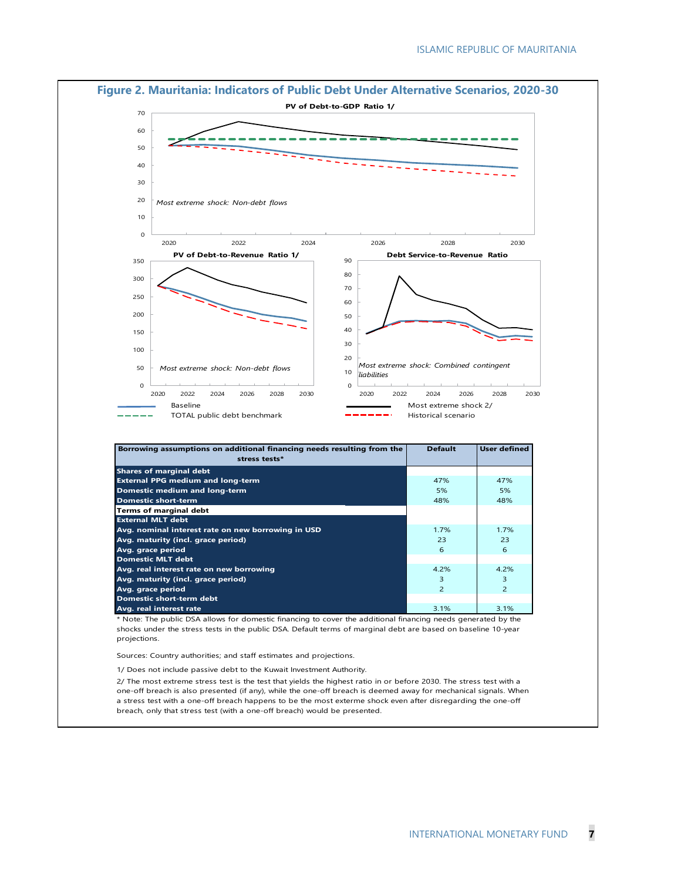

1/ Does not include passive debt to the Kuwait Investment Authority.

2/ The most extreme stress test is the test that yields the highest ratio in or before 2030. The stress test with a one-off breach is also presented (if any), while the one-off breach is deemed away for mechanical signals. When a stress test with a one-off breach happens to be the most exterme shock even after disregarding the one-off breach, only that stress test (with a one-off breach) would be presented.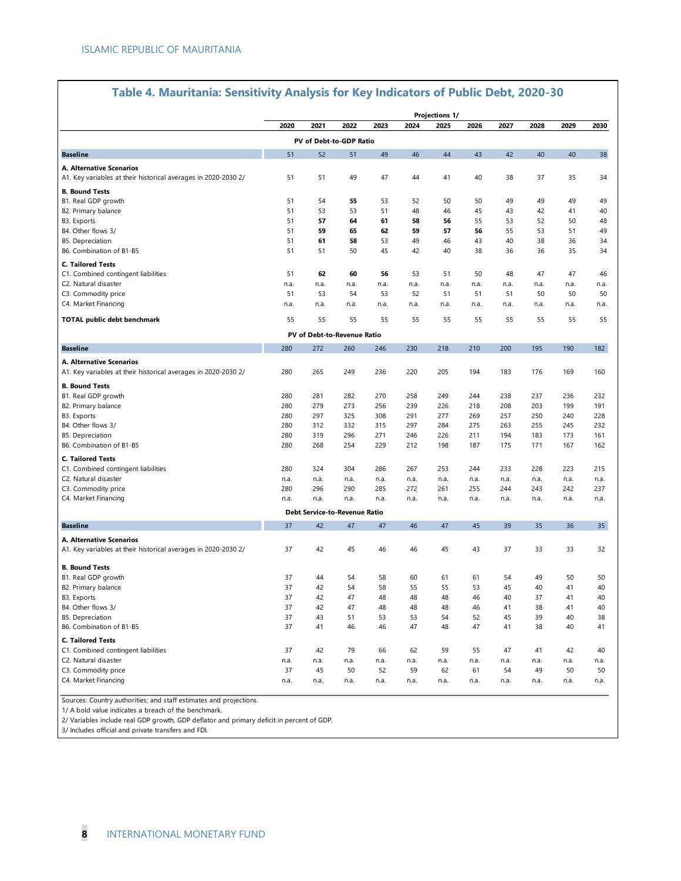|                                                                                            |             |                               |             |             |             | <b>Projections 1/</b> |             |             |             |             |             |
|--------------------------------------------------------------------------------------------|-------------|-------------------------------|-------------|-------------|-------------|-----------------------|-------------|-------------|-------------|-------------|-------------|
|                                                                                            | 2020        | 2021                          | 2022        | 2023        | 2024        | 2025                  | 2026        | 2027        | 2028        | 2029        | 2030        |
|                                                                                            |             | PV of Debt-to-GDP Ratio       |             |             |             |                       |             |             |             |             |             |
| <b>Baseline</b>                                                                            | 51          | 52                            | 51          | 49          | 46          | 44                    | 43          | 42          | 40          | 40          | 38          |
| A. Alternative Scenarios<br>A1. Key variables at their historical averages in 2020-2030 2/ | 51          | 51                            | 49          | 47          | 44          | 41                    | 40          | 38          | 37          | 35          | 34          |
| <b>B. Bound Tests</b><br>B1. Real GDP growth                                               | 51          | 54                            | 55          | 53          | 52          | 50                    | 50          | 49          | 49          | 49          | 49          |
| B2. Primary balance                                                                        | 51          | 53                            | 53          | 51          | 48          | 46                    | 45          | 43          | 42          | 41          | 40          |
| B3. Exports                                                                                | 51          | 57                            | 64          | 61          | 58          | 56                    | 55          | 53          | 52          | 50          | 48          |
| B4. Other flows 3/                                                                         | 51          | 59                            | 65          | 62          | 59          | 57                    | 56          | 55          | 53          | 51          | 49          |
| <b>B5. Depreciation</b>                                                                    | 51          | 61                            | 58          | 53          | 49          | 46                    | 43          | 40          | 38          | 36          | 34          |
| B6. Combination of B1-B5                                                                   | 51          | 51                            | 50          | 45          | 42          | 40                    | 38          | 36          | 36          | 35          | 34          |
| <b>C. Tailored Tests</b>                                                                   |             |                               |             |             |             |                       |             |             |             |             |             |
| C1. Combined contingent liabilities                                                        | 51          | 62                            | 60          | 56          | 53          | 51                    | 50          | 48          | 47          | 47          | 46          |
| C2. Natural disaster                                                                       | n.a.        | n.a.                          | n.a.        | n.a.        | n.a.        | n.a.                  | n.a.        | n.a.        | n.a.        | n.a.        | n.a.        |
| C3. Commodity price                                                                        | 51          | 53                            | 54          | 53          | 52          | 51                    | 51          | 51          | 50          | 50          | 50          |
| C4. Market Financing                                                                       | n.a.        | n.a.                          | n.a.        | n.a.        | n.a.        | n.a.                  | n.a.        | n.a.        | n.a.        | n.a.        | n.a.        |
| <b>TOTAL public debt benchmark</b>                                                         | 55          | 55                            | 55          | 55          | 55          | 55                    | 55          | 55          | 55          | 55          | 55          |
|                                                                                            |             | PV of Debt-to-Revenue Ratio   |             |             |             |                       |             |             |             |             |             |
| <b>Baseline</b>                                                                            | 280         | 272                           | 260         | 246         | 230         | 218                   | 210         | 200         | 195         | 190         | 182         |
| A. Alternative Scenarios                                                                   |             |                               |             |             |             |                       |             |             |             |             |             |
| A1. Key variables at their historical averages in 2020-2030 2/                             | 280         | 265                           | 249         | 236         | 220         | 205                   | 194         | 183         | 176         | 169         | 160         |
| <b>B. Bound Tests</b>                                                                      |             |                               |             |             |             |                       |             |             |             |             |             |
| B1. Real GDP growth                                                                        | 280         | 281                           | 282         | 270         | 258         | 249                   | 244         | 238         | 237         | 236         | 232         |
| B2. Primary balance                                                                        | 280         | 279                           | 273         | 256         | 239         | 226                   | 218         | 208         | 203         | 199         | 191         |
| B3. Exports                                                                                | 280         | 297                           | 325         | 308         | 291         | 277                   | 269         | 257         | 250         | 240         | 228         |
| B4. Other flows 3/                                                                         | 280         | 312                           | 332         | 315         | 297         | 284                   | 275         | 263         | 255         | 245         | 232         |
| B5. Depreciation                                                                           | 280         | 319                           | 296         | 271         | 246         | 226                   | 211         | 194         | 183         | 173         | 161         |
| B6. Combination of B1-B5                                                                   | 280         | 268                           | 254         | 229         | 212         | 198                   | 187         | 175         | 171         | 167         | 162         |
| <b>C. Tailored Tests</b>                                                                   |             |                               |             |             |             |                       |             |             |             |             |             |
| C1. Combined contingent liabilities                                                        | 280         | 324                           | 304         | 286         | 267         | 253                   | 244         | 233         | 228         | 223         | 215         |
| C2. Natural disaster                                                                       | n.a.<br>280 | n.a.<br>296                   | n.a.<br>290 | n.a.<br>285 | n.a.<br>272 | n.a.                  | n.a.<br>255 | n.a.        | n.a.<br>243 | n.a.<br>242 | n.a.<br>237 |
| C3. Commodity price<br>C4. Market Financing                                                | n.a.        | n.a.                          | n.a.        | n.a.        | n.a.        | 261<br>n.a.           | n.a.        | 244<br>n.a. | n.a.        | n.a.        | n.a.        |
|                                                                                            |             | Debt Service-to-Revenue Ratio |             |             |             |                       |             |             |             |             |             |
| <b>Baseline</b>                                                                            | 37          | 42                            | 47          | 47          | 46          | 47                    | 45          | 39          | 35          | 36          | 35          |
|                                                                                            |             |                               |             |             |             |                       |             |             |             |             |             |
| A. Alternative Scenarios<br>A1. Key variables at their historical averages in 2020-2030 2/ | 37          | 42                            | 45          | 46          | 46          | 45                    | 43          | 37          | 33          | 33          | 32          |
| <b>B. Bound Tests</b>                                                                      |             |                               |             |             |             |                       |             |             |             |             |             |
| B1. Real GDP growth                                                                        | 37          | 44                            | 54          | 58          | 60          | 61                    | 61          | 54          | 49          | 50          | 50          |
| B2. Primary balance                                                                        | 37          | 42                            | 54          | 58          | 55          | 55                    | 53          | 45          | 40          | 41          | 40          |
| B3. Exports                                                                                | 37          | 42                            | 47          | 48          | 48          | 48                    | 46          | 40          | 37          | 41          | 40          |
| B4. Other flows 3/                                                                         | 37          | 42                            | 47          | 48          | 48          | 48                    | 46          | 41          | 38          | 41          | 40          |
| B5. Depreciation                                                                           | 37<br>37    | 43<br>41                      | 51<br>46    | 53<br>46    | 53<br>47    | 54<br>48              | 52<br>47    | 45<br>41    | 39<br>38    | 40<br>40    | 38<br>41    |
| B6. Combination of B1-B5                                                                   |             |                               |             |             |             |                       |             |             |             |             |             |
| <b>C. Tailored Tests</b>                                                                   |             |                               |             |             |             |                       |             |             |             |             |             |
| C1. Combined contingent liabilities<br>C2. Natural disaster                                | 37<br>n.a.  | 42<br>n.a.                    | 79<br>n.a.  | 66<br>n.a.  | 62<br>n.a.  | 59<br>n.a.            | 55<br>n.a.  | 47<br>n.a.  | 41<br>n.a.  | 42<br>n.a.  | 40<br>n.a.  |
| C3. Commodity price                                                                        | 37          | 45                            | 50          | 52          | 59          | 62                    | 61          | 54          | 49          | 50          | 50          |
| C4. Market Financing                                                                       | n.a.        | n.a.                          | n.a.        | n.a.        | n.a.        | n.a.                  | n.a.        | n.a.        | n.a.        | n.a.        | n.a.        |
|                                                                                            |             |                               |             |             |             |                       |             |             |             |             |             |

# **Table 4. Mauritania: Sensitivity Analysis for Key Indicators of Public Debt, 2020-30**

Sources: Country authorities; and staff estimates and projections.

1/ A bold value indicates a breach of the benchmark.

2/ Variables include real GDP growth, GDP deflator and primary deficit in percent of GDP.

3/ Includes official and private transfers and FDI.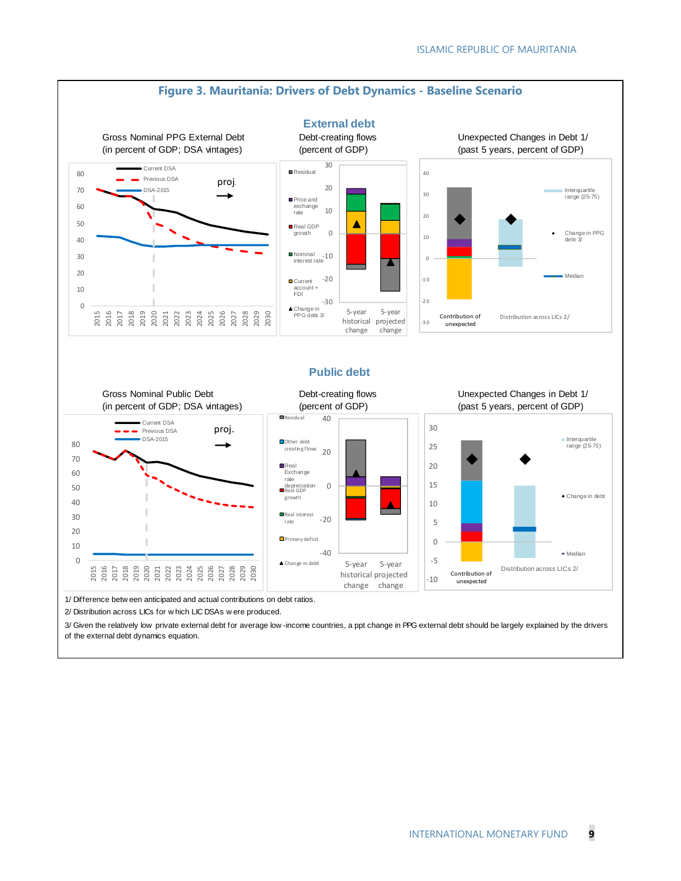

1/ Difference betw een anticipated and actual contributions on debt ratios.

2/ Distribution across LICs for w hich LIC DSAs w ere produced.

3/ Given the relatively low private external debt for average low -income countries, a ppt change in PPG external debt should be largely explained by the drivers of the external debt dynamics equation.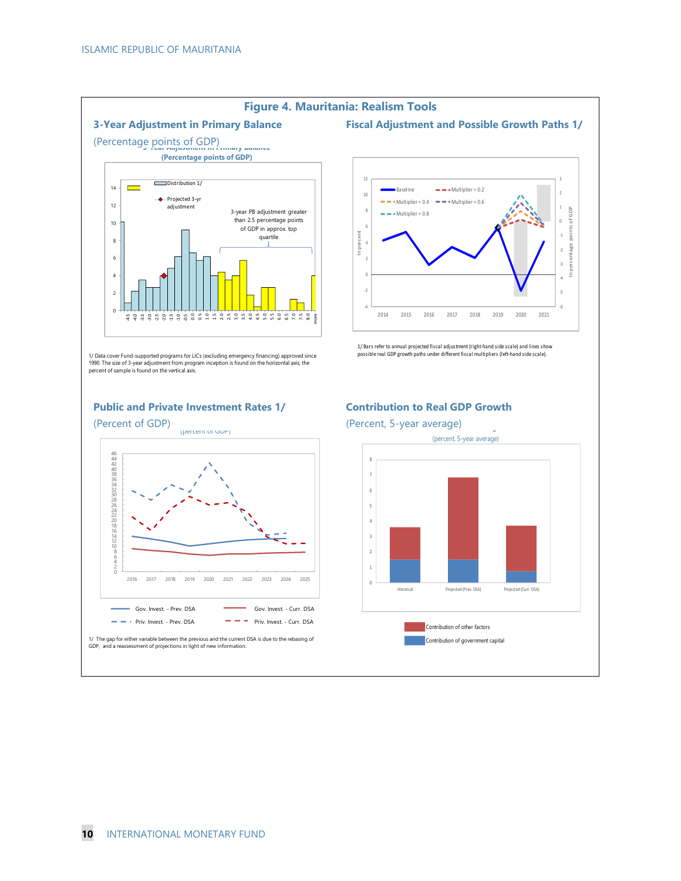

#### **Figure 4. Mauritania: Realism Tools**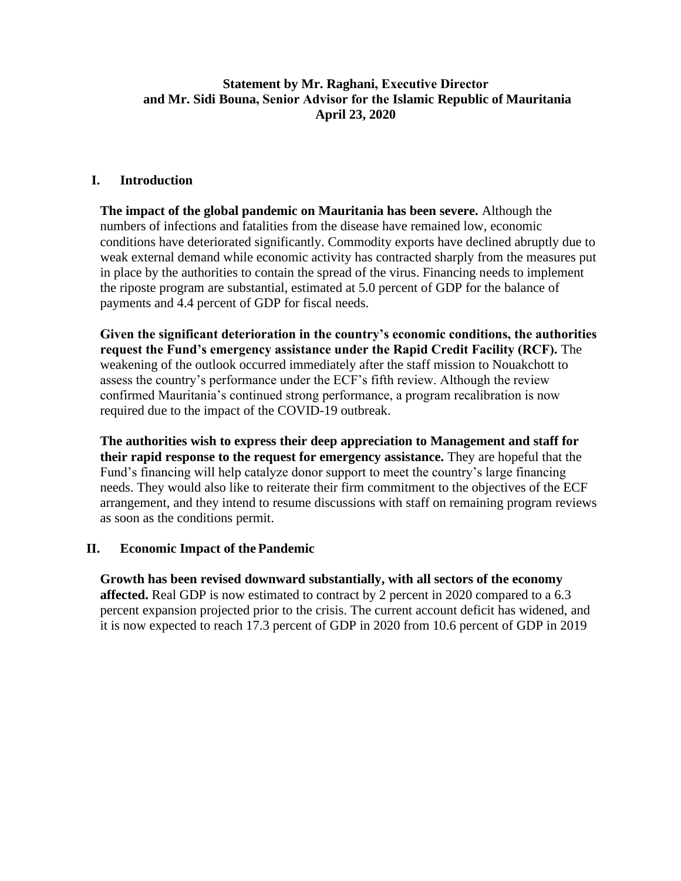# **Statement by Mr. Raghani, Executive Director and Mr. Sidi Bouna, Senior Advisor for the Islamic Republic of Mauritania April 23, 2020**

## **I. Introduction**

**The impact of the global pandemic on Mauritania has been severe.** Although the numbers of infections and fatalities from the disease have remained low, economic conditions have deteriorated significantly. Commodity exports have declined abruptly due to weak external demand while economic activity has contracted sharply from the measures put in place by the authorities to contain the spread of the virus. Financing needs to implement the riposte program are substantial, estimated at 5.0 percent of GDP for the balance of payments and 4.4 percent of GDP for fiscal needs.

**Given the significant deterioration in the country's economic conditions, the authorities request the Fund's emergency assistance under the Rapid Credit Facility (RCF).** The weakening of the outlook occurred immediately after the staff mission to Nouakchott to assess the country's performance under the ECF's fifth review. Although the review confirmed Mauritania's continued strong performance, a program recalibration is now required due to the impact of the COVID-19 outbreak.

**The authorities wish to express their deep appreciation to Management and staff for their rapid response to the request for emergency assistance.** They are hopeful that the Fund's financing will help catalyze donor support to meet the country's large financing needs. They would also like to reiterate their firm commitment to the objectives of the ECF arrangement, and they intend to resume discussions with staff on remaining program reviews as soon as the conditions permit.

## **II. Economic Impact of the Pandemic**

**Growth has been revised downward substantially, with all sectors of the economy affected.** Real GDP is now estimated to contract by 2 percent in 2020 compared to a 6.3 percent expansion projected prior to the crisis. The current account deficit has widened, and it is now expected to reach 17.3 percent of GDP in 2020 from 10.6 percent of GDP in 2019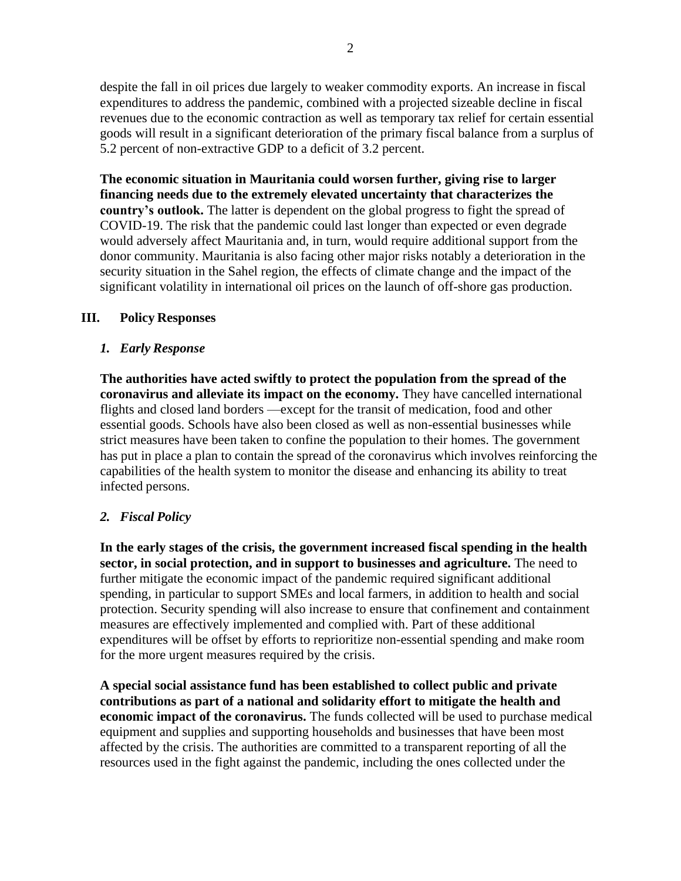despite the fall in oil prices due largely to weaker commodity exports. An increase in fiscal expenditures to address the pandemic, combined with a projected sizeable decline in fiscal revenues due to the economic contraction as well as temporary tax relief for certain essential goods will result in a significant deterioration of the primary fiscal balance from a surplus of 5.2 percent of non-extractive GDP to a deficit of 3.2 percent.

**The economic situation in Mauritania could worsen further, giving rise to larger financing needs due to the extremely elevated uncertainty that characterizes the country's outlook.** The latter is dependent on the global progress to fight the spread of COVID-19. The risk that the pandemic could last longer than expected or even degrade would adversely affect Mauritania and, in turn, would require additional support from the donor community. Mauritania is also facing other major risks notably a deterioration in the security situation in the Sahel region, the effects of climate change and the impact of the significant volatility in international oil prices on the launch of off-shore gas production.

# **III. Policy Responses**

## *1. Early Response*

**The authorities have acted swiftly to protect the population from the spread of the coronavirus and alleviate its impact on the economy.** They have cancelled international flights and closed land borders —except for the transit of medication, food and other essential goods. Schools have also been closed as well as non-essential businesses while strict measures have been taken to confine the population to their homes. The government has put in place a plan to contain the spread of the coronavirus which involves reinforcing the capabilities of the health system to monitor the disease and enhancing its ability to treat infected persons.

# *2. Fiscal Policy*

**In the early stages of the crisis, the government increased fiscal spending in the health sector, in social protection, and in support to businesses and agriculture.** The need to further mitigate the economic impact of the pandemic required significant additional spending, in particular to support SMEs and local farmers, in addition to health and social protection. Security spending will also increase to ensure that confinement and containment measures are effectively implemented and complied with. Part of these additional expenditures will be offset by efforts to reprioritize non-essential spending and make room for the more urgent measures required by the crisis.

**A special social assistance fund has been established to collect public and private contributions as part of a national and solidarity effort to mitigate the health and economic impact of the coronavirus.** The funds collected will be used to purchase medical equipment and supplies and supporting households and businesses that have been most affected by the crisis. The authorities are committed to a transparent reporting of all the resources used in the fight against the pandemic, including the ones collected under the